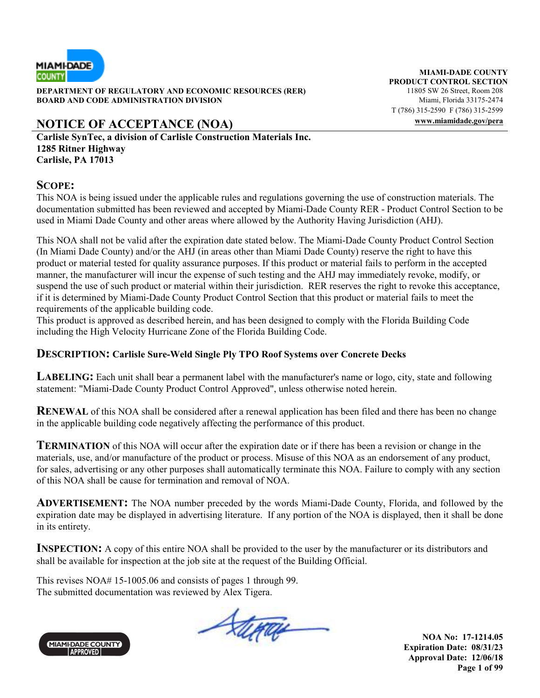

**DEPARTMENT OF REGULATORY AND ECONOMIC RESOURCES (RER)** 11805 SW 26 Street, Room 208 **BOARD AND CODE ADMINISTRATION DIVISION Miami, Florida 33175-2474** 

# **NOTICE OF ACCEPTANCE (NOA) www.miamidade.gov/pera**

**Carlisle SynTec, a division of Carlisle Construction Materials Inc. 1285 Ritner Highway Carlisle, PA 17013** 

### **SCOPE:**

This NOA is being issued under the applicable rules and regulations governing the use of construction materials. The documentation submitted has been reviewed and accepted by Miami-Dade County RER - Product Control Section to be used in Miami Dade County and other areas where allowed by the Authority Having Jurisdiction (AHJ).

This NOA shall not be valid after the expiration date stated below. The Miami-Dade County Product Control Section (In Miami Dade County) and/or the AHJ (in areas other than Miami Dade County) reserve the right to have this product or material tested for quality assurance purposes. If this product or material fails to perform in the accepted manner, the manufacturer will incur the expense of such testing and the AHJ may immediately revoke, modify, or suspend the use of such product or material within their jurisdiction. RER reserves the right to revoke this acceptance, if it is determined by Miami-Dade County Product Control Section that this product or material fails to meet the requirements of the applicable building code.

This product is approved as described herein, and has been designed to comply with the Florida Building Code including the High Velocity Hurricane Zone of the Florida Building Code.

### **DESCRIPTION: Carlisle Sure-Weld Single Ply TPO Roof Systems over Concrete Decks**

**LABELING:** Each unit shall bear a permanent label with the manufacturer's name or logo, city, state and following statement: "Miami-Dade County Product Control Approved", unless otherwise noted herein.

**RENEWAL** of this NOA shall be considered after a renewal application has been filed and there has been no change in the applicable building code negatively affecting the performance of this product.

**TERMINATION** of this NOA will occur after the expiration date or if there has been a revision or change in the materials, use, and/or manufacture of the product or process. Misuse of this NOA as an endorsement of any product, for sales, advertising or any other purposes shall automatically terminate this NOA. Failure to comply with any section of this NOA shall be cause for termination and removal of NOA.

**ADVERTISEMENT:** The NOA number preceded by the words Miami-Dade County, Florida, and followed by the expiration date may be displayed in advertising literature. If any portion of the NOA is displayed, then it shall be done in its entirety.

**INSPECTION:** A copy of this entire NOA shall be provided to the user by the manufacturer or its distributors and shall be available for inspection at the job site at the request of the Building Official.

This revises NOA# 15-1005.06 and consists of pages 1 through 99. The submitted documentation was reviewed by Alex Tigera.



Stera

**NOA No: 17-1214.05 Expiration Date: 08/31/23 Approval Date: 12/06/18 Page 1 of 99** 

**MIAMI-DADE COUNTY PRODUCT CONTROL SECTION** T (786) 315-2590 F (786) 315-2599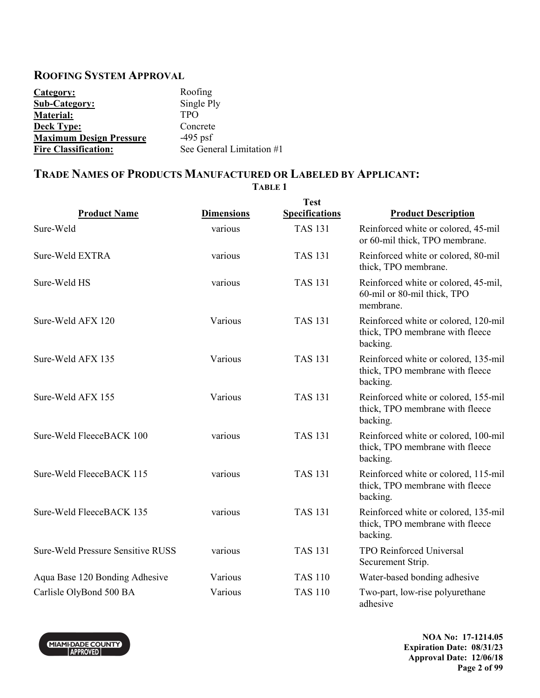### **ROOFING SYSTEM APPROVAL**

| Category:                      | Roofing                   |
|--------------------------------|---------------------------|
| <b>Sub-Category:</b>           | Single Ply                |
| <b>Material:</b>               | <b>TPO</b>                |
| <b>Deck Type:</b>              | Concrete                  |
| <b>Maximum Design Pressure</b> | $-495$ psf                |
| <b>Fire Classification:</b>    | See General Limitation #1 |

# **TRADE NAMES OF PRODUCTS MANUFACTURED OR LABELED BY APPLICANT:**

**TABLE 1** 

|                                          |                   | <b>Test</b>           |                                                                                     |
|------------------------------------------|-------------------|-----------------------|-------------------------------------------------------------------------------------|
| <b>Product Name</b>                      | <b>Dimensions</b> | <b>Specifications</b> | <b>Product Description</b>                                                          |
| Sure-Weld                                | various           | <b>TAS 131</b>        | Reinforced white or colored, 45-mil<br>or 60-mil thick, TPO membrane.               |
| Sure-Weld EXTRA                          | various           | <b>TAS 131</b>        | Reinforced white or colored, 80-mil<br>thick, TPO membrane.                         |
| Sure-Weld HS                             | various           | <b>TAS 131</b>        | Reinforced white or colored, 45-mil,<br>60-mil or 80-mil thick, TPO<br>membrane.    |
| Sure-Weld AFX 120                        | Various           | <b>TAS 131</b>        | Reinforced white or colored, 120-mil<br>thick, TPO membrane with fleece<br>backing. |
| Sure-Weld AFX 135                        | Various           | <b>TAS 131</b>        | Reinforced white or colored, 135-mil<br>thick, TPO membrane with fleece<br>backing. |
| Sure-Weld AFX 155                        | Various           | <b>TAS 131</b>        | Reinforced white or colored, 155-mil<br>thick, TPO membrane with fleece<br>backing. |
| Sure-Weld FleeceBACK 100                 | various           | <b>TAS 131</b>        | Reinforced white or colored, 100-mil<br>thick, TPO membrane with fleece<br>backing. |
| Sure-Weld FleeceBACK 115                 | various           | <b>TAS 131</b>        | Reinforced white or colored, 115-mil<br>thick, TPO membrane with fleece<br>backing. |
| Sure-Weld FleeceBACK 135                 | various           | <b>TAS 131</b>        | Reinforced white or colored, 135-mil<br>thick, TPO membrane with fleece<br>backing. |
| <b>Sure-Weld Pressure Sensitive RUSS</b> | various           | <b>TAS 131</b>        | <b>TPO Reinforced Universal</b><br>Securement Strip.                                |
| Aqua Base 120 Bonding Adhesive           | Various           | <b>TAS 110</b>        | Water-based bonding adhesive                                                        |
| Carlisle OlyBond 500 BA                  | Various           | <b>TAS 110</b>        | Two-part, low-rise polyurethane<br>adhesive                                         |

MIAMIĐAĐE COUNTY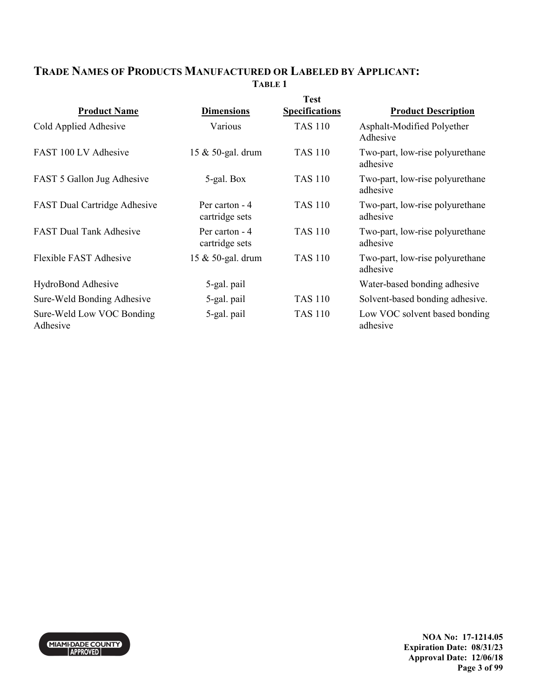### **TRADE NAMES OF PRODUCTS MANUFACTURED OR LABELED BY APPLICANT: TABLE 1**

|                                       |                                  | <b>Test</b>           |                                             |
|---------------------------------------|----------------------------------|-----------------------|---------------------------------------------|
| <b>Product Name</b>                   | <b>Dimensions</b>                | <b>Specifications</b> | <b>Product Description</b>                  |
| Cold Applied Adhesive                 | Various                          | <b>TAS 110</b>        | Asphalt-Modified Polyether<br>Adhesive      |
| FAST 100 LV Adhesive                  | 15 & 50-gal. drum                | <b>TAS 110</b>        | Two-part, low-rise polyurethane<br>adhesive |
| FAST 5 Gallon Jug Adhesive            | 5-gal. Box                       | <b>TAS 110</b>        | Two-part, low-rise polyurethane<br>adhesive |
| <b>FAST Dual Cartridge Adhesive</b>   | Per carton - 4<br>cartridge sets | <b>TAS 110</b>        | Two-part, low-rise polyurethane<br>adhesive |
| <b>FAST Dual Tank Adhesive</b>        | Per carton - 4<br>cartridge sets | <b>TAS 110</b>        | Two-part, low-rise polyurethane<br>adhesive |
| Flexible FAST Adhesive                | 15 & 50-gal. drum                | <b>TAS 110</b>        | Two-part, low-rise polyurethane<br>adhesive |
| HydroBond Adhesive                    | 5-gal. pail                      |                       | Water-based bonding adhesive                |
| Sure-Weld Bonding Adhesive            | 5-gal. pail                      | <b>TAS 110</b>        | Solvent-based bonding adhesive.             |
| Sure-Weld Low VOC Bonding<br>Adhesive | 5-gal. pail                      | <b>TAS 110</b>        | Low VOC solvent based bonding<br>adhesive   |

MIAMIĐAĐE COUNTY

**NOA No: 17-1214.05 Expiration Date: 08/31/23 Approval Date: 12/06/18 Page 3 of 99**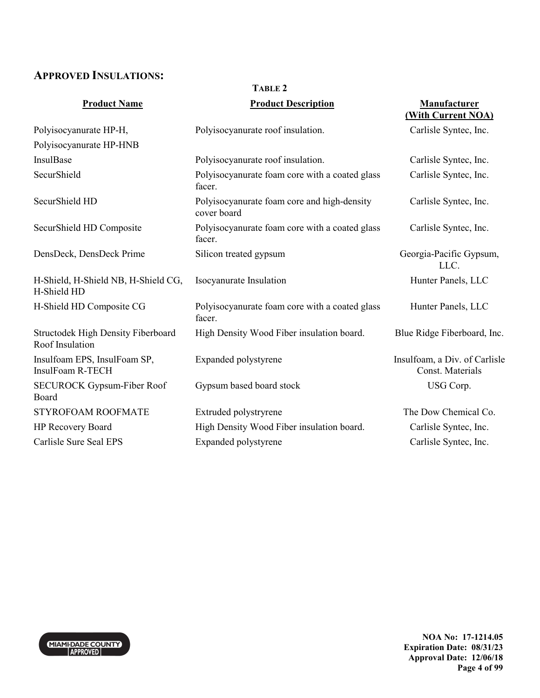### **APPROVED INSULATIONS:**

MIAMI-DADE COUNTY

### **TABLE 2**

| <b>Product Name</b>                                                 | <b>Product Description</b>                                 | Manufacturer<br>(With Current NOA)                |
|---------------------------------------------------------------------|------------------------------------------------------------|---------------------------------------------------|
| Polyisocyanurate HP-H,                                              | Polyisocyanurate roof insulation.                          | Carlisle Syntec, Inc.                             |
| Polyisocyanurate HP-HNB                                             |                                                            |                                                   |
| InsulBase                                                           | Polyisocyanurate roof insulation.                          | Carlisle Syntec, Inc.                             |
| SecurShield                                                         | Polyisocyanurate foam core with a coated glass<br>facer.   | Carlisle Syntec, Inc.                             |
| SecurShield HD                                                      | Polyisocyanurate foam core and high-density<br>cover board | Carlisle Syntec, Inc.                             |
| SecurShield HD Composite                                            | Polyisocyanurate foam core with a coated glass<br>facer.   | Carlisle Syntec, Inc.                             |
| DensDeck, DensDeck Prime                                            | Silicon treated gypsum                                     | Georgia-Pacific Gypsum,<br>LLC.                   |
| H-Shield, H-Shield NB, H-Shield CG,<br>H-Shield HD                  | Isocyanurate Insulation                                    | Hunter Panels, LLC                                |
| H-Shield HD Composite CG                                            | Polyisocyanurate foam core with a coated glass<br>facer.   | Hunter Panels, LLC                                |
| <b>Structodek High Density Fiberboard</b><br><b>Roof Insulation</b> | High Density Wood Fiber insulation board.                  | Blue Ridge Fiberboard, Inc.                       |
| Insulfoam EPS, InsulFoam SP,<br>InsulFoam R-TECH                    | Expanded polystyrene                                       | Insulfoam, a Div. of Carlisle<br>Const. Materials |
| <b>SECUROCK Gypsum-Fiber Roof</b><br>Board                          | Gypsum based board stock                                   | USG Corp.                                         |
| STYROFOAM ROOFMATE                                                  | Extruded polystryrene                                      | The Dow Chemical Co.                              |
| HP Recovery Board                                                   | High Density Wood Fiber insulation board.                  | Carlisle Syntec, Inc.                             |
| Carlisle Sure Seal EPS                                              | Expanded polystyrene                                       | Carlisle Syntec, Inc.                             |
|                                                                     |                                                            |                                                   |

**NOA No: 17-1214.05 Expiration Date: 08/31/23 Approval Date: 12/06/18 Page 4 of 99**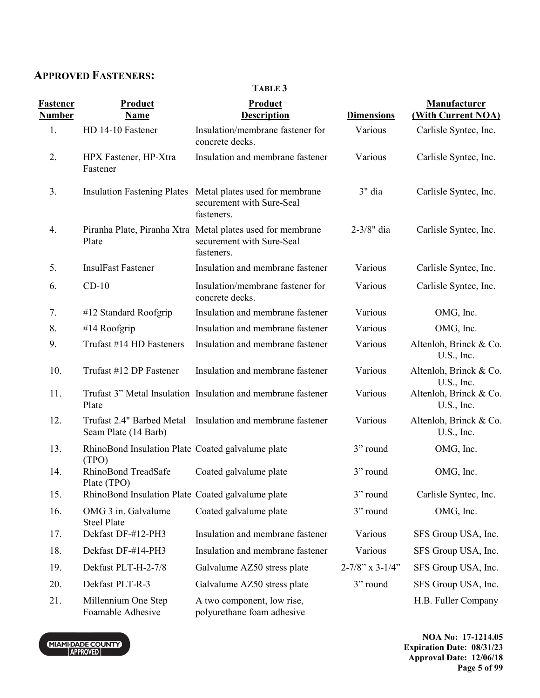# **APPROVED FASTENERS:**

**TABLE 3** 

| <b>Fastener</b><br><b>Number</b> | Product<br><b>Name</b>                                     | Product<br><b>Description</b>                                                                         | <b>Dimensions</b>         | Manufacturer<br>(With Current NOA)   |
|----------------------------------|------------------------------------------------------------|-------------------------------------------------------------------------------------------------------|---------------------------|--------------------------------------|
| 1.                               | HD 14-10 Fastener                                          | Insulation/membrane fastener for<br>concrete decks.                                                   | Various                   | Carlisle Syntec, Inc.                |
| 2.                               | HPX Fastener, HP-Xtra<br>Fastener                          | Insulation and membrane fastener                                                                      | Various                   | Carlisle Syntec, Inc.                |
| 3.                               |                                                            | Insulation Fastening Plates Metal plates used for membrane<br>securement with Sure-Seal<br>fasteners. | 3" dia                    | Carlisle Syntec, Inc.                |
| 4.                               | Plate                                                      | Piranha Plate, Piranha Xtra Metal plates used for membrane<br>securement with Sure-Seal<br>fasteners. | 2-3/8" dia                | Carlisle Syntec, Inc.                |
| 5.                               | <b>InsulFast Fastener</b>                                  | Insulation and membrane fastener                                                                      | Various                   | Carlisle Syntec, Inc.                |
| 6.                               | $CD-10$                                                    | Insulation/membrane fastener for<br>concrete decks.                                                   | Various                   | Carlisle Syntec, Inc.                |
| 7.                               | #12 Standard Roofgrip                                      | Insulation and membrane fastener                                                                      | Various                   | OMG, Inc.                            |
| 8.                               | #14 Roofgrip                                               | Insulation and membrane fastener                                                                      | Various                   | OMG, Inc.                            |
| 9.                               | Trufast #14 HD Fasteners                                   | Insulation and membrane fastener                                                                      | Various                   | Altenloh, Brinck & Co.<br>U.S., Inc. |
| 10.                              | Trufast #12 DP Fastener                                    | Insulation and membrane fastener                                                                      | Various                   | Altenloh, Brinck & Co.<br>U.S., Inc. |
| 11.                              | Plate                                                      | Trufast 3" Metal Insulation Insulation and membrane fastener                                          | Various                   | Altenloh, Brinck & Co.<br>U.S., Inc. |
| 12.                              | Trufast 2.4" Barbed Metal<br>Seam Plate (14 Barb)          | Insulation and membrane fastener                                                                      | Various                   | Altenloh, Brinck & Co.<br>U.S., Inc. |
| 13.                              | RhinoBond Insulation Plate Coated galvalume plate<br>(TPO) |                                                                                                       | 3" round                  | OMG, Inc.                            |
| 14.                              | RhinoBond TreadSafe<br>Plate (TPO)                         | Coated galvalume plate                                                                                | 3" round                  | OMG, Inc.                            |
| 15.                              | RhinoBond Insulation Plate Coated galvalume plate          |                                                                                                       | 3" round                  | Carlisle Syntec, Inc.                |
| 16.                              | OMG 3 in. Galvalume<br><b>Steel Plate</b>                  | Coated galvalume plate                                                                                | 3" round                  | OMG, Inc.                            |
| 17.                              | Dekfast DF-#12-PH3                                         | Insulation and membrane fastener                                                                      | Various                   | SFS Group USA, Inc.                  |
| 18.                              | Dekfast DF-#14-PH3                                         | Insulation and membrane fastener                                                                      | Various                   | SFS Group USA, Inc.                  |
| 19.                              | Dekfast PLT-H-2-7/8                                        | Galvalume AZ50 stress plate                                                                           | $2 - 7/8$ " x $3 - 1/4$ " | SFS Group USA, Inc.                  |
| 20.                              | Dekfast PLT-R-3                                            | Galvalume AZ50 stress plate                                                                           | 3" round                  | SFS Group USA, Inc.                  |
| 21.                              | Millennium One Step<br>Foamable Adhesive                   | A two component, low rise,<br>polyurethane foam adhesive                                              |                           | H.B. Fuller Company                  |

MIAMI-DADE COUNTY

**NOA No: 17-1214.05 Expiration Date: 08/31/23 Approval Date: 12/06/18 Page 5 of 99**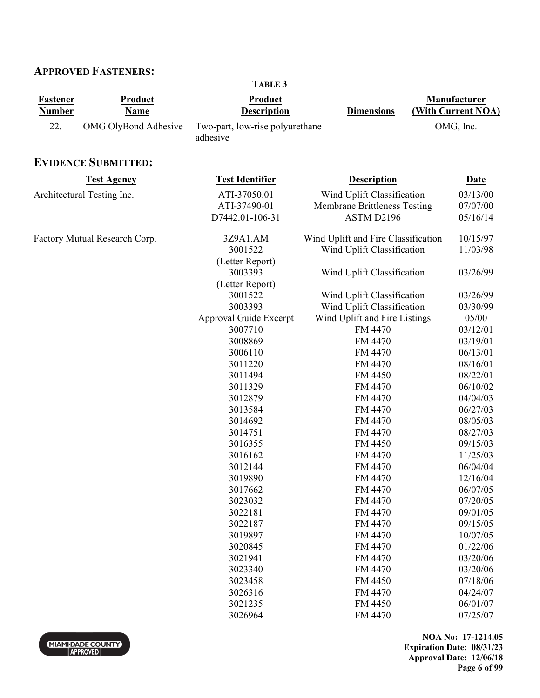### **APPROVED FASTENERS:**

**Fastener Number Product Name Product Description Dimensions Manufacturer (With Current NOA)**  22. OMG OlyBond Adhesive Two-part, low-rise polyurethane adhesive OMG, Inc. **EVIDENCE SUBMITTED: Test Agency Test Identifier Description Date** Architectural Testing Inc.  $ATI-37050.01$  Wind Uplift Classification  $03/13/00$ ATI-37490-01 Membrane Brittleness Testing 07/07/00 D7442.01-106-31 ASTM D2196 05/16/14 Factory Mutual Research Corp. 3Z9A1.AM Wind Uplift and Fire Classification 10/15/97 3001522 (Letter Report) Wind Uplift Classification 11/03/98 3003393 (Letter Report) Wind Uplift Classification 03/26/99 3001522 Wind Uplift Classification 03/26/99 3003393 Wind Uplift Classification 03/30/99 Approval Guide Excerpt Wind Uplift and Fire Listings 05/00 3007710 FM 4470 03/12/01 3008869 FM 4470 03/19/01 3006110 FM 4470 06/13/01 3011220 FM 4470 08/16/01 3011494 FM 4450 08/22/01 3011329 FM 4470 06/10/02 3012879 FM 4470 04/04/03 3013584 FM 4470 06/27/03 3014692 FM 4470 08/05/03 3014751 FM 4470 08/27/03 3016355 FM 4450 09/15/03 3016162 FM 4470 11/25/03 3012144 FM 4470 06/04/04 3019890 FM 4470 12/16/04 3017662 FM 4470 06/07/05 3023032 FM 4470 07/20/05 3022181 FM 4470 09/01/05 3022187 FM 4470 09/15/05 3019897 FM 4470 10/07/05 3020845 FM 4470 01/22/06 3021941 FM 4470 03/20/06 3023340 FM 4470 03/20/06 3023458 FM 4450 07/18/06 3026316 FM 4470 04/24/07 3021235 FM 4450 06/01/07

**TABLE 3** 

**NOA No: 17-1214.05 Expiration Date: 08/31/23 Approval Date: 12/06/18 Page 6 of 99** 

3026964 FM 4470 07/25/07

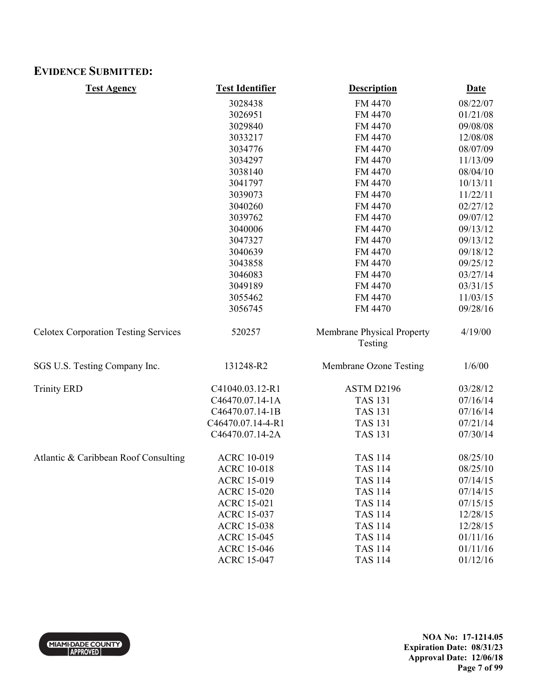### **EVIDENCE SUBMITTED:**

| <b>Test Agency</b>                          | <b>Test Identifier</b> | <b>Description</b>                    | <b>Date</b> |
|---------------------------------------------|------------------------|---------------------------------------|-------------|
|                                             | 3028438                | FM 4470                               | 08/22/07    |
|                                             | 3026951                | FM 4470                               | 01/21/08    |
|                                             | 3029840                | FM 4470                               | 09/08/08    |
|                                             | 3033217                | FM 4470                               | 12/08/08    |
|                                             | 3034776                | FM 4470                               | 08/07/09    |
|                                             | 3034297                | FM 4470                               | 11/13/09    |
|                                             | 3038140                | FM 4470                               | 08/04/10    |
|                                             | 3041797                | FM 4470                               | 10/13/11    |
|                                             | 3039073                | FM 4470                               | 11/22/11    |
|                                             | 3040260                | FM 4470                               | 02/27/12    |
|                                             | 3039762                | FM 4470                               | 09/07/12    |
|                                             | 3040006                | FM 4470                               | 09/13/12    |
|                                             | 3047327                | FM 4470                               | 09/13/12    |
|                                             | 3040639                | FM 4470                               | 09/18/12    |
|                                             | 3043858                | FM 4470                               | 09/25/12    |
|                                             | 3046083                | FM 4470                               | 03/27/14    |
|                                             | 3049189                | FM 4470                               | 03/31/15    |
|                                             | 3055462                | FM 4470                               | 11/03/15    |
|                                             | 3056745                | FM 4470                               | 09/28/16    |
| <b>Celotex Corporation Testing Services</b> | 520257                 | Membrane Physical Property<br>Testing | 4/19/00     |
| SGS U.S. Testing Company Inc.               | 131248-R2              | Membrane Ozone Testing                | 1/6/00      |
| <b>Trinity ERD</b>                          | C41040.03.12-R1        | ASTM D2196                            | 03/28/12    |
|                                             | C46470.07.14-1A        | <b>TAS 131</b>                        | 07/16/14    |
|                                             | C46470.07.14-1B        | <b>TAS 131</b>                        | 07/16/14    |
|                                             | C46470.07.14-4-R1      | <b>TAS 131</b>                        | 07/21/14    |
|                                             | C46470.07.14-2A        | <b>TAS 131</b>                        | 07/30/14    |
| Atlantic & Caribbean Roof Consulting        | <b>ACRC 10-019</b>     | <b>TAS 114</b>                        | 08/25/10    |
|                                             | <b>ACRC 10-018</b>     | <b>TAS 114</b>                        | 08/25/10    |
|                                             | <b>ACRC 15-019</b>     | <b>TAS 114</b>                        | 07/14/15    |
|                                             | <b>ACRC 15-020</b>     | <b>TAS 114</b>                        | 07/14/15    |
|                                             | <b>ACRC 15-021</b>     | <b>TAS 114</b>                        | 07/15/15    |
|                                             | <b>ACRC 15-037</b>     | <b>TAS 114</b>                        | 12/28/15    |
|                                             | <b>ACRC 15-038</b>     | <b>TAS 114</b>                        | 12/28/15    |
|                                             | <b>ACRC 15-045</b>     | <b>TAS 114</b>                        | 01/11/16    |
|                                             | <b>ACRC 15-046</b>     | <b>TAS 114</b>                        | 01/11/16    |
|                                             | <b>ACRC 15-047</b>     | <b>TAS 114</b>                        | 01/12/16    |

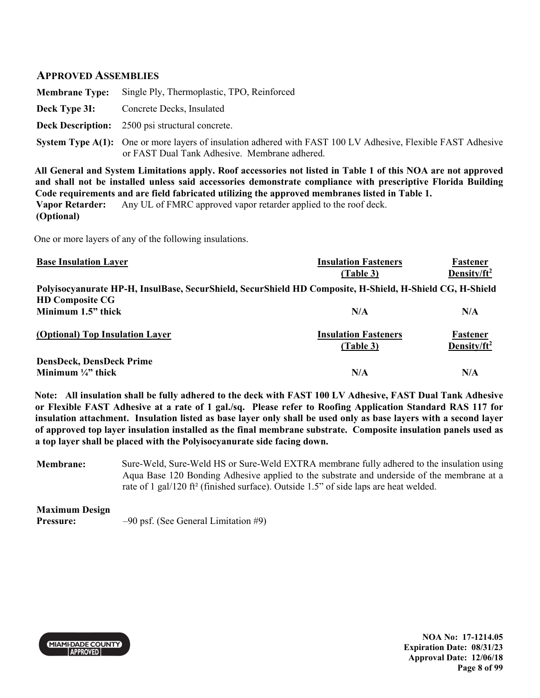### **APPROVED ASSEMBLIES**

| <b>Membrane Type:</b> Single Ply, Thermoplastic, TPO, Reinforced                                                                                                     |
|----------------------------------------------------------------------------------------------------------------------------------------------------------------------|
| <b>Deck Type 3I:</b> Concrete Decks, Insulated                                                                                                                       |
| <b>Deck Description:</b> 2500 psi structural concrete.                                                                                                               |
| <b>System Type A(1):</b> One or more layers of insulation adhered with FAST 100 LV Adhesive, Flexible FAST Adhesive<br>or FAST Dual Tank Adhesive. Membrane adhered. |

**All General and System Limitations apply. Roof accessories not listed in Table 1 of this NOA are not approved and shall not be installed unless said accessories demonstrate compliance with prescriptive Florida Building Code requirements and are field fabricated utilizing the approved membranes listed in Table 1. Vapor Retarder: (Optional)**  Any UL of FMRC approved vapor retarder applied to the roof deck.

One or more layers of any of the following insulations.

| <b>Base Insulation Layer</b>                                                                             | <b>Insulation Fasteners</b>              | Fastener                            |
|----------------------------------------------------------------------------------------------------------|------------------------------------------|-------------------------------------|
|                                                                                                          | (Table 3)                                | Density/ft <sup>2</sup>             |
| Polyisocyanurate HP-H, InsulBase, SecurShield, SecurShield HD Composite, H-Shield, H-Shield CG, H-Shield |                                          |                                     |
| <b>HD Composite CG</b>                                                                                   |                                          |                                     |
| Minimum 1.5" thick                                                                                       | N/A                                      | N/A                                 |
| (Optional) Top Insulation Layer                                                                          | <b>Insulation Fasteners</b><br>(Table 3) | Fastener<br>Density/ft <sup>2</sup> |
| <b>DensDeck, DensDeck Prime</b>                                                                          |                                          |                                     |
| Minimum $\frac{1}{4}$ " thick                                                                            | N/A                                      | N/A                                 |

**Note: All insulation shall be fully adhered to the deck with FAST 100 LV Adhesive, FAST Dual Tank Adhesive or Flexible FAST Adhesive at a rate of 1 gal./sq. Please refer to Roofing Application Standard RAS 117 for insulation attachment. Insulation listed as base layer only shall be used only as base layers with a second layer of approved top layer insulation installed as the final membrane substrate. Composite insulation panels used as a top layer shall be placed with the Polyisocyanurate side facing down.** 

**Membrane:** Sure-Weld, Sure-Weld HS or Sure-Weld EXTRA membrane fully adhered to the insulation using Aqua Base 120 Bonding Adhesive applied to the substrate and underside of the membrane at a rate of 1 gal/120 ft² (finished surface). Outside 1.5" of side laps are heat welded.

**Maximum Design Pressure:**  $-90$  psf. (See General Limitation #9)



**NOA No: 17-1214.05 Expiration Date: 08/31/23 Approval Date: 12/06/18 Page 8 of 99**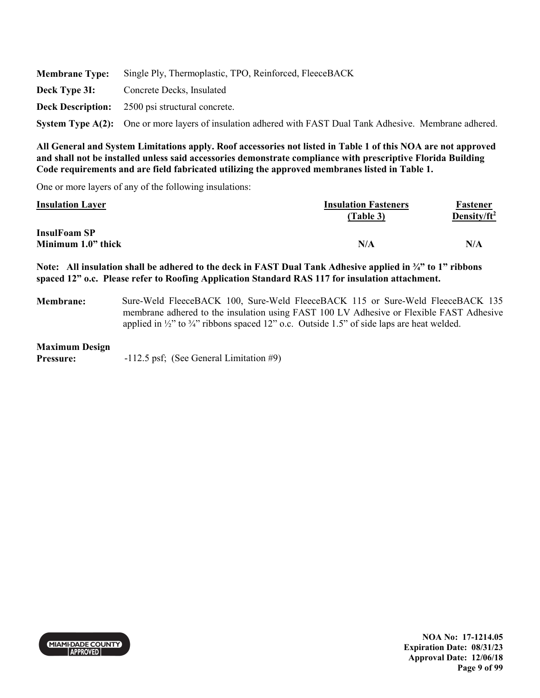|               | <b>Membrane Type:</b> Single Ply, Thermoplastic, TPO, Reinforced, FleeceBACK                               |
|---------------|------------------------------------------------------------------------------------------------------------|
| Deck Type 3I: | Concrete Decks, Insulated                                                                                  |
|               | <b>Deck Description:</b> 2500 psi structural concrete.                                                     |
|               | System Type A(2): One or more layers of insulation adhered with FAST Dual Tank Adhesive. Membrane adhered. |

One or more layers of any of the following insulations:

| <b>Insulation Layer</b> | <b>Insulation Fasteners</b> | Fastener                |
|-------------------------|-----------------------------|-------------------------|
|                         | (Table 3)                   | Density/ft <sup>2</sup> |
| <b>InsulFoam SP</b>     |                             |                         |
| Minimum 1.0" thick      | N/A                         | N/A                     |

**Note: All insulation shall be adhered to the deck in FAST Dual Tank Adhesive applied in ¾" to 1" ribbons spaced 12" o.c. Please refer to Roofing Application Standard RAS 117 for insulation attachment.** 

**Membrane:** Sure-Weld FleeceBACK 100, Sure-Weld FleeceBACK 115 or Sure-Weld FleeceBACK 135 membrane adhered to the insulation using FAST 100 LV Adhesive or Flexible FAST Adhesive applied in  $\frac{1}{2}$ " to  $\frac{3}{4}$ " ribbons spaced 12" o.c. Outside 1.5" of side laps are heat welded.

#### **Maximum Design**

**Pressure:** -112.5 psf; (See General Limitation #9)

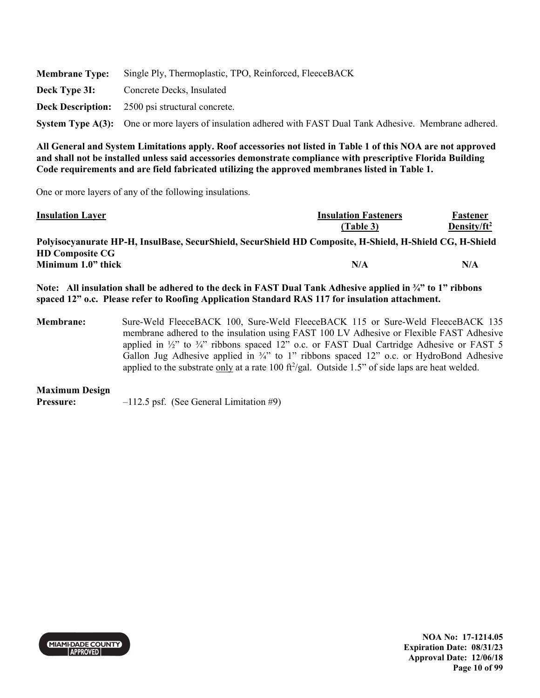|               | <b>Membrane Type:</b> Single Ply, Thermoplastic, TPO, Reinforced, FleeceBACK                               |
|---------------|------------------------------------------------------------------------------------------------------------|
| Deck Type 3I: | Concrete Decks, Insulated                                                                                  |
|               | <b>Deck Description:</b> 2500 psi structural concrete.                                                     |
|               | System Type A(3): One or more layers of insulation adhered with FAST Dual Tank Adhesive. Membrane adhered. |

One or more layers of any of the following insulations.

| <b>Insulation Layer</b>                                                                                  | <b>Insulation Fasteners</b> | Fastener        |
|----------------------------------------------------------------------------------------------------------|-----------------------------|-----------------|
|                                                                                                          | (Table 3)                   | Density/ $ft^2$ |
| Polyisocyanurate HP-H, InsulBase, SecurShield, SecurShield HD Composite, H-Shield, H-Shield CG, H-Shield |                             |                 |
| <b>HD Composite CG</b>                                                                                   |                             |                 |
| Minimum 1.0" thick                                                                                       | N/A                         | N/A             |
|                                                                                                          |                             |                 |

**Note: All insulation shall be adhered to the deck in FAST Dual Tank Adhesive applied in ¾" to 1" ribbons spaced 12" o.c. Please refer to Roofing Application Standard RAS 117 for insulation attachment.** 

**Membrane:** Sure-Weld FleeceBACK 100, Sure-Weld FleeceBACK 115 or Sure-Weld FleeceBACK 135 membrane adhered to the insulation using FAST 100 LV Adhesive or Flexible FAST Adhesive applied in  $\frac{1}{2}$ " to  $\frac{3}{4}$ " ribbons spaced 12" o.c. or FAST Dual Cartridge Adhesive or FAST 5 Gallon Jug Adhesive applied in  $\frac{3}{4}$ " to 1" ribbons spaced 12" o.c. or HydroBond Adhesive applied to the substrate  $\frac{only}{}$  at a rate 100 ft<sup>2</sup>/gal. Outside 1.5" of side laps are heat welded.

### **Maximum Design**

**Pressure:**  $-112.5$  psf. (See General Limitation #9)

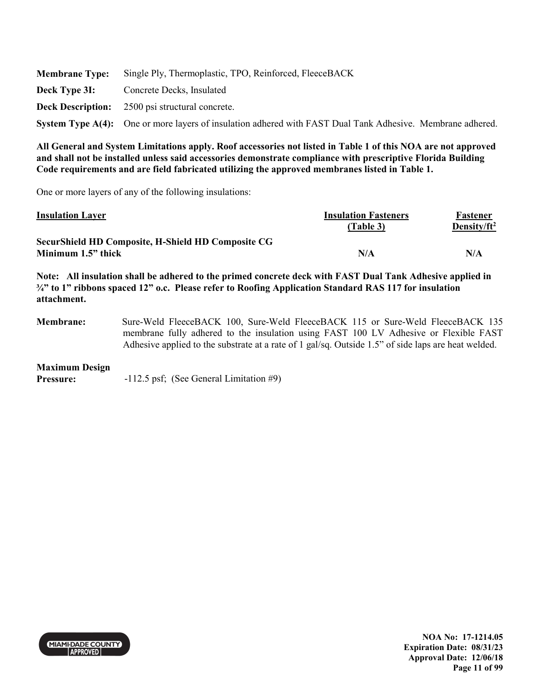|               | <b>Membrane Type:</b> Single Ply, Thermoplastic, TPO, Reinforced, FleeceBACK                               |
|---------------|------------------------------------------------------------------------------------------------------------|
| Deck Type 3I: | Concrete Decks, Insulated                                                                                  |
|               | <b>Deck Description:</b> 2500 psi structural concrete.                                                     |
|               | System Type A(4): One or more layers of insulation adhered with FAST Dual Tank Adhesive. Membrane adhered. |

One or more layers of any of the following insulations:

| <b>Insulation Layer</b>                                   | <b>Insulation Fasteners</b> | Fastener        |
|-----------------------------------------------------------|-----------------------------|-----------------|
|                                                           | (Table 3)                   | Density/ $ft^2$ |
| <b>SecurShield HD Composite, H-Shield HD Composite CG</b> |                             |                 |
| Minimum 1.5" thick                                        | N/A                         | N/A             |

**Note: All insulation shall be adhered to the primed concrete deck with FAST Dual Tank Adhesive applied in ¾" to 1" ribbons spaced 12" o.c. Please refer to Roofing Application Standard RAS 117 for insulation attachment.** 

**Membrane:** Sure-Weld FleeceBACK 100, Sure-Weld FleeceBACK 115 or Sure-Weld FleeceBACK 135 membrane fully adhered to the insulation using FAST 100 LV Adhesive or Flexible FAST Adhesive applied to the substrate at a rate of 1 gal/sq. Outside 1.5" of side laps are heat welded.

### **Maximum Design**

**Pressure:**  $-112.5 \text{ psf}$ ; (See General Limitation #9)

**MIAMI DADE COUNTY APPROVED** 

**NOA No: 17-1214.05 Expiration Date: 08/31/23 Approval Date: 12/06/18 Page 11 of 99**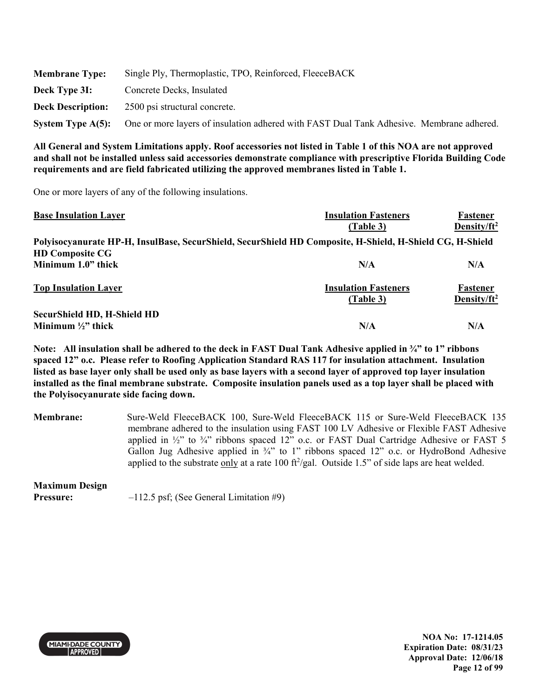| <b>Membrane Type:</b>    | Single Ply, Thermoplastic, TPO, Reinforced, FleeceBACK                                   |
|--------------------------|------------------------------------------------------------------------------------------|
| Deck Type 3I:            | Concrete Decks, Insulated                                                                |
| <b>Deck Description:</b> | 2500 psi structural concrete.                                                            |
| System Type $A(5)$ :     | One or more layers of insulation adhered with FAST Dual Tank Adhesive. Membrane adhered. |

One or more layers of any of the following insulations.

| <b>Base Insulation Layer</b>                                                                             | <b>Insulation Fasteners</b> | Fastener                |
|----------------------------------------------------------------------------------------------------------|-----------------------------|-------------------------|
|                                                                                                          | (Table 3)                   | Density/ft <sup>2</sup> |
| Polyisocyanurate HP-H, InsulBase, SecurShield, SecurShield HD Composite, H-Shield, H-Shield CG, H-Shield |                             |                         |
| <b>HD Composite CG</b>                                                                                   |                             |                         |
| Minimum 1.0" thick                                                                                       | N/A                         | N/A                     |
| <b>Top Insulation Layer</b>                                                                              | <b>Insulation Fasteners</b> | Fastener                |
|                                                                                                          | (Table 3)                   | Density/ft <sup>2</sup> |
| <b>SecurShield HD, H-Shield HD</b>                                                                       |                             |                         |
| Minimum $\frac{1}{2}$ thick                                                                              | N/A                         | N/A                     |

**Note: All insulation shall be adhered to the deck in FAST Dual Tank Adhesive applied in ¾" to 1" ribbons spaced 12" o.c. Please refer to Roofing Application Standard RAS 117 for insulation attachment. Insulation listed as base layer only shall be used only as base layers with a second layer of approved top layer insulation installed as the final membrane substrate. Composite insulation panels used as a top layer shall be placed with the Polyisocyanurate side facing down.** 

**Membrane:** Sure-Weld FleeceBACK 100, Sure-Weld FleeceBACK 115 or Sure-Weld FleeceBACK 135 membrane adhered to the insulation using FAST 100 LV Adhesive or Flexible FAST Adhesive applied in  $\frac{1}{2}$ " to  $\frac{3}{4}$ " ribbons spaced 12" o.c. or FAST Dual Cartridge Adhesive or FAST 5 Gallon Jug Adhesive applied in <sup>3</sup>/4" to 1" ribbons spaced 12" o.c. or HydroBond Adhesive applied to the substrate only at a rate 100  $\frac{\text{ft}^2}{\text{gal}}$ . Outside 1.5" of side laps are heat welded.

# **Maximum Design**

**Pressure:**  $-112.5 \text{ psf}$ ; (See General Limitation #9)



**NOA No: 17-1214.05 Expiration Date: 08/31/23 Approval Date: 12/06/18 Page 12 of 99**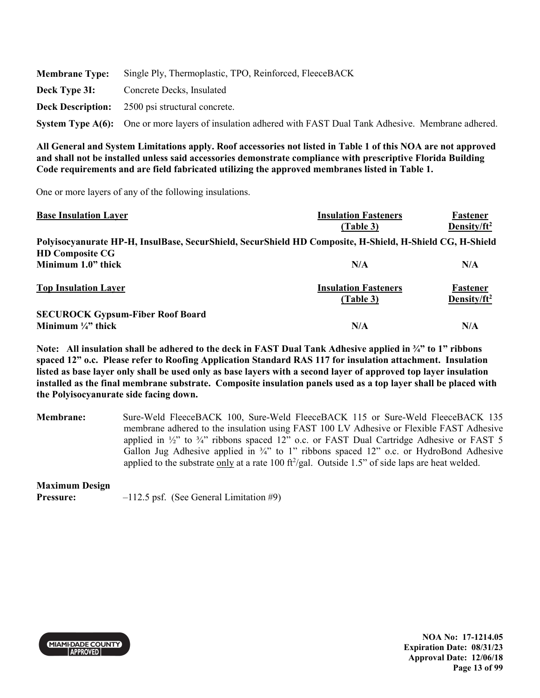|               | <b>Membrane Type:</b> Single Ply, Thermoplastic, TPO, Reinforced, FleeceBACK                               |
|---------------|------------------------------------------------------------------------------------------------------------|
| Deck Type 3I: | Concrete Decks, Insulated                                                                                  |
|               | <b>Deck Description:</b> 2500 psi structural concrete.                                                     |
|               | System Type A(6): One or more layers of insulation adhered with FAST Dual Tank Adhesive. Membrane adhered. |

One or more layers of any of the following insulations.

| <b>Base Insulation Layer</b>                                                                             | <b>Insulation Fasteners</b> | Fastener                |
|----------------------------------------------------------------------------------------------------------|-----------------------------|-------------------------|
|                                                                                                          | (Table 3)                   | Density/ft <sup>2</sup> |
| Polyisocyanurate HP-H, InsulBase, SecurShield, SecurShield HD Composite, H-Shield, H-Shield CG, H-Shield |                             |                         |
| <b>HD Composite CG</b>                                                                                   |                             |                         |
| Minimum 1.0" thick                                                                                       | N/A                         | N/A                     |
| <b>Top Insulation Layer</b>                                                                              | <b>Insulation Fasteners</b> | Fastener                |
|                                                                                                          | (Table 3)                   | Density/ft <sup>2</sup> |
| <b>SECUROCK Gypsum-Fiber Roof Board</b>                                                                  |                             |                         |
| Minimum $\frac{1}{4}$ thick                                                                              | N/A                         | N/A                     |

**Note: All insulation shall be adhered to the deck in FAST Dual Tank Adhesive applied in ¾" to 1" ribbons spaced 12" o.c. Please refer to Roofing Application Standard RAS 117 for insulation attachment. Insulation listed as base layer only shall be used only as base layers with a second layer of approved top layer insulation installed as the final membrane substrate. Composite insulation panels used as a top layer shall be placed with the Polyisocyanurate side facing down.** 

**Membrane:** Sure-Weld FleeceBACK 100, Sure-Weld FleeceBACK 115 or Sure-Weld FleeceBACK 135 membrane adhered to the insulation using FAST 100 LV Adhesive or Flexible FAST Adhesive applied in  $\frac{1}{2}$ " to  $\frac{3}{4}$ " ribbons spaced 12" o.c. or FAST Dual Cartridge Adhesive or FAST 5 Gallon Jug Adhesive applied in <sup>3</sup>/4" to 1" ribbons spaced 12" o.c. or HydroBond Adhesive applied to the substrate  $\frac{only}{}$  at a rate 100 ft<sup>2</sup>/gal. Outside 1.5" of side laps are heat welded.

### **Maximum Design**

**Pressure:**  $-112.5$  psf. (See General Limitation #9)



**NOA No: 17-1214.05 Expiration Date: 08/31/23 Approval Date: 12/06/18 Page 13 of 99**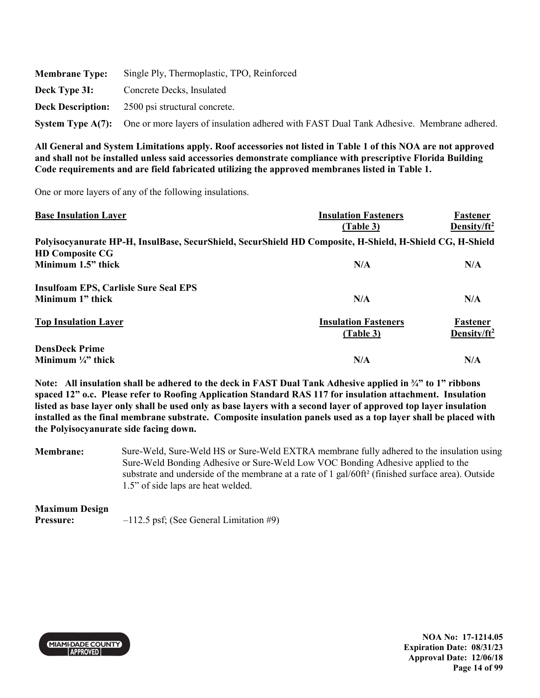| <b>Membrane Type:</b> | Single Ply, Thermoplastic, TPO, Reinforced                                                                 |
|-----------------------|------------------------------------------------------------------------------------------------------------|
| Deck Type 3I:         | Concrete Decks, Insulated                                                                                  |
|                       | <b>Deck Description:</b> 2500 psi structural concrete.                                                     |
|                       | System Type A(7): One or more layers of insulation adhered with FAST Dual Tank Adhesive. Membrane adhered. |

One or more layers of any of the following insulations.

| <b>Base Insulation Layer</b>                                                                                                       | <b>Insulation Fasteners</b>              | Fastener                    |
|------------------------------------------------------------------------------------------------------------------------------------|------------------------------------------|-----------------------------|
|                                                                                                                                    | (Table 3)                                | Density/ $ft^2$             |
| Polyisocyanurate HP-H, InsulBase, SecurShield, SecurShield HD Composite, H-Shield, H-Shield CG, H-Shield<br><b>HD Composite CG</b> |                                          |                             |
| Minimum 1.5" thick                                                                                                                 | N/A                                      | N/A                         |
| <b>Insulfoam EPS, Carlisle Sure Seal EPS</b>                                                                                       |                                          |                             |
| Minimum 1" thick                                                                                                                   | N/A                                      | N/A                         |
| <b>Top Insulation Layer</b>                                                                                                        | <b>Insulation Fasteners</b><br>(Table 3) | Fastener<br>Density/ $ft^2$ |
| <b>DensDeck Prime</b>                                                                                                              |                                          |                             |
| Minimum $\frac{1}{4}$ " thick                                                                                                      | N/A                                      | N/A                         |

**Note: All insulation shall be adhered to the deck in FAST Dual Tank Adhesive applied in ¾" to 1" ribbons spaced 12" o.c. Please refer to Roofing Application Standard RAS 117 for insulation attachment. Insulation listed as base layer only shall be used only as base layers with a second layer of approved top layer insulation installed as the final membrane substrate. Composite insulation panels used as a top layer shall be placed with the Polyisocyanurate side facing down.** 

**Membrane:** Sure-Weld, Sure-Weld HS or Sure-Weld EXTRA membrane fully adhered to the insulation using Sure-Weld Bonding Adhesive or Sure-Weld Low VOC Bonding Adhesive applied to the substrate and underside of the membrane at a rate of 1 gal/60ft<sup>2</sup> (finished surface area). Outside 1.5" of side laps are heat welded.

**Maximum Design Pressure:**  $-112.5$  psf; (See General Limitation #9)



**NOA No: 17-1214.05 Expiration Date: 08/31/23 Approval Date: 12/06/18 Page 14 of 99**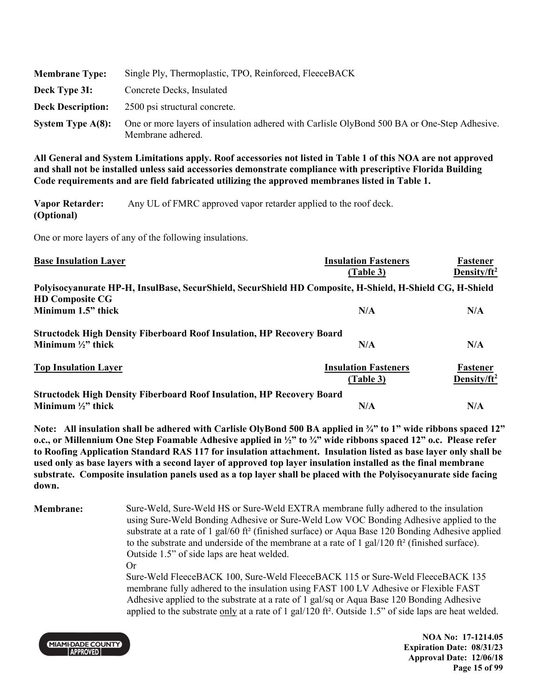| <b>Membrane Type:</b>    | Single Ply, Thermoplastic, TPO, Reinforced, FleeceBACK                                                           |
|--------------------------|------------------------------------------------------------------------------------------------------------------|
| Deck Type 3I:            | Concrete Decks, Insulated                                                                                        |
| <b>Deck Description:</b> | 2500 psi structural concrete.                                                                                    |
| System Type $A(8)$ :     | One or more layers of insulation adhered with Carlisle OlyBond 500 BA or One-Step Adhesive.<br>Membrane adhered. |

**Vapor Retarder: (Optional)**  Any UL of FMRC approved vapor retarder applied to the roof deck.

One or more layers of any of the following insulations.

| <b>Base Insulation Layer</b>                                                 | <b>Insulation Fasteners</b><br>(Table 3)                                                                 | Fastener<br>Density/ft <sup>2</sup> |
|------------------------------------------------------------------------------|----------------------------------------------------------------------------------------------------------|-------------------------------------|
|                                                                              | Polyisocyanurate HP-H, InsulBase, SecurShield, SecurShield HD Composite, H-Shield, H-Shield CG, H-Shield |                                     |
| <b>HD Composite CG</b>                                                       |                                                                                                          |                                     |
| Minimum 1.5" thick                                                           | N/A                                                                                                      | N/A                                 |
| <b>Structodek High Density Fiberboard Roof Insulation, HP Recovery Board</b> |                                                                                                          |                                     |
| Minimum $\frac{1}{2}$ thick                                                  | N/A                                                                                                      | N/A                                 |
| <b>Top Insulation Layer</b>                                                  | <b>Insulation Fasteners</b>                                                                              | Fastener                            |
|                                                                              | (Table 3)                                                                                                | Density/ft <sup>2</sup>             |
| <b>Structodek High Density Fiberboard Roof Insulation, HP Recovery Board</b> |                                                                                                          |                                     |
| Minimum $\frac{1}{2}$ " thick                                                | N/A                                                                                                      | N/A                                 |

**Note: All insulation shall be adhered with Carlisle OlyBond 500 BA applied in ¾" to 1" wide ribbons spaced 12" o.c., or Millennium One Step Foamable Adhesive applied in ½" to ¾" wide ribbons spaced 12" o.c. Please refer to Roofing Application Standard RAS 117 for insulation attachment. Insulation listed as base layer only shall be used only as base layers with a second layer of approved top layer insulation installed as the final membrane substrate. Composite insulation panels used as a top layer shall be placed with the Polyisocyanurate side facing down.** 

**Membrane:** Sure-Weld, Sure-Weld HS or Sure-Weld EXTRA membrane fully adhered to the insulation using Sure-Weld Bonding Adhesive or Sure-Weld Low VOC Bonding Adhesive applied to the substrate at a rate of 1 gal/60 ft<sup>2</sup> (finished surface) or Aqua Base 120 Bonding Adhesive applied to the substrate and underside of the membrane at a rate of 1 gal/120 ft² (finished surface). Outside 1.5" of side laps are heat welded. Or

Sure-Weld FleeceBACK 100, Sure-Weld FleeceBACK 115 or Sure-Weld FleeceBACK 135 membrane fully adhered to the insulation using FAST 100 LV Adhesive or Flexible FAST Adhesive applied to the substrate at a rate of 1 gal/sq or Aqua Base 120 Bonding Adhesive applied to the substrate only at a rate of 1 gal/120 ft<sup>2</sup>. Outside 1.5" of side laps are heat welded.



**NOA No: 17-1214.05 Expiration Date: 08/31/23 Approval Date: 12/06/18 Page 15 of 99**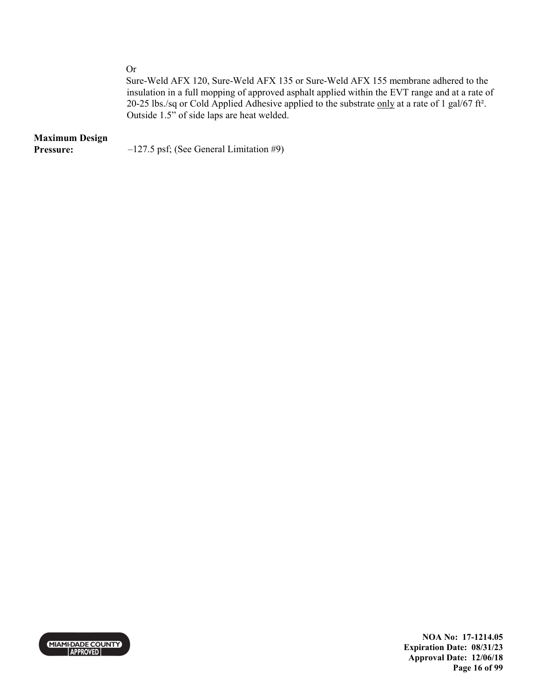Or

Sure-Weld AFX 120, Sure-Weld AFX 135 or Sure-Weld AFX 155 membrane adhered to the insulation in a full mopping of approved asphalt applied within the EVT range and at a rate of 20-25 lbs./sq or Cold Applied Adhesive applied to the substrate only at a rate of 1 gal/67 ft². Outside 1.5" of side laps are heat welded.

### **Maximum Design**

**Pressure:**  $-127.5$  psf; (See General Limitation #9)



**NOA No: 17-1214.05 Expiration Date: 08/31/23 Approval Date: 12/06/18 Page 16 of 99**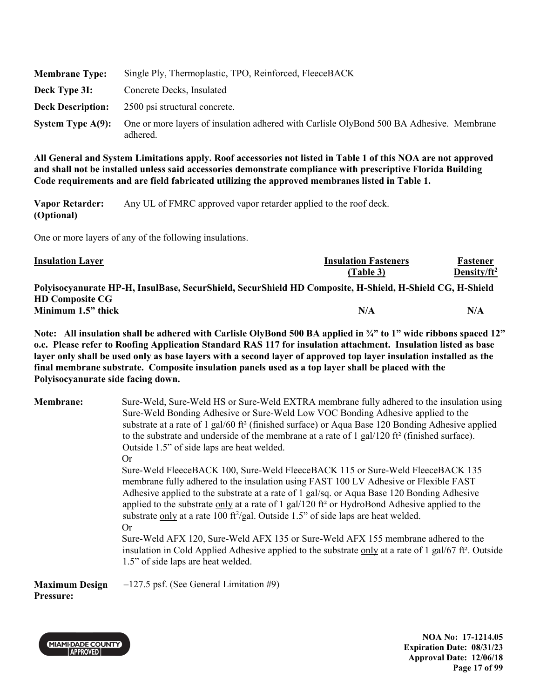| <b>Membrane Type:</b>    | Single Ply, Thermoplastic, TPO, Reinforced, FleeceBACK                                               |
|--------------------------|------------------------------------------------------------------------------------------------------|
| Deck Type 3I:            | Concrete Decks, Insulated                                                                            |
| <b>Deck Description:</b> | 2500 psi structural concrete.                                                                        |
| System Type $A(9)$ :     | One or more layers of insulation adhered with Carlisle OlyBond 500 BA Adhesive. Membrane<br>adhered. |

**Vapor Retarder: (Optional)**  Any UL of FMRC approved vapor retarder applied to the roof deck.

One or more layers of any of the following insulations.

| <b>Insulation Layer</b>                                                                                  | <b>Insulation Fasteners</b> | Fastener        |
|----------------------------------------------------------------------------------------------------------|-----------------------------|-----------------|
|                                                                                                          | (Table 3)                   | Density/ $ft^2$ |
| Polyisocyanurate HP-H, InsulBase, SecurShield, SecurShield HD Composite, H-Shield, H-Shield CG, H-Shield |                             |                 |
| <b>HD Composite CG</b>                                                                                   |                             |                 |
| Minimum 1.5" thick                                                                                       | N/A                         | N/A             |

**Note: All insulation shall be adhered with Carlisle OlyBond 500 BA applied in ¾" to 1" wide ribbons spaced 12" o.c. Please refer to Roofing Application Standard RAS 117 for insulation attachment. Insulation listed as base layer only shall be used only as base layers with a second layer of approved top layer insulation installed as the final membrane substrate. Composite insulation panels used as a top layer shall be placed with the Polyisocyanurate side facing down.** 

| <b>Membrane:</b> | Sure-Weld, Sure-Weld HS or Sure-Weld EXTRA membrane fully adhered to the insulation using<br>Sure-Weld Bonding Adhesive or Sure-Weld Low VOC Bonding Adhesive applied to the<br>substrate at a rate of 1 gal/60 ft <sup>2</sup> (finished surface) or Aqua Base 120 Bonding Adhesive applied<br>to the substrate and underside of the membrane at a rate of 1 gal/120 ft <sup>2</sup> (finished surface).<br>Outside 1.5" of side laps are heat welded.                                                                                                                              |
|------------------|--------------------------------------------------------------------------------------------------------------------------------------------------------------------------------------------------------------------------------------------------------------------------------------------------------------------------------------------------------------------------------------------------------------------------------------------------------------------------------------------------------------------------------------------------------------------------------------|
|                  | Or                                                                                                                                                                                                                                                                                                                                                                                                                                                                                                                                                                                   |
|                  | Sure-Weld FleeceBACK 100, Sure-Weld FleeceBACK 115 or Sure-Weld FleeceBACK 135<br>membrane fully adhered to the insulation using FAST 100 LV Adhesive or Flexible FAST<br>Adhesive applied to the substrate at a rate of 1 gal/sq. or Aqua Base 120 Bonding Adhesive<br>applied to the substrate only at a rate of 1 gal/120 ft <sup>2</sup> or HydroBond Adhesive applied to the<br>substrate only at a rate 100 ft <sup>2</sup> /gal. Outside 1.5" of side laps are heat welded.<br><b>Or</b><br>Sure-Weld AFX 120, Sure-Weld AFX 135 or Sure-Weld AFX 155 membrane adhered to the |
|                  | insulation in Cold Applied Adhesive applied to the substrate only at a rate of 1 gal/67 ft <sup>2</sup> . Outside<br>1.5" of side laps are heat welded.                                                                                                                                                                                                                                                                                                                                                                                                                              |
|                  |                                                                                                                                                                                                                                                                                                                                                                                                                                                                                                                                                                                      |

**Maximum Design Pressure:** –127.5 psf. (See General Limitation #9)



**NOA No: 17-1214.05 Expiration Date: 08/31/23 Approval Date: 12/06/18 Page 17 of 99**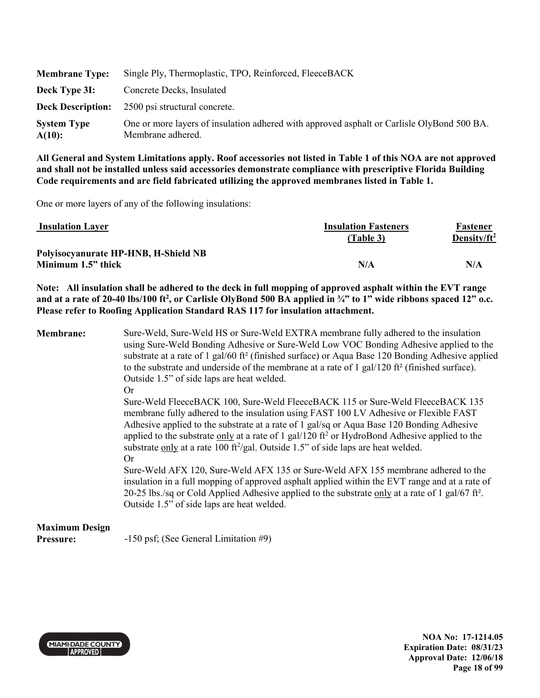| <b>Membrane Type:</b>        | Single Ply, Thermoplastic, TPO, Reinforced, FleeceBACK                                                          |
|------------------------------|-----------------------------------------------------------------------------------------------------------------|
| Deck Type 31:                | Concrete Decks, Insulated                                                                                       |
| <b>Deck Description:</b>     | 2500 psi structural concrete.                                                                                   |
| <b>System Type</b><br>A(10): | One or more layers of insulation adhered with approved asphalt or Carlisle OlyBond 500 BA.<br>Membrane adhered. |

One or more layers of any of the following insulations:

| <b>Insulation Layer</b>              | <b>Insulation Fasteners</b> | Fastener        |
|--------------------------------------|-----------------------------|-----------------|
|                                      | (Table 3)                   | Density/ $ft^2$ |
| Polyisocyanurate HP-HNB, H-Shield NB |                             |                 |
| Minimum 1.5" thick                   | N/A                         | N/A             |

**Note: All insulation shall be adhered to the deck in full mopping of approved asphalt within the EVT range and at a rate of 20-40 lbs/100 ft<sup>2</sup> , or Carlisle OlyBond 500 BA applied in ¾" to 1" wide ribbons spaced 12" o.c. Please refer to Roofing Application Standard RAS 117 for insulation attachment.** 

**Membrane:** Sure-Weld, Sure-Weld HS or Sure-Weld EXTRA membrane fully adhered to the insulation using Sure-Weld Bonding Adhesive or Sure-Weld Low VOC Bonding Adhesive applied to the substrate at a rate of 1 gal/60 ft<sup>2</sup> (finished surface) or Aqua Base 120 Bonding Adhesive applied to the substrate and underside of the membrane at a rate of 1 gal/120 ft<sup>2</sup> (finished surface). Outside 1.5" of side laps are heat welded. Or Sure-Weld FleeceBACK 100, Sure-Weld FleeceBACK 115 or Sure-Weld FleeceBACK 135 membrane fully adhered to the insulation using FAST 100 LV Adhesive or Flexible FAST Adhesive applied to the substrate at a rate of 1 gal/sq or Aqua Base 120 Bonding Adhesive

applied to the substrate  $\underline{\text{only}}$  at a rate of 1 gal/120 ft<sup>2</sup> or HydroBond Adhesive applied to the substrate only at a rate 100 ft $\frac{2}{gal}$ . Outside 1.5" of side laps are heat welded. Or

Sure-Weld AFX 120, Sure-Weld AFX 135 or Sure-Weld AFX 155 membrane adhered to the insulation in a full mopping of approved asphalt applied within the EVT range and at a rate of 20-25 lbs./sq or Cold Applied Adhesive applied to the substrate only at a rate of 1 gal/67 ft<sup>2</sup>. Outside 1.5" of side laps are heat welded.

## **Maximum Design**

**Pressure:** -150 psf; (See General Limitation #9)



**NOA No: 17-1214.05 Expiration Date: 08/31/23 Approval Date: 12/06/18 Page 18 of 99**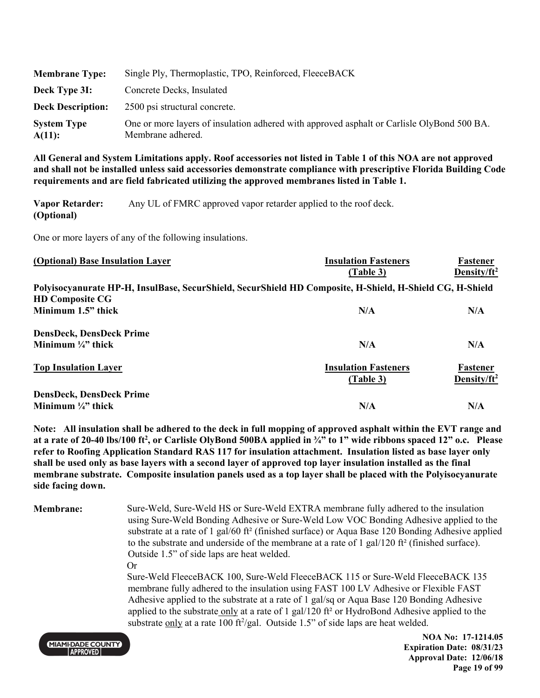| <b>Membrane Type:</b>        | Single Ply, Thermoplastic, TPO, Reinforced, FleeceBACK                                                          |
|------------------------------|-----------------------------------------------------------------------------------------------------------------|
| Deck Type 3I:                | Concrete Decks, Insulated                                                                                       |
| <b>Deck Description:</b>     | 2500 psi structural concrete.                                                                                   |
| <b>System Type</b><br>A(11): | One or more layers of insulation adhered with approved asphalt or Carlisle OlyBond 500 BA.<br>Membrane adhered. |

**Vapor Retarder: (Optional)**  Any UL of FMRC approved vapor retarder applied to the roof deck.

One or more layers of any of the following insulations.

| (Optional) Base Insulation Layer                                                                         | <b>Insulation Fasteners</b><br>(Table 3) | Fastener<br>Density/ft <sup>2</sup> |
|----------------------------------------------------------------------------------------------------------|------------------------------------------|-------------------------------------|
| Polyisocyanurate HP-H, InsulBase, SecurShield, SecurShield HD Composite, H-Shield, H-Shield CG, H-Shield |                                          |                                     |
| <b>HD Composite CG</b>                                                                                   |                                          |                                     |
| Minimum 1.5" thick                                                                                       | N/A                                      | N/A                                 |
| <b>DensDeck, DensDeck Prime</b>                                                                          |                                          |                                     |
| Minimum $\frac{1}{4}$ " thick                                                                            | N/A                                      | N/A                                 |
| <b>Top Insulation Layer</b>                                                                              | <b>Insulation Fasteners</b>              | Fastener                            |
|                                                                                                          | (Table 3)                                | Density/ft <sup>2</sup>             |
| <b>DensDeck, DensDeck Prime</b>                                                                          |                                          |                                     |
| Minimum $\frac{1}{4}$ " thick                                                                            | N/A                                      | N/A                                 |

**Note: All insulation shall be adhered to the deck in full mopping of approved asphalt within the EVT range and at a rate of 20-40 lbs/100 ft<sup>2</sup> , or Carlisle OlyBond 500BA applied in ¾" to 1" wide ribbons spaced 12" o.c. Please refer to Roofing Application Standard RAS 117 for insulation attachment. Insulation listed as base layer only shall be used only as base layers with a second layer of approved top layer insulation installed as the final membrane substrate. Composite insulation panels used as a top layer shall be placed with the Polyisocyanurate side facing down.** 

**Membrane:** Sure-Weld, Sure-Weld HS or Sure-Weld EXTRA membrane fully adhered to the insulation using Sure-Weld Bonding Adhesive or Sure-Weld Low VOC Bonding Adhesive applied to the substrate at a rate of 1 gal/60 ft<sup>2</sup> (finished surface) or Aqua Base 120 Bonding Adhesive applied to the substrate and underside of the membrane at a rate of 1 gal/120 ft² (finished surface). Outside 1.5" of side laps are heat welded. Or Sure-Weld FleeceBACK 100, Sure-Weld FleeceBACK 115 or Sure-Weld FleeceBACK 135

membrane fully adhered to the insulation using FAST 100 LV Adhesive or Flexible FAST Adhesive applied to the substrate at a rate of 1 gal/sq or Aqua Base 120 Bonding Adhesive applied to the substrate only at a rate of 1 gal/120 ft² or HydroBond Adhesive applied to the substrate only at a rate 100 ft<sup>2</sup>/gal. Outside 1.5" of side laps are heat welded.



**NOA No: 17-1214.05 Expiration Date: 08/31/23 Approval Date: 12/06/18 Page 19 of 99**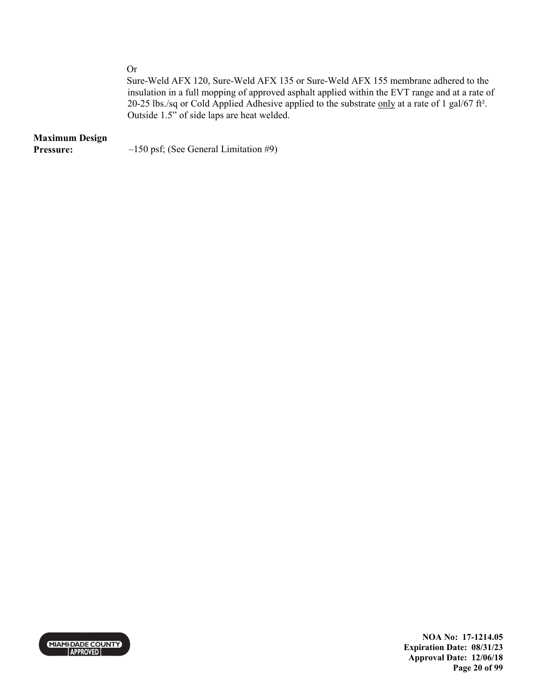Or

Sure-Weld AFX 120, Sure-Weld AFX 135 or Sure-Weld AFX 155 membrane adhered to the insulation in a full mopping of approved asphalt applied within the EVT range and at a rate of 20-25 lbs./sq or Cold Applied Adhesive applied to the substrate only at a rate of 1 gal/67 ft<sup>2</sup>. Outside 1.5" of side laps are heat welded.

# **Maximum Design**

**Pressure:**  $-150 \text{ psf}$ ; (See General Limitation #9)



**NOA No: 17-1214.05 Expiration Date: 08/31/23 Approval Date: 12/06/18 Page 20 of 99**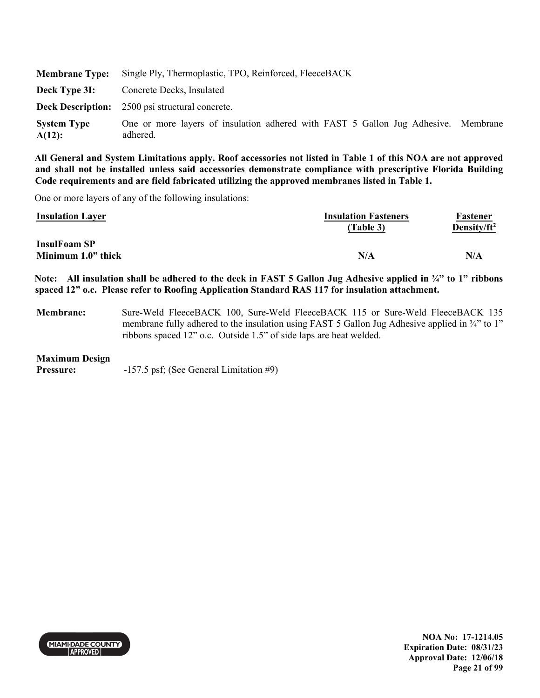|                                 | Membrane Type: Single Ply, Thermoplastic, TPO, Reinforced, FleeceBACK                          |  |
|---------------------------------|------------------------------------------------------------------------------------------------|--|
| Deck Type 31:                   | Concrete Decks, Insulated                                                                      |  |
|                                 | <b>Deck Description:</b> 2500 psi structural concrete.                                         |  |
| <b>System Type</b><br>$A(12)$ : | One or more layers of insulation adhered with FAST 5 Gallon Jug Adhesive. Membrane<br>adhered. |  |

One or more layers of any of the following insulations:

| <b>Insulation Layer</b>                   | <b>Insulation Fasteners</b><br>(Table 3) | Fastener<br>Density/ft <sup>2</sup> |
|-------------------------------------------|------------------------------------------|-------------------------------------|
| <b>InsulFoam SP</b><br>Minimum 1.0" thick | N/A                                      | N/A                                 |

**Note: All insulation shall be adhered to the deck in FAST 5 Gallon Jug Adhesive applied in ¾" to 1" ribbons spaced 12" o.c. Please refer to Roofing Application Standard RAS 117 for insulation attachment.** 

**Membrane:** Sure-Weld FleeceBACK 100, Sure-Weld FleeceBACK 115 or Sure-Weld FleeceBACK 135 membrane fully adhered to the insulation using FAST 5 Gallon Jug Adhesive applied in <sup>3</sup>/4" to 1" ribbons spaced 12" o.c. Outside 1.5" of side laps are heat welded.

### **Maximum Design**

**Pressure:**  $-157.5$  psf; (See General Limitation #9)



**NOA No: 17-1214.05 Expiration Date: 08/31/23 Approval Date: 12/06/18 Page 21 of 99**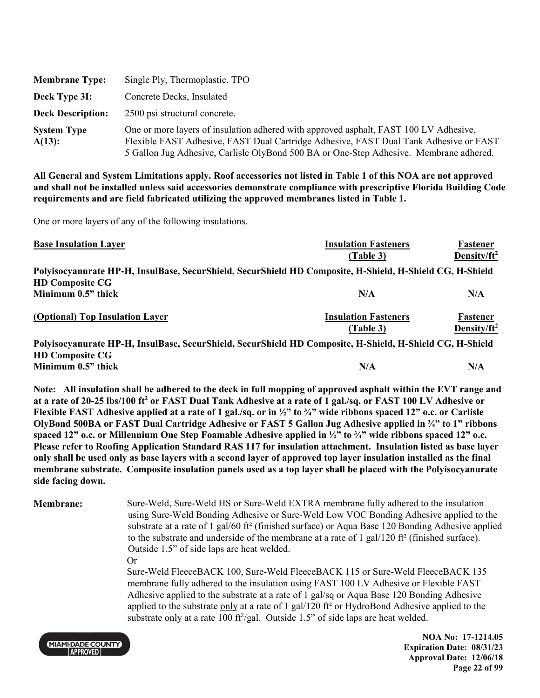| <b>Membrane Type:</b>        | Single Ply, Thermoplastic, TPO                                                                                                                                                                                                                                           |
|------------------------------|--------------------------------------------------------------------------------------------------------------------------------------------------------------------------------------------------------------------------------------------------------------------------|
| Deck Type 3I:                | Concrete Decks, Insulated                                                                                                                                                                                                                                                |
| <b>Deck Description:</b>     | 2500 psi structural concrete.                                                                                                                                                                                                                                            |
| <b>System Type</b><br>A(13): | One or more layers of insulation adhered with approved asphalt, FAST 100 LV Adhesive,<br>Flexible FAST Adhesive, FAST Dual Cartridge Adhesive, FAST Dual Tank Adhesive or FAST<br>5 Gallon Jug Adhesive, Carlisle OlyBond 500 BA or One-Step Adhesive. Membrane adhered. |

One or more layers of any of the following insulations.

| <b>Base Insulation Layer</b>                                                                                | <b>Insulation Fasteners</b> | Fastener                |
|-------------------------------------------------------------------------------------------------------------|-----------------------------|-------------------------|
|                                                                                                             | (Table 3)                   | Density/ft <sup>2</sup> |
| Polyisocyanurate HP-H, InsulBase, SecurShield, SecurShield HD Composite, H-Shield, H-Shield CG, H-Shield    |                             |                         |
| <b>HD Composite CG</b>                                                                                      |                             |                         |
| Minimum 0.5" thick                                                                                          | N/A                         | N/A                     |
| (Optional) Top Insulation Layer                                                                             | <b>Insulation Fasteners</b> | Fastener                |
|                                                                                                             | (Table 3)                   | Density/ $ft^2$         |
| Delvisesyanungte HD H, IngulDees, CosunChield, CosunChield HD Composite, H, Chield, H, Chield CC, H, Chield |                             |                         |

**Polyisocyanurate HP-H, InsulBase, SecurShield, SecurShield HD Composite, H-Shield, H-Shield CG, H-Shield HD Composite CG Minimum 0.5" thick N/A N/A** 

**Note: All insulation shall be adhered to the deck in full mopping of approved asphalt within the EVT range and at a rate of 20-25 lbs/100 ft<sup>2</sup> or FAST Dual Tank Adhesive at a rate of 1 gal./sq. or FAST 100 LV Adhesive or Flexible FAST Adhesive applied at a rate of 1 gal./sq. or in ½" to ¾" wide ribbons spaced 12" o.c. or Carlisle OlyBond 500BA or FAST Dual Cartridge Adhesive or FAST 5 Gallon Jug Adhesive applied in ¾" to 1" ribbons spaced 12" o.c. or Millennium One Step Foamable Adhesive applied in ½" to ¾" wide ribbons spaced 12" o.c. Please refer to Roofing Application Standard RAS 117 for insulation attachment. Insulation listed as base layer only shall be used only as base layers with a second layer of approved top layer insulation installed as the final membrane substrate. Composite insulation panels used as a top layer shall be placed with the Polyisocyanurate side facing down.** 

**Membrane:** Sure-Weld, Sure-Weld HS or Sure-Weld EXTRA membrane fully adhered to the insulation using Sure-Weld Bonding Adhesive or Sure-Weld Low VOC Bonding Adhesive applied to the substrate at a rate of 1 gal/60 ft<sup>2</sup> (finished surface) or Aqua Base 120 Bonding Adhesive applied to the substrate and underside of the membrane at a rate of 1 gal/120 ft² (finished surface). Outside 1.5" of side laps are heat welded.

Or

Sure-Weld FleeceBACK 100, Sure-Weld FleeceBACK 115 or Sure-Weld FleeceBACK 135 membrane fully adhered to the insulation using FAST 100 LV Adhesive or Flexible FAST Adhesive applied to the substrate at a rate of 1 gal/sq or Aqua Base 120 Bonding Adhesive applied to the substrate only at a rate of 1 gal/120 ft<sup>2</sup> or HydroBond Adhesive applied to the substrate  $\frac{only}{}$  at a rate 100 ft<sup>2</sup>/gal. Outside 1.5" of side laps are heat welded.



**NOA No: 17-1214.05 Expiration Date: 08/31/23 Approval Date: 12/06/18 Page 22 of 99**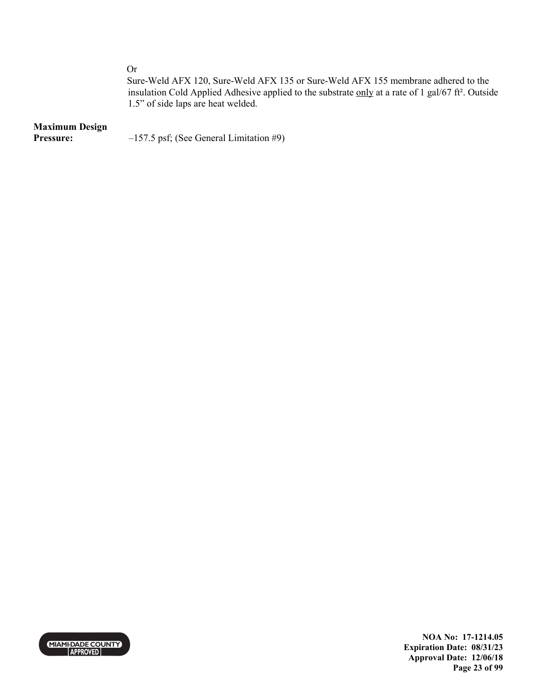Or

Sure-Weld AFX 120, Sure-Weld AFX 135 or Sure-Weld AFX 155 membrane adhered to the insulation Cold Applied Adhesive applied to the substrate only at a rate of 1 gal/67 ft². Outside 1.5" of side laps are heat welded.

### **Maximum Design**

**Pressure:**  $-157.5 \text{ psf}$ ; (See General Limitation #9)



**NOA No: 17-1214.05 Expiration Date: 08/31/23 Approval Date: 12/06/18 Page 23 of 99**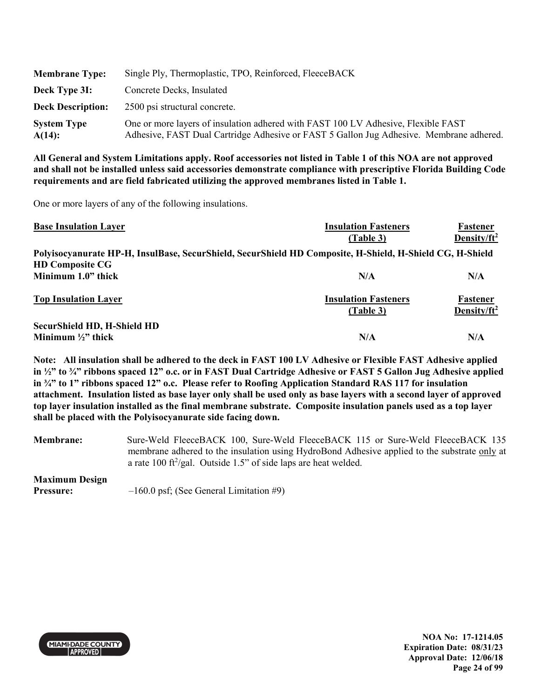| <b>Membrane Type:</b>           | Single Ply, Thermoplastic, TPO, Reinforced, FleeceBACK                                                                                                                       |
|---------------------------------|------------------------------------------------------------------------------------------------------------------------------------------------------------------------------|
| Deck Type 3I:                   | Concrete Decks, Insulated                                                                                                                                                    |
| <b>Deck Description:</b>        | 2500 psi structural concrete.                                                                                                                                                |
| <b>System Type</b><br>$A(14)$ : | One or more layers of insulation adhered with FAST 100 LV Adhesive, Flexible FAST<br>Adhesive, FAST Dual Cartridge Adhesive or FAST 5 Gallon Jug Adhesive. Membrane adhered. |

One or more layers of any of the following insulations.

| <b>Base Insulation Layer</b>                                                                             | <b>Insulation Fasteners</b> | Fastener                |
|----------------------------------------------------------------------------------------------------------|-----------------------------|-------------------------|
|                                                                                                          | (Table 3)                   | Density/ $ft^2$         |
| Polyisocyanurate HP-H, InsulBase, SecurShield, SecurShield HD Composite, H-Shield, H-Shield CG, H-Shield |                             |                         |
| <b>HD Composite CG</b>                                                                                   |                             |                         |
| Minimum 1.0" thick                                                                                       | N/A                         | N/A                     |
| <b>Top Insulation Layer</b>                                                                              | <b>Insulation Fasteners</b> | Fastener                |
|                                                                                                          | (Table 3)                   | Density/ft <sup>2</sup> |
| <b>SecurShield HD, H-Shield HD</b>                                                                       |                             |                         |
| Minimum $\frac{1}{2}$ thick                                                                              | N/A                         | N/A                     |

**Note: All insulation shall be adhered to the deck in FAST 100 LV Adhesive or Flexible FAST Adhesive applied in ½" to ¾" ribbons spaced 12" o.c. or in FAST Dual Cartridge Adhesive or FAST 5 Gallon Jug Adhesive applied in ¾" to 1" ribbons spaced 12" o.c. Please refer to Roofing Application Standard RAS 117 for insulation attachment. Insulation listed as base layer only shall be used only as base layers with a second layer of approved top layer insulation installed as the final membrane substrate. Composite insulation panels used as a top layer shall be placed with the Polyisocyanurate side facing down.** 

**Membrane:** Sure-Weld FleeceBACK 100, Sure-Weld FleeceBACK 115 or Sure-Weld FleeceBACK 135 membrane adhered to the insulation using HydroBond Adhesive applied to the substrate only at a rate  $100$  ft<sup>2</sup>/gal. Outside 1.5" of side laps are heat welded.

# **Maximum Design**

**Pressure:**  $-160.0 \text{ psf}$ ; (See General Limitation #9)



**NOA No: 17-1214.05 Expiration Date: 08/31/23 Approval Date: 12/06/18 Page 24 of 99**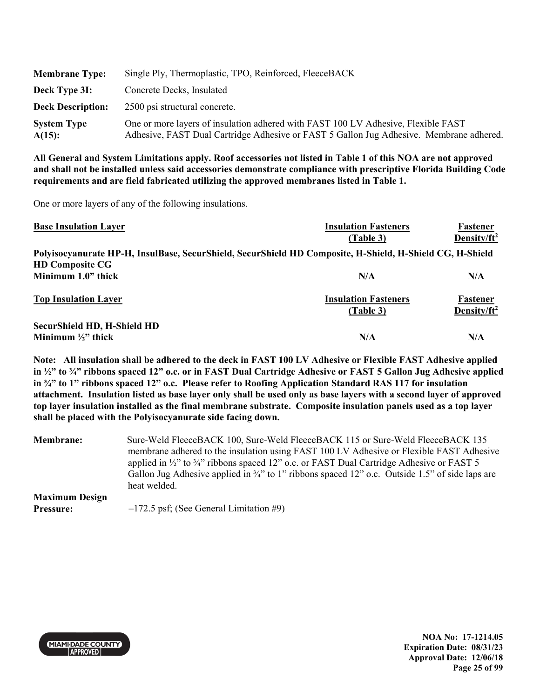| <b>Membrane Type:</b>           | Single Ply, Thermoplastic, TPO, Reinforced, FleeceBACK                                                                                                                       |
|---------------------------------|------------------------------------------------------------------------------------------------------------------------------------------------------------------------------|
| Deck Type 3I:                   | Concrete Decks, Insulated                                                                                                                                                    |
| <b>Deck Description:</b>        | 2500 psi structural concrete.                                                                                                                                                |
| <b>System Type</b><br>$A(15)$ : | One or more layers of insulation adhered with FAST 100 LV Adhesive, Flexible FAST<br>Adhesive, FAST Dual Cartridge Adhesive or FAST 5 Gallon Jug Adhesive. Membrane adhered. |

One or more layers of any of the following insulations.

| <b>Base Insulation Layer</b>                                                                             | <b>Insulation Fasteners</b> | Fastener                |
|----------------------------------------------------------------------------------------------------------|-----------------------------|-------------------------|
|                                                                                                          | (Table 3)                   | Density/ $ft^2$         |
| Polyisocyanurate HP-H, InsulBase, SecurShield, SecurShield HD Composite, H-Shield, H-Shield CG, H-Shield |                             |                         |
| <b>HD Composite CG</b>                                                                                   |                             |                         |
| Minimum 1.0" thick                                                                                       | N/A                         | N/A                     |
| <b>Top Insulation Layer</b>                                                                              | <b>Insulation Fasteners</b> | Fastener                |
|                                                                                                          | (Table 3)                   | Density/ft <sup>2</sup> |
| <b>SecurShield HD, H-Shield HD</b>                                                                       |                             |                         |
| Minimum $\frac{1}{2}$ thick                                                                              | N/A                         | N/A                     |

**Note: All insulation shall be adhered to the deck in FAST 100 LV Adhesive or Flexible FAST Adhesive applied in ½" to ¾" ribbons spaced 12" o.c. or in FAST Dual Cartridge Adhesive or FAST 5 Gallon Jug Adhesive applied in ¾" to 1" ribbons spaced 12" o.c. Please refer to Roofing Application Standard RAS 117 for insulation attachment. Insulation listed as base layer only shall be used only as base layers with a second layer of approved top layer insulation installed as the final membrane substrate. Composite insulation panels used as a top layer shall be placed with the Polyisocyanurate side facing down.** 

**Membrane:** Sure-Weld FleeceBACK 100, Sure-Weld FleeceBACK 115 or Sure-Weld FleeceBACK 135 membrane adhered to the insulation using FAST 100 LV Adhesive or Flexible FAST Adhesive applied in  $\frac{1}{2}$ " to  $\frac{3}{4}$ " ribbons spaced 12" o.c. or FAST Dual Cartridge Adhesive or FAST 5 Gallon Jug Adhesive applied in <sup>3</sup>/4" to 1" ribbons spaced 12" o.c. Outside 1.5" of side laps are heat welded. **Maximum Design Pressure:**  $-172.5$  psf; (See General Limitation #9)



**NOA No: 17-1214.05 Expiration Date: 08/31/23 Approval Date: 12/06/18 Page 25 of 99**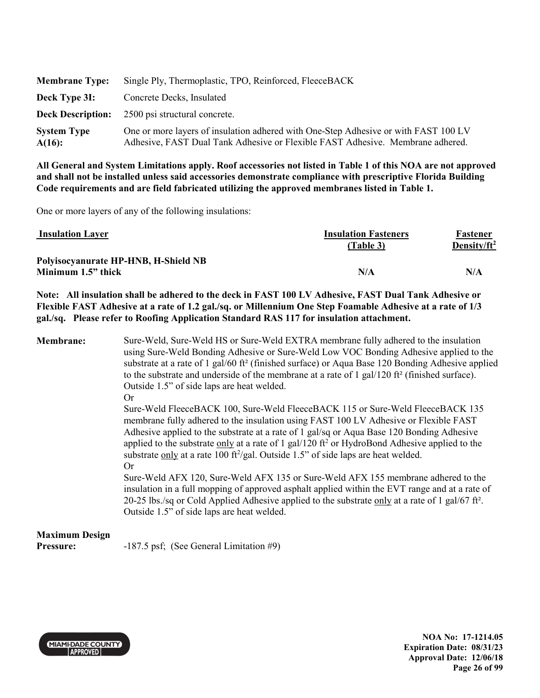| <b>Membrane Type:</b>           | Single Ply, Thermoplastic, TPO, Reinforced, FleeceBACK                                                                                                                |
|---------------------------------|-----------------------------------------------------------------------------------------------------------------------------------------------------------------------|
| Deck Type 3I:                   | Concrete Decks, Insulated                                                                                                                                             |
| <b>Deck Description:</b>        | 2500 psi structural concrete.                                                                                                                                         |
| <b>System Type</b><br>$A(16)$ : | One or more layers of insulation adhered with One-Step Adhesive or with FAST 100 LV<br>Adhesive, FAST Dual Tank Adhesive or Flexible FAST Adhesive. Membrane adhered. |

One or more layers of any of the following insulations:

| <b>Insulation Layer</b>              | <b>Insulation Fasteners</b> | Fastener        |
|--------------------------------------|-----------------------------|-----------------|
|                                      | (Table 3)                   | Density/ $ft^2$ |
| Polyisocyanurate HP-HNB, H-Shield NB |                             |                 |
| Minimum 1.5" thick                   | N/A                         | N/A             |

**Note: All insulation shall be adhered to the deck in FAST 100 LV Adhesive, FAST Dual Tank Adhesive or Flexible FAST Adhesive at a rate of 1.2 gal./sq. or Millennium One Step Foamable Adhesive at a rate of 1/3 gal./sq. Please refer to Roofing Application Standard RAS 117 for insulation attachment.** 

| Membrane:             | Sure-Weld, Sure-Weld HS or Sure-Weld EXTRA membrane fully adhered to the insulation<br>using Sure-Weld Bonding Adhesive or Sure-Weld Low VOC Bonding Adhesive applied to the<br>substrate at a rate of 1 gal/60 ft <sup>2</sup> (finished surface) or Aqua Base 120 Bonding Adhesive applied<br>to the substrate and underside of the membrane at a rate of 1 gal/120 ft <sup>2</sup> (finished surface).<br>Outside 1.5" of side laps are heat welded.<br>Or<br>Sure-Weld FleeceBACK 100, Sure-Weld FleeceBACK 115 or Sure-Weld FleeceBACK 135 |
|-----------------------|-------------------------------------------------------------------------------------------------------------------------------------------------------------------------------------------------------------------------------------------------------------------------------------------------------------------------------------------------------------------------------------------------------------------------------------------------------------------------------------------------------------------------------------------------|
|                       | membrane fully adhered to the insulation using FAST 100 LV Adhesive or Flexible FAST<br>Adhesive applied to the substrate at a rate of 1 gal/sq or Aqua Base 120 Bonding Adhesive<br>applied to the substrate only at a rate of 1 gal/120 $\text{ft}^2$ or HydroBond Adhesive applied to the<br>substrate only at a rate 100 ft <sup>2</sup> /gal. Outside 1.5" of side laps are heat welded.<br>Or                                                                                                                                             |
|                       | Sure-Weld AFX 120, Sure-Weld AFX 135 or Sure-Weld AFX 155 membrane adhered to the<br>insulation in a full mopping of approved asphalt applied within the EVT range and at a rate of<br>20-25 lbs./sq or Cold Applied Adhesive applied to the substrate only at a rate of 1 gal/67 ft <sup>2</sup> .<br>Outside 1.5" of side laps are heat welded.                                                                                                                                                                                               |
| <b>Maximum Design</b> |                                                                                                                                                                                                                                                                                                                                                                                                                                                                                                                                                 |

**Pressure:** -187.5 psf; (See General Limitation #9)



**NOA No: 17-1214.05 Expiration Date: 08/31/23 Approval Date: 12/06/18 Page 26 of 99**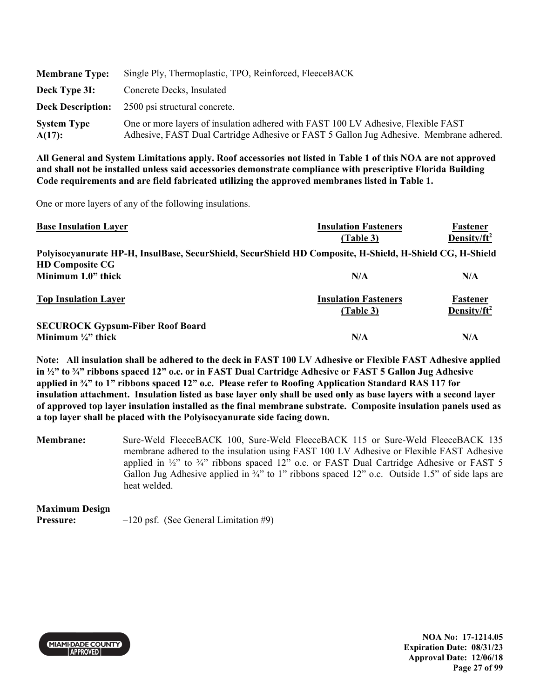| <b>Membrane Type:</b>           | Single Ply, Thermoplastic, TPO, Reinforced, FleeceBACK                                                                                                                       |
|---------------------------------|------------------------------------------------------------------------------------------------------------------------------------------------------------------------------|
| Deck Type 3I:                   | Concrete Decks, Insulated                                                                                                                                                    |
|                                 | <b>Deck Description:</b> 2500 psi structural concrete.                                                                                                                       |
| <b>System Type</b><br>$A(17)$ : | One or more layers of insulation adhered with FAST 100 LV Adhesive, Flexible FAST<br>Adhesive, FAST Dual Cartridge Adhesive or FAST 5 Gallon Jug Adhesive. Membrane adhered. |

One or more layers of any of the following insulations.

| <b>Base Insulation Layer</b>                                                                             | <b>Insulation Fasteners</b>              | Fastener                            |
|----------------------------------------------------------------------------------------------------------|------------------------------------------|-------------------------------------|
|                                                                                                          | (Table 3)                                | Density/ $ft^2$                     |
| Polyisocyanurate HP-H, InsulBase, SecurShield, SecurShield HD Composite, H-Shield, H-Shield CG, H-Shield |                                          |                                     |
| <b>HD Composite CG</b>                                                                                   |                                          |                                     |
| Minimum 1.0" thick                                                                                       | N/A                                      | N/A                                 |
| <b>Top Insulation Layer</b>                                                                              | <b>Insulation Fasteners</b><br>(Table 3) | Fastener<br>Density/ft <sup>2</sup> |
| <b>SECUROCK Gypsum-Fiber Roof Board</b>                                                                  |                                          |                                     |
| Minimum $\frac{1}{4}$ thick                                                                              | N/A                                      | N/A                                 |

**Note: All insulation shall be adhered to the deck in FAST 100 LV Adhesive or Flexible FAST Adhesive applied in ½" to ¾" ribbons spaced 12" o.c. or in FAST Dual Cartridge Adhesive or FAST 5 Gallon Jug Adhesive applied in ¾" to 1" ribbons spaced 12" o.c. Please refer to Roofing Application Standard RAS 117 for insulation attachment. Insulation listed as base layer only shall be used only as base layers with a second layer of approved top layer insulation installed as the final membrane substrate. Composite insulation panels used as a top layer shall be placed with the Polyisocyanurate side facing down.** 

**Membrane:** Sure-Weld FleeceBACK 100, Sure-Weld FleeceBACK 115 or Sure-Weld FleeceBACK 135 membrane adhered to the insulation using FAST 100 LV Adhesive or Flexible FAST Adhesive applied in  $\frac{1}{2}$ " to  $\frac{3}{4}$ " ribbons spaced 12" o.c. or FAST Dual Cartridge Adhesive or FAST 5 Gallon Jug Adhesive applied in  $\frac{3}{4}$ " to 1" ribbons spaced 12" o.c. Outside 1.5" of side laps are heat welded.

**Maximum Design Pressure:**  $-120 \text{ psf.}$  (See General Limitation #9)



**NOA No: 17-1214.05 Expiration Date: 08/31/23 Approval Date: 12/06/18 Page 27 of 99**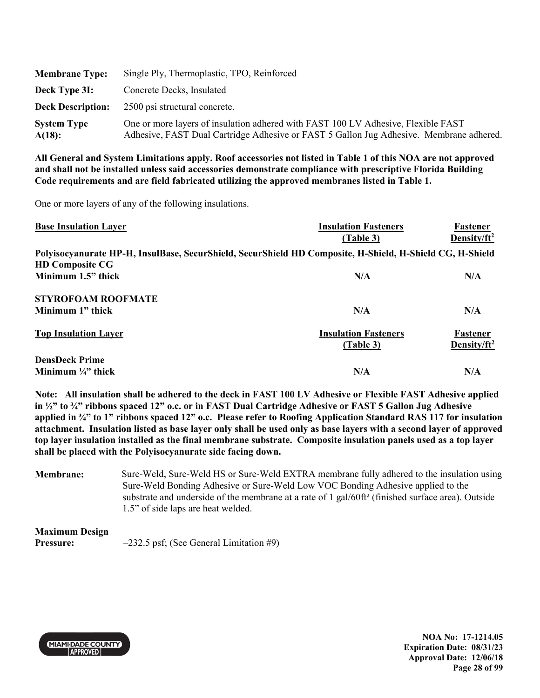| <b>Membrane Type:</b>        | Single Ply, Thermoplastic, TPO, Reinforced                                                                                                                                   |
|------------------------------|------------------------------------------------------------------------------------------------------------------------------------------------------------------------------|
| Deck Type 3I:                | Concrete Decks, Insulated                                                                                                                                                    |
| <b>Deck Description:</b>     | 2500 psi structural concrete.                                                                                                                                                |
| <b>System Type</b><br>A(18): | One or more layers of insulation adhered with FAST 100 LV Adhesive, Flexible FAST<br>Adhesive, FAST Dual Cartridge Adhesive or FAST 5 Gallon Jug Adhesive. Membrane adhered. |

One or more layers of any of the following insulations.

| <b>Base Insulation Layer</b>                                                                             | <b>Insulation Fasteners</b> | Fastener                |
|----------------------------------------------------------------------------------------------------------|-----------------------------|-------------------------|
|                                                                                                          | (Table 3)                   | Density/ $ft^2$         |
| Polyisocyanurate HP-H, InsulBase, SecurShield, SecurShield HD Composite, H-Shield, H-Shield CG, H-Shield |                             |                         |
| <b>HD Composite CG</b>                                                                                   |                             |                         |
| Minimum 1.5" thick                                                                                       | N/A                         | N/A                     |
| <b>STYROFOAM ROOFMATE</b>                                                                                |                             |                         |
| Minimum 1" thick                                                                                         | N/A                         | N/A                     |
| <b>Top Insulation Layer</b>                                                                              | <b>Insulation Fasteners</b> | Fastener                |
|                                                                                                          | (Table 3)                   | Density/ft <sup>2</sup> |
| <b>DensDeck Prime</b>                                                                                    |                             |                         |
| Minimum $\frac{1}{4}$ " thick                                                                            | N/A                         | N/A                     |

**Note: All insulation shall be adhered to the deck in FAST 100 LV Adhesive or Flexible FAST Adhesive applied in ½" to ¾" ribbons spaced 12" o.c. or in FAST Dual Cartridge Adhesive or FAST 5 Gallon Jug Adhesive applied in ¾" to 1" ribbons spaced 12" o.c. Please refer to Roofing Application Standard RAS 117 for insulation attachment. Insulation listed as base layer only shall be used only as base layers with a second layer of approved top layer insulation installed as the final membrane substrate. Composite insulation panels used as a top layer shall be placed with the Polyisocyanurate side facing down.** 

**Membrane:** Sure-Weld, Sure-Weld HS or Sure-Weld EXTRA membrane fully adhered to the insulation using Sure-Weld Bonding Adhesive or Sure-Weld Low VOC Bonding Adhesive applied to the substrate and underside of the membrane at a rate of 1 gal/60ft² (finished surface area). Outside 1.5" of side laps are heat welded.

# **Maximum Design**

**Pressure:**  $-232.5$  psf; (See General Limitation #9)



**NOA No: 17-1214.05 Expiration Date: 08/31/23 Approval Date: 12/06/18 Page 28 of 99**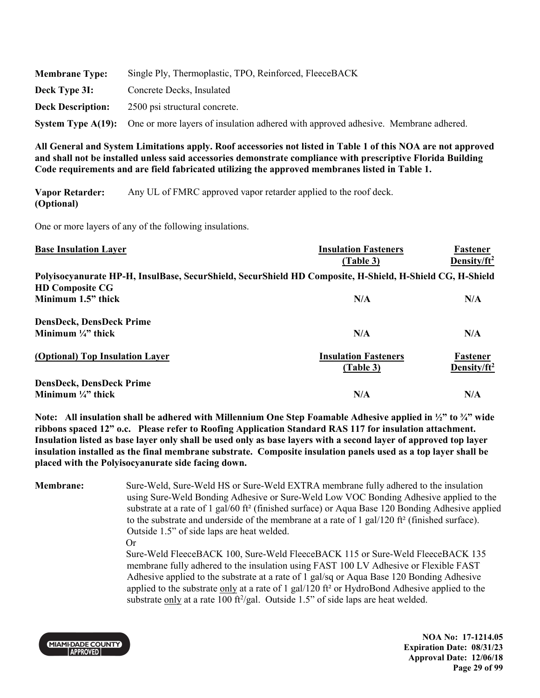| <b>Membrane Type:</b>    | Single Ply, Thermoplastic, TPO, Reinforced, FleeceBACK                                                |
|--------------------------|-------------------------------------------------------------------------------------------------------|
| Deck Type 3I:            | Concrete Decks, Insulated                                                                             |
| <b>Deck Description:</b> | 2500 psi structural concrete.                                                                         |
|                          | System Type A(19): One or more layers of insulation adhered with approved adhesive. Membrane adhered. |

**Vapor Retarder: (Optional)**  Any UL of FMRC approved vapor retarder applied to the roof deck.

One or more layers of any of the following insulations.

| <b>Base Insulation Layer</b>                                                                             | <b>Insulation Fasteners</b> | Fastener                |
|----------------------------------------------------------------------------------------------------------|-----------------------------|-------------------------|
|                                                                                                          | (Table 3)                   | Density/ $ft^2$         |
| Polyisocyanurate HP-H, InsulBase, SecurShield, SecurShield HD Composite, H-Shield, H-Shield CG, H-Shield |                             |                         |
| <b>HD Composite CG</b>                                                                                   |                             |                         |
| Minimum 1.5" thick                                                                                       | N/A                         | N/A                     |
| <b>DensDeck, DensDeck Prime</b>                                                                          |                             |                         |
| Minimum $\frac{1}{4}$ thick                                                                              | N/A                         | N/A                     |
| (Optional) Top Insulation Layer                                                                          | <b>Insulation Fasteners</b> | Fastener                |
|                                                                                                          | (Table 3)                   | Density/ft <sup>2</sup> |
| <b>DensDeck, DensDeck Prime</b>                                                                          |                             |                         |
| Minimum $\frac{1}{4}$ " thick                                                                            | N/A                         | N/A                     |

**Note: All insulation shall be adhered with Millennium One Step Foamable Adhesive applied in ½" to ¾" wide ribbons spaced 12" o.c. Please refer to Roofing Application Standard RAS 117 for insulation attachment. Insulation listed as base layer only shall be used only as base layers with a second layer of approved top layer insulation installed as the final membrane substrate. Composite insulation panels used as a top layer shall be placed with the Polyisocyanurate side facing down.** 

**Membrane:** Sure-Weld, Sure-Weld HS or Sure-Weld EXTRA membrane fully adhered to the insulation using Sure-Weld Bonding Adhesive or Sure-Weld Low VOC Bonding Adhesive applied to the substrate at a rate of 1 gal/60 ft² (finished surface) or Aqua Base 120 Bonding Adhesive applied to the substrate and underside of the membrane at a rate of 1 gal/120 ft<sup>2</sup> (finished surface). Outside 1.5" of side laps are heat welded.

Or

Sure-Weld FleeceBACK 100, Sure-Weld FleeceBACK 115 or Sure-Weld FleeceBACK 135 membrane fully adhered to the insulation using FAST 100 LV Adhesive or Flexible FAST Adhesive applied to the substrate at a rate of 1 gal/sq or Aqua Base 120 Bonding Adhesive applied to the substrate only at a rate of 1 gal/120 ft<sup>2</sup> or HydroBond Adhesive applied to the substrate only at a rate 100 ft<sup>2</sup>/gal. Outside 1.5" of side laps are heat welded.



**NOA No: 17-1214.05 Expiration Date: 08/31/23 Approval Date: 12/06/18 Page 29 of 99**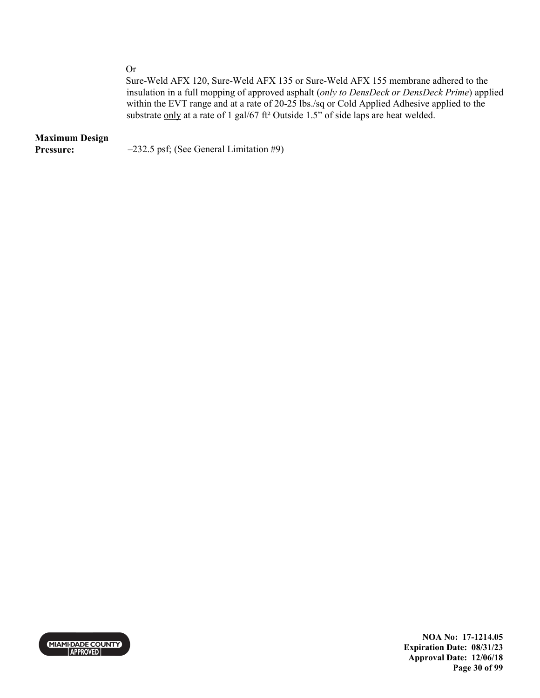Or

Sure-Weld AFX 120, Sure-Weld AFX 135 or Sure-Weld AFX 155 membrane adhered to the insulation in a full mopping of approved asphalt (*only to DensDeck or DensDeck Prime*) applied within the EVT range and at a rate of 20-25 lbs./sq or Cold Applied Adhesive applied to the substrate only at a rate of 1 gal/67 ft<sup>2</sup> Outside 1.5" of side laps are heat welded.

# **Maximum Design**

**Pressure:**  $-232.5 \text{ psf}$ ; (See General Limitation #9)



**NOA No: 17-1214.05 Expiration Date: 08/31/23 Approval Date: 12/06/18 Page 30 of 99**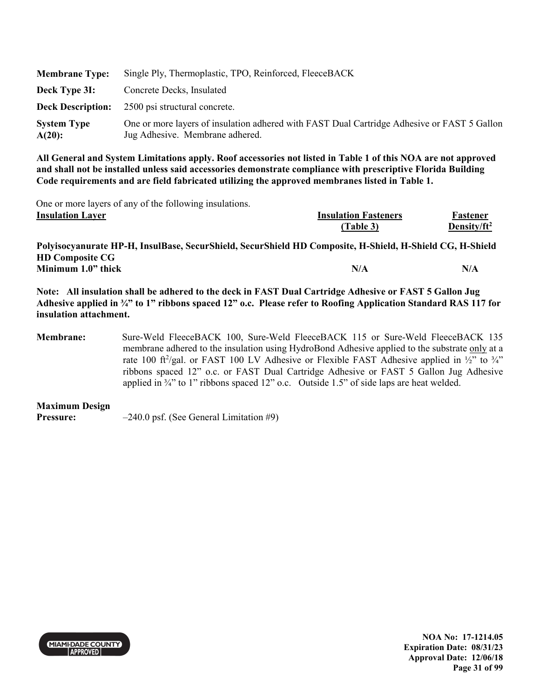| <b>Membrane Type:</b>           | Single Ply, Thermoplastic, TPO, Reinforced, FleeceBACK                                                                         |
|---------------------------------|--------------------------------------------------------------------------------------------------------------------------------|
| Deck Type 3I:                   | Concrete Decks, Insulated                                                                                                      |
|                                 | <b>Deck Description:</b> 2500 psi structural concrete.                                                                         |
| <b>System Type</b><br>$A(20)$ : | One or more layers of insulation adhered with FAST Dual Cartridge Adhesive or FAST 5 Gallon<br>Jug Adhesive. Membrane adhered. |

One or more layers of any of the following insulations. **Insulation Layer** 

|  | <b>Insulation Fasteners</b> | Fastener        |
|--|-----------------------------|-----------------|
|  | (Table 3)                   | Density/ $ft^2$ |

**Polyisocyanurate HP-H, InsulBase, SecurShield, SecurShield HD Composite, H-Shield, H-Shield CG, H-Shield HD Composite CG Minimum 1.0" thick N/A**  $N/A$  N/A

**Note: All insulation shall be adhered to the deck in FAST Dual Cartridge Adhesive or FAST 5 Gallon Jug Adhesive applied in ¾" to 1" ribbons spaced 12" o.c. Please refer to Roofing Application Standard RAS 117 for insulation attachment.** 

**Membrane:** Sure-Weld FleeceBACK 100, Sure-Weld FleeceBACK 115 or Sure-Weld FleeceBACK 135 membrane adhered to the insulation using HydroBond Adhesive applied to the substrate only at a rate 100 ft<sup>2</sup>/gal. or FAST 100 LV Adhesive or Flexible FAST Adhesive applied in  $\frac{1}{2}$  to  $\frac{3}{4}$ ribbons spaced 12" o.c. or FAST Dual Cartridge Adhesive or FAST 5 Gallon Jug Adhesive applied in ¾" to 1" ribbons spaced 12" o.c. Outside 1.5" of side laps are heat welded.

**Maximum Design** 

**Pressure:**  $-240.0 \text{ psf.}$  (See General Limitation #9)



**NOA No: 17-1214.05 Expiration Date: 08/31/23 Approval Date: 12/06/18 Page 31 of 99**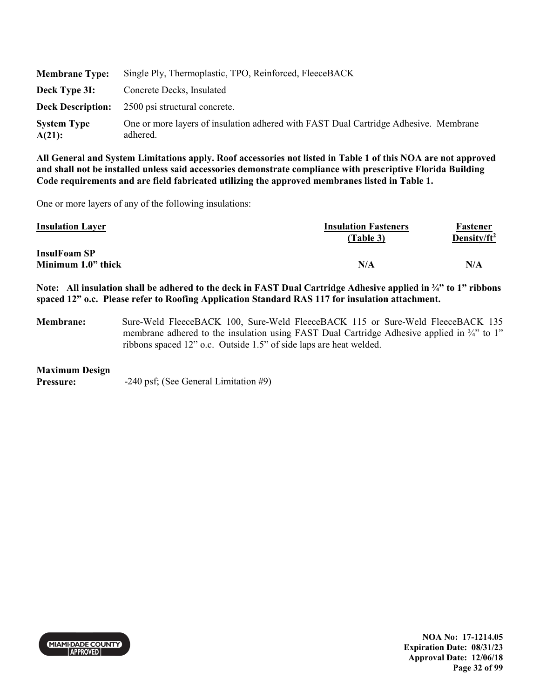| <b>Membrane Type:</b>        | Single Ply, Thermoplastic, TPO, Reinforced, FleeceBACK                                           |
|------------------------------|--------------------------------------------------------------------------------------------------|
| Deck Type 3I:                | Concrete Decks, Insulated                                                                        |
| <b>Deck Description:</b>     | 2500 psi structural concrete.                                                                    |
| <b>System Type</b><br>A(21): | One or more layers of insulation adhered with FAST Dual Cartridge Adhesive. Membrane<br>adhered. |

One or more layers of any of the following insulations:

| <b>Insulation Fasteners</b> | Fastener        |
|-----------------------------|-----------------|
| (Table 3)                   | Density/ $ft^2$ |
|                             |                 |
| N/A                         | N/A             |
|                             |                 |

**Note: All insulation shall be adhered to the deck in FAST Dual Cartridge Adhesive applied in ¾" to 1" ribbons spaced 12" o.c. Please refer to Roofing Application Standard RAS 117 for insulation attachment.** 

**Membrane:** Sure-Weld FleeceBACK 100, Sure-Weld FleeceBACK 115 or Sure-Weld FleeceBACK 135 membrane adhered to the insulation using FAST Dual Cartridge Adhesive applied in  $\frac{3}{4}$  to 1" ribbons spaced 12" o.c. Outside 1.5" of side laps are heat welded.

### **Maximum Design**

**Pressure:**  $-240 \text{ psf}$ ; (See General Limitation #9)



**NOA No: 17-1214.05 Expiration Date: 08/31/23 Approval Date: 12/06/18 Page 32 of 99**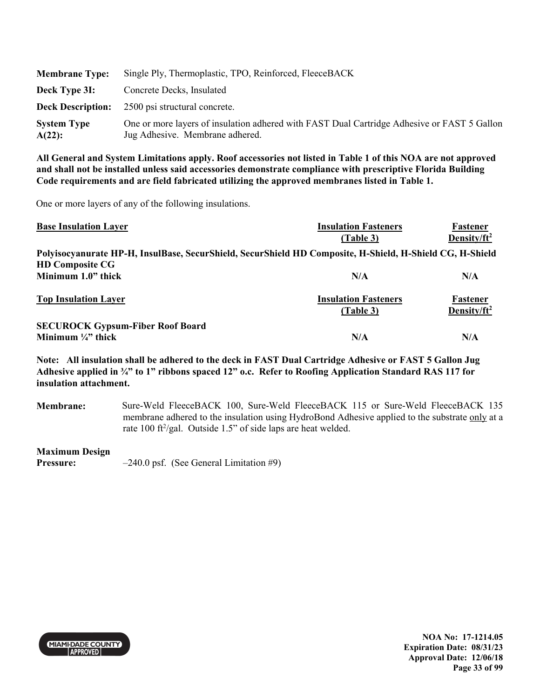| <b>Membrane Type:</b>           | Single Ply, Thermoplastic, TPO, Reinforced, FleeceBACK                                                                         |
|---------------------------------|--------------------------------------------------------------------------------------------------------------------------------|
| Deck Type 3I:                   | Concrete Decks, Insulated                                                                                                      |
|                                 | <b>Deck Description:</b> 2500 psi structural concrete.                                                                         |
| <b>System Type</b><br>$A(22)$ : | One or more layers of insulation adhered with FAST Dual Cartridge Adhesive or FAST 5 Gallon<br>Jug Adhesive. Membrane adhered. |

One or more layers of any of the following insulations.

| <b>Base Insulation Layer</b>                                                                             | <b>Insulation Fasteners</b>              | Fastener                            |
|----------------------------------------------------------------------------------------------------------|------------------------------------------|-------------------------------------|
|                                                                                                          | (Table 3)                                | Density/ $ft^2$                     |
| Polyisocyanurate HP-H, InsulBase, SecurShield, SecurShield HD Composite, H-Shield, H-Shield CG, H-Shield |                                          |                                     |
| <b>HD Composite CG</b>                                                                                   |                                          |                                     |
| Minimum 1.0" thick                                                                                       | N/A                                      | N/A                                 |
| <b>Top Insulation Layer</b>                                                                              | <b>Insulation Fasteners</b><br>(Table 3) | Fastener<br>Density/ft <sup>2</sup> |
| <b>SECUROCK Gypsum-Fiber Roof Board</b>                                                                  |                                          |                                     |
| Minimum $\frac{1}{4}$ thick                                                                              | N/A                                      | N/A                                 |

**Note: All insulation shall be adhered to the deck in FAST Dual Cartridge Adhesive or FAST 5 Gallon Jug Adhesive applied in ¾" to 1" ribbons spaced 12" o.c. Refer to Roofing Application Standard RAS 117 for insulation attachment.** 

**Membrane:** Sure-Weld FleeceBACK 100, Sure-Weld FleeceBACK 115 or Sure-Weld FleeceBACK 135 membrane adhered to the insulation using HydroBond Adhesive applied to the substrate only at a rate 100 ft<sup>2</sup>/gal. Outside 1.5" of side laps are heat welded.

### **Maximum Design**

**Pressure:**  $-240.0 \text{ psf.}$  (See General Limitation #9)



**NOA No: 17-1214.05 Expiration Date: 08/31/23 Approval Date: 12/06/18 Page 33 of 99**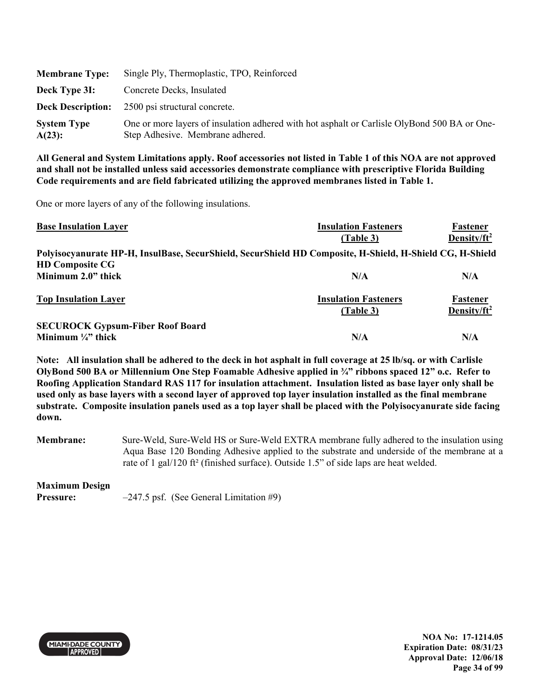| <b>Membrane Type:</b>        | Single Ply, Thermoplastic, TPO, Reinforced                                                                                       |
|------------------------------|----------------------------------------------------------------------------------------------------------------------------------|
| Deck Type 3I:                | Concrete Decks, Insulated                                                                                                        |
| <b>Deck Description:</b>     | 2500 psi structural concrete.                                                                                                    |
| <b>System Type</b><br>A(23): | One or more layers of insulation adhered with hot asphalt or Carlisle OlyBond 500 BA or One-<br>Step Adhesive. Membrane adhered. |

One or more layers of any of the following insulations.

| <b>Base Insulation Layer</b>                                                                             | <b>Insulation Fasteners</b> | Fastener                |
|----------------------------------------------------------------------------------------------------------|-----------------------------|-------------------------|
|                                                                                                          | (Table 3)                   | Density/ $ft^2$         |
| Polyisocyanurate HP-H, InsulBase, SecurShield, SecurShield HD Composite, H-Shield, H-Shield CG, H-Shield |                             |                         |
| <b>HD Composite CG</b>                                                                                   |                             |                         |
| Minimum 2.0" thick                                                                                       | N/A                         | N/A                     |
| <b>Top Insulation Layer</b>                                                                              | <b>Insulation Fasteners</b> | Fastener                |
|                                                                                                          | (Table 3)                   | Density/ft <sup>2</sup> |
| <b>SECUROCK Gypsum-Fiber Roof Board</b>                                                                  |                             |                         |
| Minimum $\frac{1}{4}$ thick                                                                              | N/A                         | N/A                     |

**Note: All insulation shall be adhered to the deck in hot asphalt in full coverage at 25 lb/sq. or with Carlisle OlyBond 500 BA or Millennium One Step Foamable Adhesive applied in ¾" ribbons spaced 12" o.c. Refer to Roofing Application Standard RAS 117 for insulation attachment. Insulation listed as base layer only shall be used only as base layers with a second layer of approved top layer insulation installed as the final membrane substrate. Composite insulation panels used as a top layer shall be placed with the Polyisocyanurate side facing down.** 

**Membrane:** Sure-Weld, Sure-Weld HS or Sure-Weld EXTRA membrane fully adhered to the insulation using Aqua Base 120 Bonding Adhesive applied to the substrate and underside of the membrane at a rate of 1 gal/120 ft² (finished surface). Outside 1.5" of side laps are heat welded.

### **Maximum Design**

**Pressure:**  $-247.5$  psf. (See General Limitation #9)



**NOA No: 17-1214.05 Expiration Date: 08/31/23 Approval Date: 12/06/18 Page 34 of 99**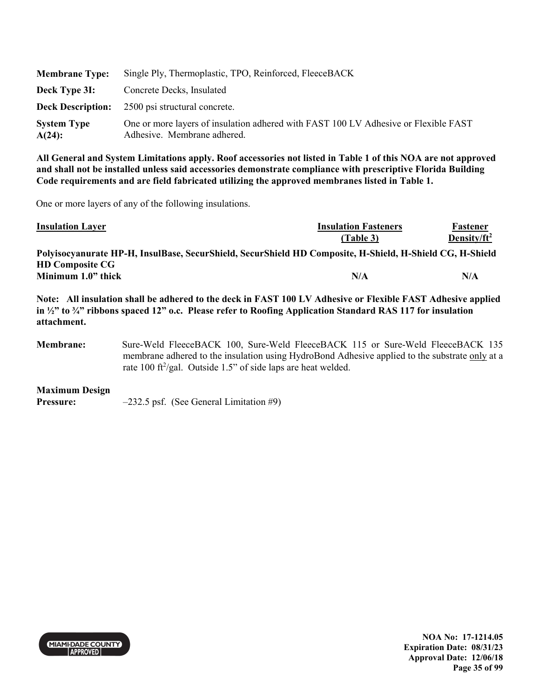| <b>Membrane Type:</b>           | Single Ply, Thermoplastic, TPO, Reinforced, FleeceBACK                                                             |  |
|---------------------------------|--------------------------------------------------------------------------------------------------------------------|--|
| Deck Type 3I:                   | Concrete Decks, Insulated                                                                                          |  |
| <b>Deck Description:</b>        | 2500 psi structural concrete.                                                                                      |  |
| <b>System Type</b><br>$A(24)$ : | One or more layers of insulation adhered with FAST 100 LV Adhesive or Flexible FAST<br>Adhesive. Membrane adhered. |  |

One or more layers of any of the following insulations.

| <b>Insulation Layer</b>                                                                                  | <b>Insulation Fasteners</b> | Fastener        |
|----------------------------------------------------------------------------------------------------------|-----------------------------|-----------------|
|                                                                                                          | (Table 3)                   | Density/ $ft^2$ |
| Polyisocyanurate HP-H, InsulBase, SecurShield, SecurShield HD Composite, H-Shield, H-Shield CG, H-Shield |                             |                 |
| <b>HD Composite CG</b>                                                                                   |                             |                 |
| Minimum 1.0" thick                                                                                       | N/A                         | N/A             |

**Note: All insulation shall be adhered to the deck in FAST 100 LV Adhesive or Flexible FAST Adhesive applied in ½" to ¾" ribbons spaced 12" o.c. Please refer to Roofing Application Standard RAS 117 for insulation attachment.** 

**Membrane:** Sure-Weld FleeceBACK 100, Sure-Weld FleeceBACK 115 or Sure-Weld FleeceBACK 135 membrane adhered to the insulation using HydroBond Adhesive applied to the substrate only at a rate 100 ft<sup>2</sup>/gal. Outside 1.5" of side laps are heat welded.

**Maximum Design** 

**Pressure:**  $-232.5$  psf. (See General Limitation #9)



**NOA No: 17-1214.05 Expiration Date: 08/31/23 Approval Date: 12/06/18 Page 35 of 99**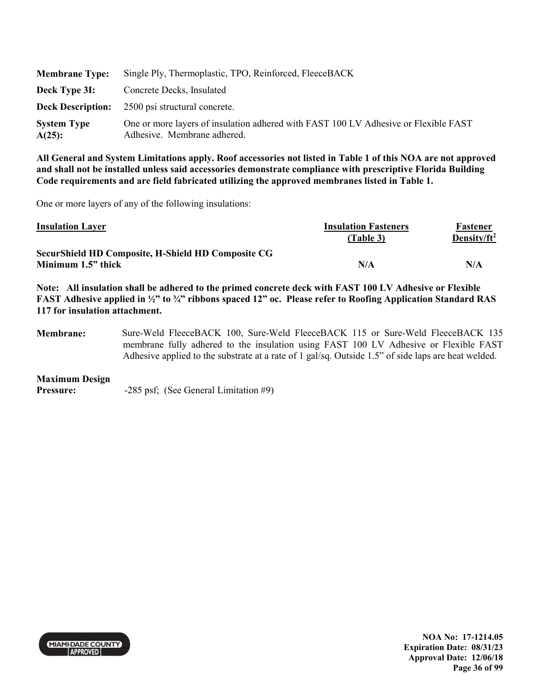| <b>Membrane Type:</b>           | Single Ply, Thermoplastic, TPO, Reinforced, FleeceBACK                                                             |  |
|---------------------------------|--------------------------------------------------------------------------------------------------------------------|--|
| Deck Type 3I:                   | Concrete Decks, Insulated                                                                                          |  |
| <b>Deck Description:</b>        | 2500 psi structural concrete.                                                                                      |  |
| <b>System Type</b><br>$A(25)$ : | One or more layers of insulation adhered with FAST 100 LV Adhesive or Flexible FAST<br>Adhesive. Membrane adhered. |  |

One or more layers of any of the following insulations:

| <b>Insulation Layer</b>                            | <b>Insulation Fasteners</b> | Fastener        |
|----------------------------------------------------|-----------------------------|-----------------|
|                                                    | (Table 3)                   | Density/ $ft^2$ |
| SecurShield HD Composite, H-Shield HD Composite CG |                             |                 |
| Minimum 1.5" thick                                 | N/A                         | N/A             |

**Note: All insulation shall be adhered to the primed concrete deck with FAST 100 LV Adhesive or Flexible FAST Adhesive applied in ½" to ¾" ribbons spaced 12" oc. Please refer to Roofing Application Standard RAS 117 for insulation attachment.** 

**Membrane:** Sure-Weld FleeceBACK 100, Sure-Weld FleeceBACK 115 or Sure-Weld FleeceBACK 135 membrane fully adhered to the insulation using FAST 100 LV Adhesive or Flexible FAST Adhesive applied to the substrate at a rate of 1 gal/sq. Outside 1.5" of side laps are heat welded.

#### **Maximum Design**

**Pressure:**  $-285 \text{ psf}$ ; (See General Limitation #9)



**NOA No: 17-1214.05 Expiration Date: 08/31/23 Approval Date: 12/06/18 Page 36 of 99**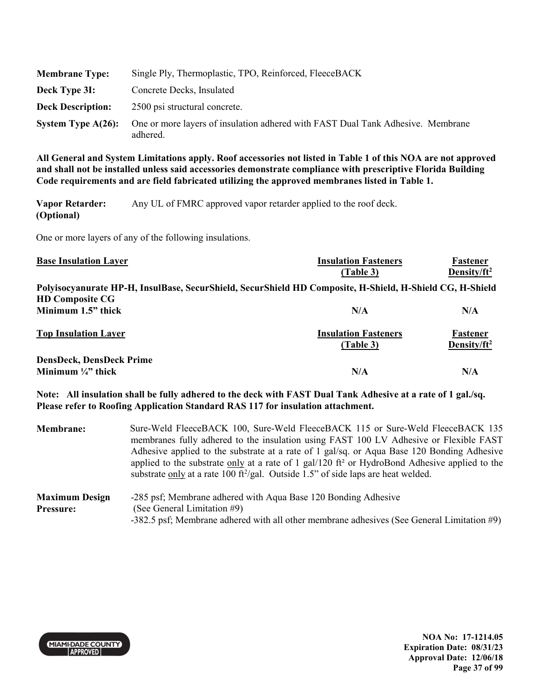| <b>Membrane Type:</b>    | Single Ply, Thermoplastic, TPO, Reinforced, FleeceBACK                                      |
|--------------------------|---------------------------------------------------------------------------------------------|
| Deck Type 31:            | Concrete Decks, Insulated                                                                   |
| <b>Deck Description:</b> | 2500 psi structural concrete.                                                               |
| System Type $A(26)$ :    | One or more layers of insulation adhered with FAST Dual Tank Adhesive. Membrane<br>adhered. |

**Vapor Retarder: (Optional)**  Any UL of FMRC approved vapor retarder applied to the roof deck.

One or more layers of any of the following insulations.

| <b>Base Insulation Layer</b>                                     | <b>Insulation Fasteners</b><br>(Table 3)                                                                 | Fastener<br>Density/ft <sup>2</sup> |
|------------------------------------------------------------------|----------------------------------------------------------------------------------------------------------|-------------------------------------|
| <b>HD Composite CG</b>                                           | Polyisocyanurate HP-H, InsulBase, SecurShield, SecurShield HD Composite, H-Shield, H-Shield CG, H-Shield |                                     |
| Minimum 1.5" thick                                               | N/A                                                                                                      | N/A                                 |
| <b>Top Insulation Layer</b>                                      | <b>Insulation Fasteners</b><br>(Table 3)                                                                 | Fastener<br>Density/ $ft^2$         |
| <b>DensDeck, DensDeck Prime</b><br>Minimum $\frac{1}{4}$ " thick | N/A                                                                                                      | N/A                                 |

**Note: All insulation shall be fully adhered to the deck with FAST Dual Tank Adhesive at a rate of 1 gal./sq. Please refer to Roofing Application Standard RAS 117 for insulation attachment.** 

| <b>Membrane:</b>                          | Sure-Weld FleeceBACK 100, Sure-Weld FleeceBACK 115 or Sure-Weld FleeceBACK 135<br>membranes fully adhered to the insulation using FAST 100 LV Adhesive or Flexible FAST<br>Adhesive applied to the substrate at a rate of 1 gal/sq. or Aqua Base 120 Bonding Adhesive<br>applied to the substrate only at a rate of 1 gal/120 ft <sup>2</sup> or HydroBond Adhesive applied to the<br>substrate only at a rate 100 ft <sup>2</sup> /gal. Outside 1.5" of side laps are heat welded. |
|-------------------------------------------|-------------------------------------------------------------------------------------------------------------------------------------------------------------------------------------------------------------------------------------------------------------------------------------------------------------------------------------------------------------------------------------------------------------------------------------------------------------------------------------|
| <b>Maximum Design</b><br><b>Pressure:</b> | -285 psf; Membrane adhered with Aqua Base 120 Bonding Adhesive<br>(See General Limitation #9)<br>-382.5 psf; Membrane adhered with all other membrane adhesives (See General Limitation #9)                                                                                                                                                                                                                                                                                         |



**NOA No: 17-1214.05 Expiration Date: 08/31/23 Approval Date: 12/06/18 Page 37 of 99**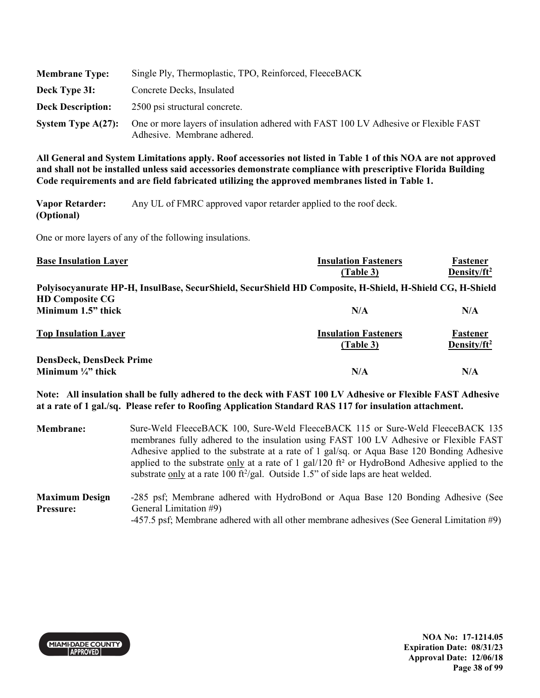| <b>Membrane Type:</b>    | Single Ply, Thermoplastic, TPO, Reinforced, FleeceBACK                                                             |
|--------------------------|--------------------------------------------------------------------------------------------------------------------|
| Deck Type 3I:            | Concrete Decks, Insulated                                                                                          |
| <b>Deck Description:</b> | 2500 psi structural concrete.                                                                                      |
| System Type $A(27)$ :    | One or more layers of insulation adhered with FAST 100 LV Adhesive or Flexible FAST<br>Adhesive. Membrane adhered. |

**Vapor Retarder: (Optional)**  Any UL of FMRC approved vapor retarder applied to the roof deck.

One or more layers of any of the following insulations.

| <b>Base Insulation Layer</b>                                                                                                       | <b>Insulation Fasteners</b><br>(Table 3) | Fastener<br>Density/ft <sup>2</sup> |
|------------------------------------------------------------------------------------------------------------------------------------|------------------------------------------|-------------------------------------|
| Polyisocyanurate HP-H, InsulBase, SecurShield, SecurShield HD Composite, H-Shield, H-Shield CG, H-Shield<br><b>HD Composite CG</b> |                                          |                                     |
| Minimum 1.5" thick                                                                                                                 | N/A                                      | N/A                                 |
| <b>Top Insulation Layer</b>                                                                                                        | <b>Insulation Fasteners</b><br>(Table 3) | Fastener<br>Density/ $ft^2$         |
| <b>DensDeck, DensDeck Prime</b><br>Minimum $\frac{1}{4}$ " thick                                                                   | N/A                                      | N/A                                 |

**Note: All insulation shall be fully adhered to the deck with FAST 100 LV Adhesive or Flexible FAST Adhesive at a rate of 1 gal./sq. Please refer to Roofing Application Standard RAS 117 for insulation attachment.** 

**Membrane:** Sure-Weld FleeceBACK 100, Sure-Weld FleeceBACK 115 or Sure-Weld FleeceBACK 135 membranes fully adhered to the insulation using FAST 100 LV Adhesive or Flexible FAST Adhesive applied to the substrate at a rate of 1 gal/sq. or Aqua Base 120 Bonding Adhesive applied to the substrate only at a rate of 1 gal/120 ft<sup>2</sup> or HydroBond Adhesive applied to the substrate only at a rate 100 ft<sup>2</sup>/gal. Outside 1.5" of side laps are heat welded. **Maximum Design Pressure:**  -285 psf; Membrane adhered with HydroBond or Aqua Base 120 Bonding Adhesive (See General Limitation #9)

-457.5 psf; Membrane adhered with all other membrane adhesives (See General Limitation #9)



**NOA No: 17-1214.05 Expiration Date: 08/31/23 Approval Date: 12/06/18 Page 38 of 99**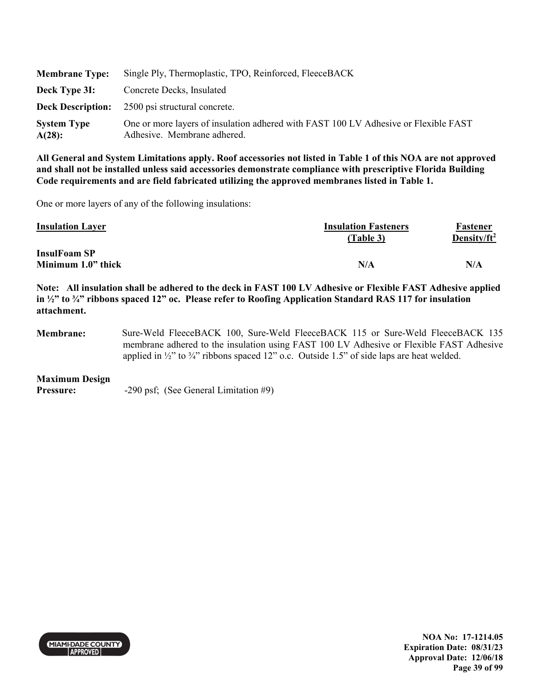| <b>Membrane Type:</b>        | Single Ply, Thermoplastic, TPO, Reinforced, FleeceBACK                                                             |
|------------------------------|--------------------------------------------------------------------------------------------------------------------|
| Deck Type 3I:                | Concrete Decks, Insulated                                                                                          |
| <b>Deck Description:</b>     | 2500 psi structural concrete.                                                                                      |
| <b>System Type</b><br>A(28): | One or more layers of insulation adhered with FAST 100 LV Adhesive or Flexible FAST<br>Adhesive. Membrane adhered. |

One or more layers of any of the following insulations:

| <b>Insulation Layer</b> | <b>Insulation Fasteners</b> | Fastener        |
|-------------------------|-----------------------------|-----------------|
|                         | (Table 3)                   | Density/ $ft^2$ |
| <b>InsulFoam SP</b>     |                             |                 |
| Minimum 1.0" thick      | N/A                         | N/A             |

**Note: All insulation shall be adhered to the deck in FAST 100 LV Adhesive or Flexible FAST Adhesive applied in ½" to ¾" ribbons spaced 12" oc. Please refer to Roofing Application Standard RAS 117 for insulation attachment.** 

**Membrane:** Sure-Weld FleeceBACK 100, Sure-Weld FleeceBACK 115 or Sure-Weld FleeceBACK 135 membrane adhered to the insulation using FAST 100 LV Adhesive or Flexible FAST Adhesive applied in  $\frac{1}{2}$ " to  $\frac{3}{4}$ " ribbons spaced 12" o.c. Outside 1.5" of side laps are heat welded.

#### **Maximum Design**

**Pressure:**  $-290 \text{ psf}$ ; (See General Limitation #9)



**NOA No: 17-1214.05 Expiration Date: 08/31/23 Approval Date: 12/06/18 Page 39 of 99**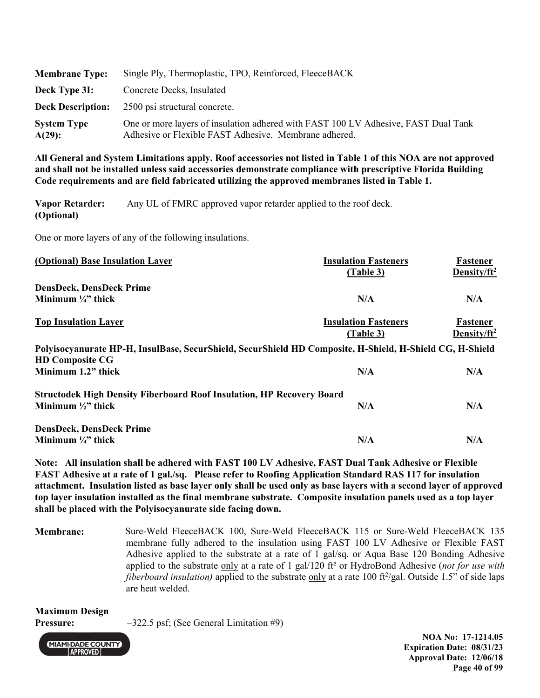| <b>Membrane Type:</b>           | Single Ply, Thermoplastic, TPO, Reinforced, FleeceBACK                                                                                      |
|---------------------------------|---------------------------------------------------------------------------------------------------------------------------------------------|
| Deck Type 3I:                   | Concrete Decks, Insulated                                                                                                                   |
| <b>Deck Description:</b>        | 2500 psi structural concrete.                                                                                                               |
| <b>System Type</b><br>$A(29)$ : | One or more layers of insulation adhered with FAST 100 LV Adhesive, FAST Dual Tank<br>Adhesive or Flexible FAST Adhesive. Membrane adhered. |

**Vapor Retarder: (Optional)**  Any UL of FMRC approved vapor retarder applied to the roof deck.

One or more layers of any of the following insulations.

| (Optional) Base Insulation Layer | <b>Insulation Fasteners</b><br>(Table 3) | Fastener<br>Density/ft <sup>2</sup> |
|----------------------------------|------------------------------------------|-------------------------------------|
| <b>DensDeck, DensDeck Prime</b>  |                                          |                                     |
| Minimum $\frac{1}{4}$ " thick    | N/A                                      | N/A                                 |
|                                  |                                          |                                     |

| <b>Top Insulation Layer</b> | <b>Insulation Fasteners</b> | <b>Fastener</b> |
|-----------------------------|-----------------------------|-----------------|
|                             | Table 3)                    | Density/ $ft^2$ |
|                             |                             |                 |

| Polyisocyanurate HP-H, InsulBase, SecurShield, SecurShield HD Composite, H-Shield, H-Shield CG, H-Shield |     |     |
|----------------------------------------------------------------------------------------------------------|-----|-----|
| <b>HD Composite CG</b>                                                                                   |     |     |
| Minimum 1.2" thick                                                                                       | N/A | N/A |
|                                                                                                          |     |     |

| <b>Structodek High Density Fiberboard Roof Insulation, HP Recovery Board</b> |     |     |
|------------------------------------------------------------------------------|-----|-----|
| Minimum $\frac{1}{2}$ " thick                                                | N/A | N/A |
| $\mathbf{r}$<br>.                                                            |     |     |

**DensDeck, DensDeck Prime Minimum**  $\frac{1}{4}$  thick  $N/A$   $N/A$ 

**Note: All insulation shall be adhered with FAST 100 LV Adhesive, FAST Dual Tank Adhesive or Flexible FAST Adhesive at a rate of 1 gal./sq. Please refer to Roofing Application Standard RAS 117 for insulation attachment. Insulation listed as base layer only shall be used only as base layers with a second layer of approved top layer insulation installed as the final membrane substrate. Composite insulation panels used as a top layer shall be placed with the Polyisocyanurate side facing down.** 

**Membrane:** Sure-Weld FleeceBACK 100, Sure-Weld FleeceBACK 115 or Sure-Weld FleeceBACK 135 membrane fully adhered to the insulation using FAST 100 LV Adhesive or Flexible FAST Adhesive applied to the substrate at a rate of 1 gal/sq. or Aqua Base 120 Bonding Adhesive applied to the substrate only at a rate of 1 gal/120 ft² or HydroBond Adhesive (*not for use with*  fiberboard insulation) applied to the substrate only at a rate 100 ft<sup>2</sup>/gal. Outside 1.5" of side laps are heat welded.

**Maximum Design** 

**Pressure:**  $-322.5$  psf; (See General Limitation #9)



**NOA No: 17-1214.05 Expiration Date: 08/31/23 Approval Date: 12/06/18 Page 40 of 99**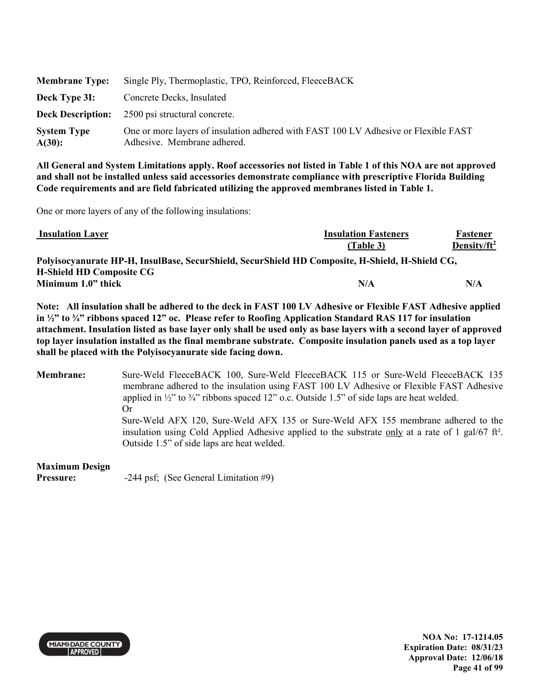| <b>Membrane Type:</b>        | Single Ply, Thermoplastic, TPO, Reinforced, FleeceBACK                                                             |
|------------------------------|--------------------------------------------------------------------------------------------------------------------|
| Deck Type 3I:                | Concrete Decks, Insulated                                                                                          |
| <b>Deck Description:</b>     | 2500 psi structural concrete.                                                                                      |
| <b>System Type</b><br>A(30): | One or more layers of insulation adhered with FAST 100 LV Adhesive or Flexible FAST<br>Adhesive. Membrane adhered. |

One or more layers of any of the following insulations:

| <b>Insulation Layer</b>         | <b>Insulation Fasteners</b>                                                                     | Fastener        |
|---------------------------------|-------------------------------------------------------------------------------------------------|-----------------|
|                                 | (Table 3)                                                                                       | Density/ $ft^2$ |
|                                 | Polyisocyanurate HP-H, InsulBase, SecurShield, SecurShield HD Composite, H-Shield, H-Shield CG, |                 |
| <b>H-Shield HD Composite CG</b> |                                                                                                 |                 |
| Minimum 1.0" thick              | N/A                                                                                             | N/A             |

**Note: All insulation shall be adhered to the deck in FAST 100 LV Adhesive or Flexible FAST Adhesive applied in ½" to ¾" ribbons spaced 12" oc. Please refer to Roofing Application Standard RAS 117 for insulation attachment. Insulation listed as base layer only shall be used only as base layers with a second layer of approved top layer insulation installed as the final membrane substrate. Composite insulation panels used as a top layer shall be placed with the Polyisocyanurate side facing down.** 

**Membrane:** Sure-Weld FleeceBACK 100, Sure-Weld FleeceBACK 115 or Sure-Weld FleeceBACK 135 membrane adhered to the insulation using FAST 100 LV Adhesive or Flexible FAST Adhesive applied in  $\frac{1}{2}$ " to  $\frac{3}{4}$ " ribbons spaced 12" o.c. Outside 1.5" of side laps are heat welded. Or Sure-Weld AFX 120, Sure-Weld AFX 135 or Sure-Weld AFX 155 membrane adhered to the insulation using Cold Applied Adhesive applied to the substrate only at a rate of 1 gal/67 ft². Outside 1.5" of side laps are heat welded.

#### **Maximum Design**

**Pressure:**  $-244 \text{ psf}$ ; (See General Limitation #9)



**NOA No: 17-1214.05 Expiration Date: 08/31/23 Approval Date: 12/06/18 Page 41 of 99**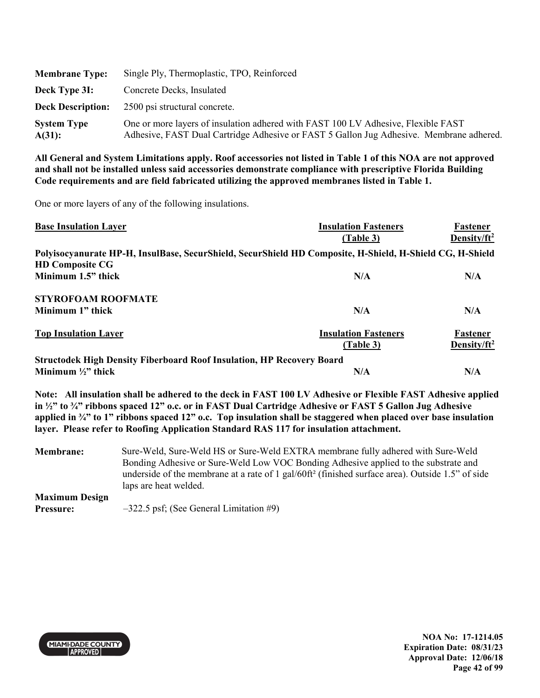| <b>Membrane Type:</b>        | Single Ply, Thermoplastic, TPO, Reinforced                                                                                                                                   |
|------------------------------|------------------------------------------------------------------------------------------------------------------------------------------------------------------------------|
| Deck Type 3I:                | Concrete Decks, Insulated                                                                                                                                                    |
| <b>Deck Description:</b>     | 2500 psi structural concrete.                                                                                                                                                |
| <b>System Type</b><br>A(31): | One or more layers of insulation adhered with FAST 100 LV Adhesive, Flexible FAST<br>Adhesive, FAST Dual Cartridge Adhesive or FAST 5 Gallon Jug Adhesive. Membrane adhered. |

One or more layers of any of the following insulations.

| <b>Base Insulation Layer</b>                                                 | <b>Insulation Fasteners</b>                                                                              | Fastener        |
|------------------------------------------------------------------------------|----------------------------------------------------------------------------------------------------------|-----------------|
|                                                                              | (Table 3)                                                                                                | Density/ $ft^2$ |
|                                                                              | Polyisocyanurate HP-H, InsulBase, SecurShield, SecurShield HD Composite, H-Shield, H-Shield CG, H-Shield |                 |
| <b>HD Composite CG</b>                                                       |                                                                                                          |                 |
| Minimum 1.5" thick                                                           | N/A                                                                                                      | N/A             |
| <b>STYROFOAM ROOFMATE</b>                                                    |                                                                                                          |                 |
| Minimum 1" thick                                                             | N/A                                                                                                      | N/A             |
| <b>Top Insulation Layer</b>                                                  | <b>Insulation Fasteners</b>                                                                              | Fastener        |
|                                                                              | (Table 3)                                                                                                | Density/ $ft^2$ |
| <b>Structodek High Density Fiberboard Roof Insulation, HP Recovery Board</b> |                                                                                                          |                 |
| Minimum $\frac{1}{2}$ " thick                                                | N/A                                                                                                      | N/A             |

**Note: All insulation shall be adhered to the deck in FAST 100 LV Adhesive or Flexible FAST Adhesive applied in ½" to ¾" ribbons spaced 12" o.c. or in FAST Dual Cartridge Adhesive or FAST 5 Gallon Jug Adhesive applied in ¾" to 1" ribbons spaced 12" o.c. Top insulation shall be staggered when placed over base insulation layer. Please refer to Roofing Application Standard RAS 117 for insulation attachment.** 

**Membrane:** Sure-Weld, Sure-Weld HS or Sure-Weld EXTRA membrane fully adhered with Sure-Weld Bonding Adhesive or Sure-Weld Low VOC Bonding Adhesive applied to the substrate and underside of the membrane at a rate of 1 gal/60ft² (finished surface area). Outside 1.5" of side laps are heat welded. **Maximum Design** 

**Pressure:**  $-322.5$  psf; (See General Limitation #9)



**NOA No: 17-1214.05 Expiration Date: 08/31/23 Approval Date: 12/06/18 Page 42 of 99**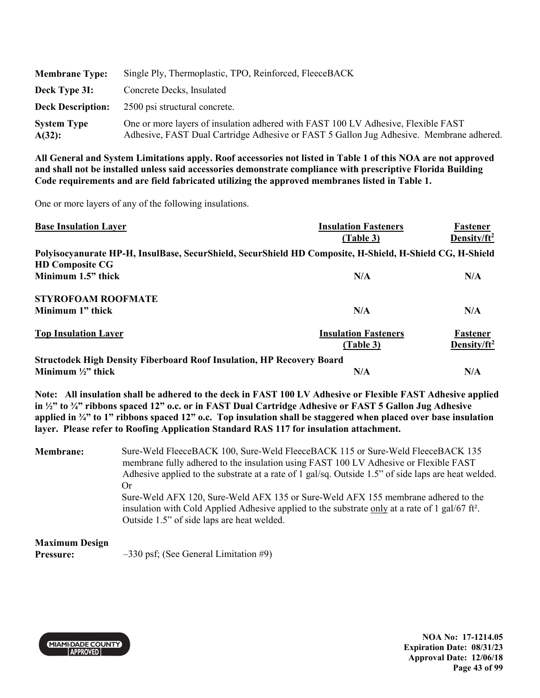| <b>Membrane Type:</b>           | Single Ply, Thermoplastic, TPO, Reinforced, FleeceBACK                                                                                                                       |
|---------------------------------|------------------------------------------------------------------------------------------------------------------------------------------------------------------------------|
| Deck Type 3I:                   | Concrete Decks, Insulated                                                                                                                                                    |
| <b>Deck Description:</b>        | 2500 psi structural concrete.                                                                                                                                                |
| <b>System Type</b><br>$A(32)$ : | One or more layers of insulation adhered with FAST 100 LV Adhesive, Flexible FAST<br>Adhesive, FAST Dual Cartridge Adhesive or FAST 5 Gallon Jug Adhesive. Membrane adhered. |

One or more layers of any of the following insulations.

| <b>Base Insulation Layer</b>                                                 | <b>Insulation Fasteners</b>                                                                              | Fastener        |
|------------------------------------------------------------------------------|----------------------------------------------------------------------------------------------------------|-----------------|
|                                                                              | (Table 3)                                                                                                | Density/ $ft^2$ |
|                                                                              | Polyisocyanurate HP-H, InsulBase, SecurShield, SecurShield HD Composite, H-Shield, H-Shield CG, H-Shield |                 |
| <b>HD Composite CG</b>                                                       |                                                                                                          |                 |
| Minimum 1.5" thick                                                           | N/A                                                                                                      | N/A             |
| <b>STYROFOAM ROOFMATE</b>                                                    |                                                                                                          |                 |
| Minimum 1" thick                                                             | N/A                                                                                                      | N/A             |
| <b>Top Insulation Layer</b>                                                  | <b>Insulation Fasteners</b>                                                                              | Fastener        |
|                                                                              | (Table 3)                                                                                                | Density/ $ft^2$ |
| <b>Structodek High Density Fiberboard Roof Insulation, HP Recovery Board</b> |                                                                                                          |                 |
| Minimum $\frac{1}{2}$ " thick                                                | N/A                                                                                                      | N/A             |

**Note: All insulation shall be adhered to the deck in FAST 100 LV Adhesive or Flexible FAST Adhesive applied in ½" to ¾" ribbons spaced 12" o.c. or in FAST Dual Cartridge Adhesive or FAST 5 Gallon Jug Adhesive applied in ¾" to 1" ribbons spaced 12" o.c. Top insulation shall be staggered when placed over base insulation layer. Please refer to Roofing Application Standard RAS 117 for insulation attachment.** 

**Membrane:** Sure-Weld FleeceBACK 100, Sure-Weld FleeceBACK 115 or Sure-Weld FleeceBACK 135 membrane fully adhered to the insulation using FAST 100 LV Adhesive or Flexible FAST Adhesive applied to the substrate at a rate of 1 gal/sq. Outside 1.5" of side laps are heat welded. Or Sure-Weld AFX 120, Sure-Weld AFX 135 or Sure-Weld AFX 155 membrane adhered to the insulation with Cold Applied Adhesive applied to the substrate only at a rate of 1 gal/67 ft<sup>2</sup>. Outside 1.5" of side laps are heat welded.

# **Maximum Design**

**Pressure:**  $-330 \text{ psf}$ ; (See General Limitation #9)



**NOA No: 17-1214.05 Expiration Date: 08/31/23 Approval Date: 12/06/18 Page 43 of 99**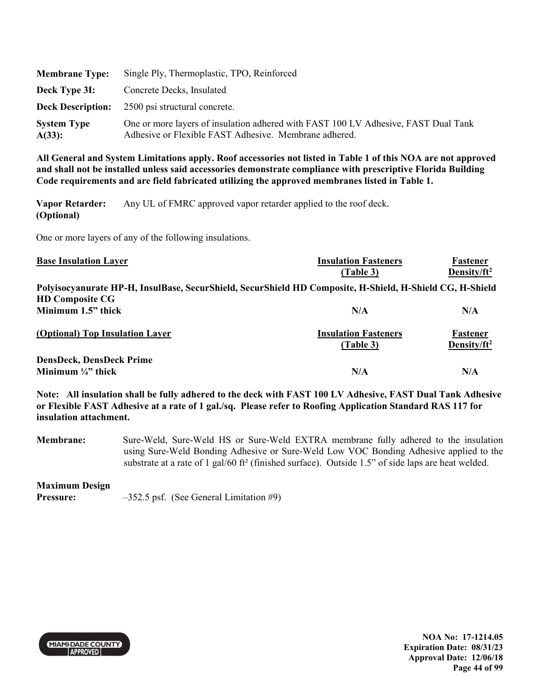| <b>Membrane Type:</b>        | Single Ply, Thermoplastic, TPO, Reinforced                                                                                                  |
|------------------------------|---------------------------------------------------------------------------------------------------------------------------------------------|
| Deck Type 31:                | Concrete Decks, Insulated                                                                                                                   |
| <b>Deck Description:</b>     | 2500 psi structural concrete.                                                                                                               |
| <b>System Type</b><br>A(33): | One or more layers of insulation adhered with FAST 100 LV Adhesive, FAST Dual Tank<br>Adhesive or Flexible FAST Adhesive. Membrane adhered. |

**Vapor Retarder: (Optional)**  Any UL of FMRC approved vapor retarder applied to the roof deck.

One or more layers of any of the following insulations.

| <b>Base Insulation Layer</b>                                                                             | <b>Insulation Fasteners</b><br>(Table 3) | Fastener<br>Density/ft <sup>2</sup> |
|----------------------------------------------------------------------------------------------------------|------------------------------------------|-------------------------------------|
| Polyisocyanurate HP-H, InsulBase, SecurShield, SecurShield HD Composite, H-Shield, H-Shield CG, H-Shield |                                          |                                     |
| <b>HD Composite CG</b><br>Minimum 1.5" thick                                                             | N/A                                      | N/A                                 |
| (Optional) Top Insulation Layer                                                                          | <b>Insulation Fasteners</b><br>(Table 3) | Fastener<br>Density/ $ft^2$         |
| <b>DensDeck, DensDeck Prime</b><br>Minimum $\frac{1}{4}$ " thick                                         | N/A                                      | N/A                                 |

**Note: All insulation shall be fully adhered to the deck with FAST 100 LV Adhesive, FAST Dual Tank Adhesive or Flexible FAST Adhesive at a rate of 1 gal./sq. Please refer to Roofing Application Standard RAS 117 for insulation attachment.** 

**Membrane:** Sure-Weld, Sure-Weld HS or Sure-Weld EXTRA membrane fully adhered to the insulation using Sure-Weld Bonding Adhesive or Sure-Weld Low VOC Bonding Adhesive applied to the substrate at a rate of 1 gal/60 ft<sup>2</sup> (finished surface). Outside 1.5" of side laps are heat welded.

# **Maximum Design**

**Pressure:**  $-352.5$  psf. (See General Limitation #9)



**NOA No: 17-1214.05 Expiration Date: 08/31/23 Approval Date: 12/06/18 Page 44 of 99**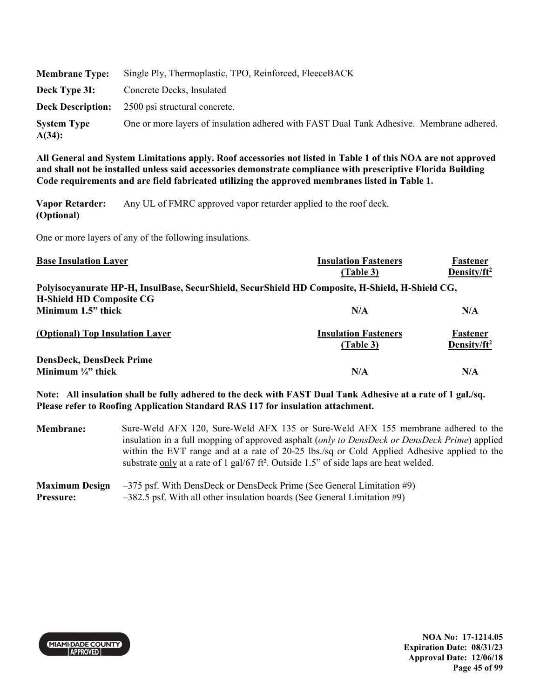| <b>Membrane Type:</b>           | Single Ply, Thermoplastic, TPO, Reinforced, FleeceBACK                                   |
|---------------------------------|------------------------------------------------------------------------------------------|
| Deck Type 3I:                   | Concrete Decks, Insulated                                                                |
|                                 | <b>Deck Description:</b> 2500 psi structural concrete.                                   |
| <b>System Type</b><br>$A(34)$ : | One or more layers of insulation adhered with FAST Dual Tank Adhesive. Membrane adhered. |

**Vapor Retarder: (Optional)**  Any UL of FMRC approved vapor retarder applied to the roof deck.

One or more layers of any of the following insulations.

| <b>Base Insulation Layer</b>                                                                    | <b>Insulation Fasteners</b> | Fastener                |
|-------------------------------------------------------------------------------------------------|-----------------------------|-------------------------|
|                                                                                                 | (Table 3)                   | Density/ft <sup>2</sup> |
| Polyisocyanurate HP-H, InsulBase, SecurShield, SecurShield HD Composite, H-Shield, H-Shield CG, |                             |                         |
| <b>H-Shield HD Composite CG</b>                                                                 |                             |                         |
| Minimum 1.5" thick                                                                              | N/A                         | N/A                     |
| (Optional) Top Insulation Layer                                                                 | <b>Insulation Fasteners</b> | Fastener                |
|                                                                                                 | (Table 3)                   | Density/ $ft^2$         |
| <b>DensDeck, DensDeck Prime</b>                                                                 |                             |                         |
| Minimum $\frac{1}{4}$ " thick                                                                   | N/A                         | N/A                     |

**Note: All insulation shall be fully adhered to the deck with FAST Dual Tank Adhesive at a rate of 1 gal./sq. Please refer to Roofing Application Standard RAS 117 for insulation attachment.** 

**Membrane:** Sure-Weld AFX 120, Sure-Weld AFX 135 or Sure-Weld AFX 155 membrane adhered to the insulation in a full mopping of approved asphalt (*only to DensDeck or DensDeck Prime*) applied within the EVT range and at a rate of 20-25 lbs./sq or Cold Applied Adhesive applied to the substrate only at a rate of 1 gal/67 ft². Outside 1.5" of side laps are heat welded.

#### **Maximum Design Pressure:**  –375 psf. With DensDeck or DensDeck Prime (See General Limitation #9) –382.5 psf. With all other insulation boards (See General Limitation #9)



**NOA No: 17-1214.05 Expiration Date: 08/31/23 Approval Date: 12/06/18 Page 45 of 99**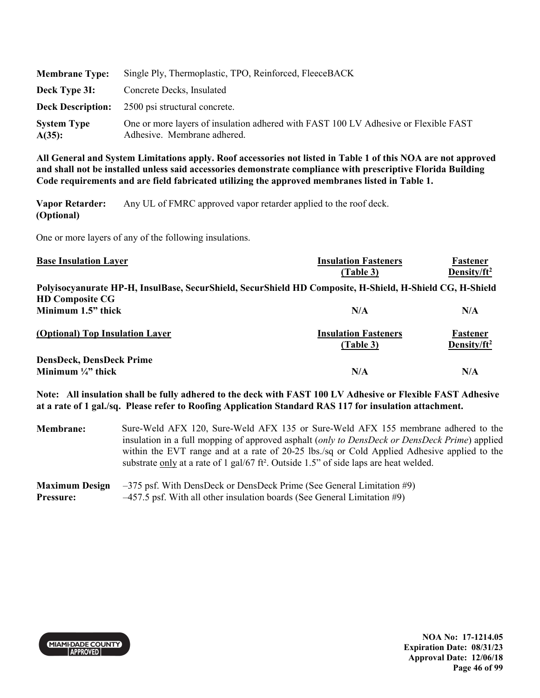| <b>Membrane Type:</b>           | Single Ply, Thermoplastic, TPO, Reinforced, FleeceBACK                                                             |
|---------------------------------|--------------------------------------------------------------------------------------------------------------------|
| Deck Type 31:                   | Concrete Decks, Insulated                                                                                          |
| <b>Deck Description:</b>        | 2500 psi structural concrete.                                                                                      |
| <b>System Type</b><br>$A(35)$ : | One or more layers of insulation adhered with FAST 100 LV Adhesive or Flexible FAST<br>Adhesive. Membrane adhered. |

**Vapor Retarder: (Optional)**  Any UL of FMRC approved vapor retarder applied to the roof deck.

One or more layers of any of the following insulations.

| <b>Base Insulation Layer</b>                                                                             | <b>Insulation Fasteners</b><br>(Table 3) | Fastener<br>Density/ft <sup>2</sup> |
|----------------------------------------------------------------------------------------------------------|------------------------------------------|-------------------------------------|
| Polyisocyanurate HP-H, InsulBase, SecurShield, SecurShield HD Composite, H-Shield, H-Shield CG, H-Shield |                                          |                                     |
| <b>HD Composite CG</b><br>Minimum 1.5" thick                                                             | N/A                                      | N/A                                 |
| (Optional) Top Insulation Layer                                                                          | <b>Insulation Fasteners</b><br>(Table 3) | Fastener<br>Density/ $ft^2$         |
| <b>DensDeck, DensDeck Prime</b><br>Minimum $\frac{1}{4}$ " thick                                         | N/A                                      | N/A                                 |

**Note: All insulation shall be fully adhered to the deck with FAST 100 LV Adhesive or Flexible FAST Adhesive at a rate of 1 gal./sq. Please refer to Roofing Application Standard RAS 117 for insulation attachment.** 

**Membrane:** Sure-Weld AFX 120, Sure-Weld AFX 135 or Sure-Weld AFX 155 membrane adhered to the insulation in a full mopping of approved asphalt (*only to DensDeck or DensDeck Prime*) applied within the EVT range and at a rate of 20-25 lbs./sq or Cold Applied Adhesive applied to the substrate only at a rate of 1 gal/67 ft². Outside 1.5" of side laps are heat welded.

#### **Maximum Design Pressure:**  –375 psf. With DensDeck or DensDeck Prime (See General Limitation #9) –457.5 psf. With all other insulation boards (See General Limitation #9)



**NOA No: 17-1214.05 Expiration Date: 08/31/23 Approval Date: 12/06/18 Page 46 of 99**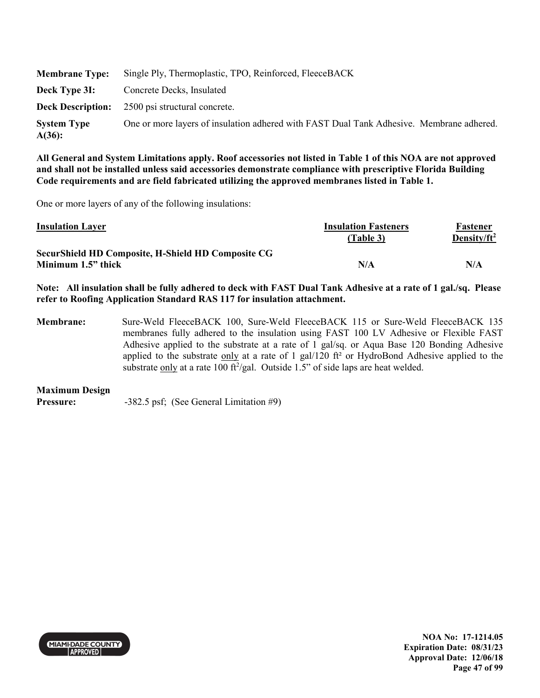| <b>Membrane Type:</b>        | Single Ply, Thermoplastic, TPO, Reinforced, FleeceBACK                                   |
|------------------------------|------------------------------------------------------------------------------------------|
| Deck Type 3I:                | Concrete Decks, Insulated                                                                |
|                              | <b>Deck Description:</b> 2500 psi structural concrete.                                   |
| <b>System Type</b><br>A(36): | One or more layers of insulation adhered with FAST Dual Tank Adhesive. Membrane adhered. |

One or more layers of any of the following insulations:

| <b>Insulation Layer</b>                                   | <b>Insulation Fasteners</b> | Fastener        |
|-----------------------------------------------------------|-----------------------------|-----------------|
|                                                           | (Table 3)                   | Density/ $ft^2$ |
| <b>SecurShield HD Composite, H-Shield HD Composite CG</b> |                             |                 |
| Minimum 1.5" thick                                        | N/A                         | N/A             |

**Note: All insulation shall be fully adhered to deck with FAST Dual Tank Adhesive at a rate of 1 gal./sq. Please refer to Roofing Application Standard RAS 117 for insulation attachment.** 

**Membrane:** Sure-Weld FleeceBACK 100, Sure-Weld FleeceBACK 115 or Sure-Weld FleeceBACK 135 membranes fully adhered to the insulation using FAST 100 LV Adhesive or Flexible FAST Adhesive applied to the substrate at a rate of 1 gal/sq. or Aqua Base 120 Bonding Adhesive applied to the substrate only at a rate of 1 gal/120 ft² or HydroBond Adhesive applied to the substrate only at a rate 100 ft<sup>2</sup>/gal. Outside 1.5" of side laps are heat welded.

#### **Maximum Design**

**Pressure:** -382.5 psf; (See General Limitation #9)



**NOA No: 17-1214.05 Expiration Date: 08/31/23 Approval Date: 12/06/18 Page 47 of 99**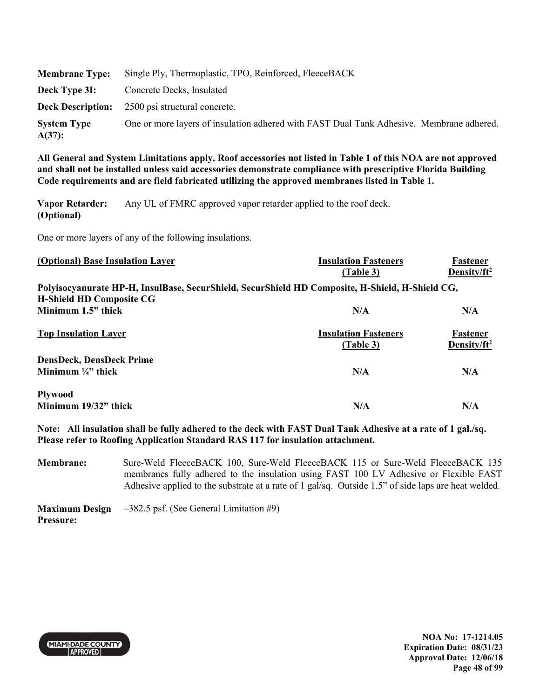| <b>Membrane Type:</b>        | Single Ply, Thermoplastic, TPO, Reinforced, FleeceBACK                                   |
|------------------------------|------------------------------------------------------------------------------------------|
| Deck Type 3I:                | Concrete Decks, Insulated                                                                |
|                              | <b>Deck Description:</b> 2500 psi structural concrete.                                   |
| <b>System Type</b><br>A(37): | One or more layers of insulation adhered with FAST Dual Tank Adhesive. Membrane adhered. |

**Vapor Retarder: (Optional)**  Any UL of FMRC approved vapor retarder applied to the roof deck.

One or more layers of any of the following insulations.

| (Optional) Base Insulation Layer                                                                                                   | <b>Insulation Fasteners</b><br>(Table 3) | Fastener<br>Density/ft <sup>2</sup> |
|------------------------------------------------------------------------------------------------------------------------------------|------------------------------------------|-------------------------------------|
| Polyisocyanurate HP-H, InsulBase, SecurShield, SecurShield HD Composite, H-Shield, H-Shield CG,<br><b>H-Shield HD Composite CG</b> |                                          |                                     |
| Minimum 1.5" thick                                                                                                                 | N/A                                      | N/A                                 |
| <b>Top Insulation Layer</b>                                                                                                        | <b>Insulation Fasteners</b><br>(Table 3) | Fastener<br>Density/ $ft^2$         |
| <b>DensDeck, DensDeck Prime</b>                                                                                                    |                                          |                                     |
| Minimum $\frac{1}{4}$ , thick                                                                                                      | N/A                                      | N/A                                 |
| <b>Plywood</b><br>Minimum 19/32" thick                                                                                             | N/A                                      | N/A                                 |

**Note: All insulation shall be fully adhered to the deck with FAST Dual Tank Adhesive at a rate of 1 gal./sq. Please refer to Roofing Application Standard RAS 117 for insulation attachment.** 

**Membrane:** Sure-Weld FleeceBACK 100, Sure-Weld FleeceBACK 115 or Sure-Weld FleeceBACK 135 membranes fully adhered to the insulation using FAST 100 LV Adhesive or Flexible FAST Adhesive applied to the substrate at a rate of 1 gal/sq. Outside 1.5" of side laps are heat welded.

**Maximum Design Pressure:**  –382.5 psf. (See General Limitation #9)



**NOA No: 17-1214.05 Expiration Date: 08/31/23 Approval Date: 12/06/18 Page 48 of 99**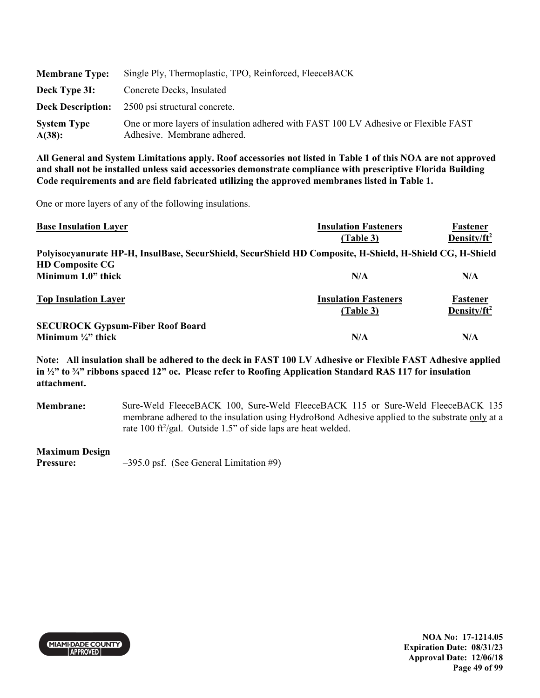| <b>Membrane Type:</b>        | Single Ply, Thermoplastic, TPO, Reinforced, FleeceBACK                                                             |
|------------------------------|--------------------------------------------------------------------------------------------------------------------|
| Deck Type 3I:                | Concrete Decks, Insulated                                                                                          |
|                              | <b>Deck Description:</b> 2500 psi structural concrete.                                                             |
| <b>System Type</b><br>A(38): | One or more layers of insulation adhered with FAST 100 LV Adhesive or Flexible FAST<br>Adhesive. Membrane adhered. |

One or more layers of any of the following insulations.

| <b>Base Insulation Layer</b>                                                                             | <b>Insulation Fasteners</b>              | Fastener                            |
|----------------------------------------------------------------------------------------------------------|------------------------------------------|-------------------------------------|
|                                                                                                          | (Table 3)                                | Density/ $ft^2$                     |
| Polyisocyanurate HP-H, InsulBase, SecurShield, SecurShield HD Composite, H-Shield, H-Shield CG, H-Shield |                                          |                                     |
| <b>HD Composite CG</b>                                                                                   |                                          |                                     |
| Minimum 1.0" thick                                                                                       | N/A                                      | N/A                                 |
| <b>Top Insulation Layer</b>                                                                              | <b>Insulation Fasteners</b><br>(Table 3) | Fastener<br>Density/ft <sup>2</sup> |
| <b>SECUROCK Gypsum-Fiber Roof Board</b>                                                                  |                                          |                                     |
| Minimum $\frac{1}{4}$ thick                                                                              | N/A                                      | N/A                                 |

**Note: All insulation shall be adhered to the deck in FAST 100 LV Adhesive or Flexible FAST Adhesive applied in ½" to ¾" ribbons spaced 12" oc. Please refer to Roofing Application Standard RAS 117 for insulation attachment.** 

**Membrane:** Sure-Weld FleeceBACK 100, Sure-Weld FleeceBACK 115 or Sure-Weld FleeceBACK 135 membrane adhered to the insulation using HydroBond Adhesive applied to the substrate only at a rate 100 ft<sup>2</sup>/gal. Outside 1.5" of side laps are heat welded.

#### **Maximum Design**

**Pressure:**  $-395.0 \text{ psf.}$  (See General Limitation #9)



**NOA No: 17-1214.05 Expiration Date: 08/31/23 Approval Date: 12/06/18 Page 49 of 99**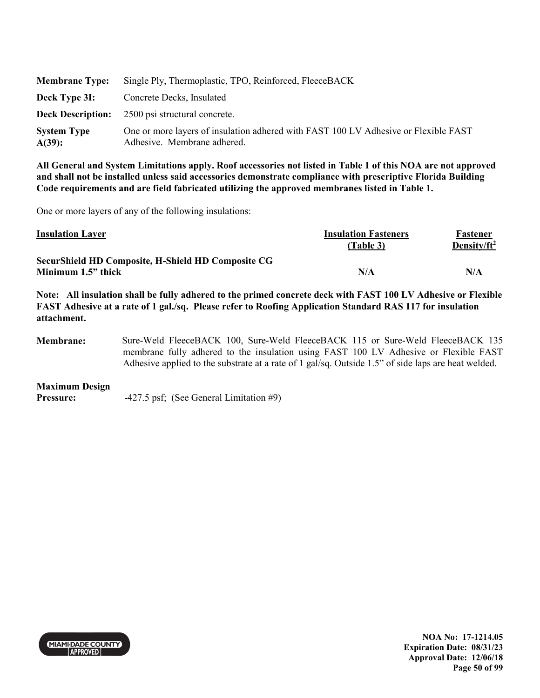| <b>Membrane Type:</b>           | Single Ply, Thermoplastic, TPO, Reinforced, FleeceBACK                                                             |
|---------------------------------|--------------------------------------------------------------------------------------------------------------------|
| Deck Type 3I:                   | Concrete Decks, Insulated                                                                                          |
| <b>Deck Description:</b>        | 2500 psi structural concrete.                                                                                      |
| <b>System Type</b><br>$A(39)$ : | One or more layers of insulation adhered with FAST 100 LV Adhesive or Flexible FAST<br>Adhesive. Membrane adhered. |

One or more layers of any of the following insulations:

| <b>Insulation Layer</b>                            | <b>Insulation Fasteners</b> | Fastener        |
|----------------------------------------------------|-----------------------------|-----------------|
|                                                    | (Table 3)                   | Density/ $ft^2$ |
| SecurShield HD Composite, H-Shield HD Composite CG |                             |                 |
| Minimum 1.5" thick                                 | N/A                         | N/A             |

**Note: All insulation shall be fully adhered to the primed concrete deck with FAST 100 LV Adhesive or Flexible FAST Adhesive at a rate of 1 gal./sq. Please refer to Roofing Application Standard RAS 117 for insulation attachment.** 

**Membrane:** Sure-Weld FleeceBACK 100, Sure-Weld FleeceBACK 115 or Sure-Weld FleeceBACK 135 membrane fully adhered to the insulation using FAST 100 LV Adhesive or Flexible FAST Adhesive applied to the substrate at a rate of 1 gal/sq. Outside 1.5" of side laps are heat welded.

**Maximum Design** 

**Pressure:**  $-427.5 \text{ psf}$ ; (See General Limitation #9)



**NOA No: 17-1214.05 Expiration Date: 08/31/23 Approval Date: 12/06/18 Page 50 of 99**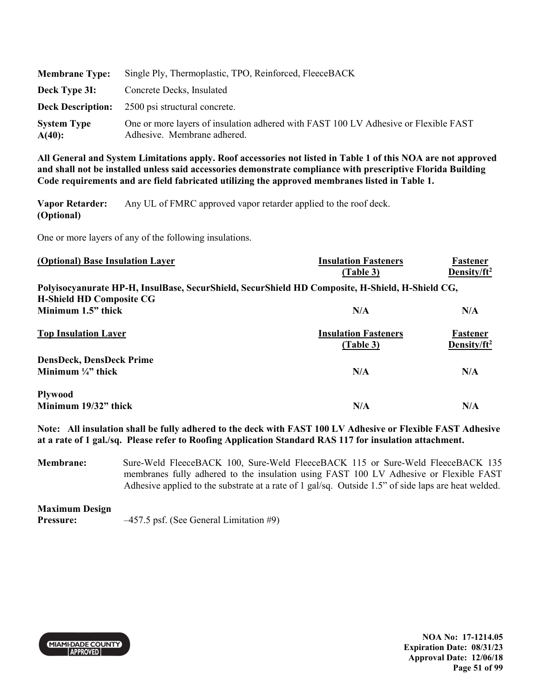| <b>Membrane Type:</b>           | Single Ply, Thermoplastic, TPO, Reinforced, FleeceBACK                                                             |
|---------------------------------|--------------------------------------------------------------------------------------------------------------------|
| Deck Type 3I:                   | Concrete Decks, Insulated                                                                                          |
| <b>Deck Description:</b>        | 2500 psi structural concrete.                                                                                      |
| <b>System Type</b><br>$A(40)$ : | One or more layers of insulation adhered with FAST 100 LV Adhesive or Flexible FAST<br>Adhesive. Membrane adhered. |

**Vapor Retarder: (Optional)**  Any UL of FMRC approved vapor retarder applied to the roof deck.

One or more layers of any of the following insulations.

| (Optional) Base Insulation Layer                                                                                                   | <b>Insulation Fasteners</b><br>(Table 3) | Fastener<br>Density/ft <sup>2</sup> |
|------------------------------------------------------------------------------------------------------------------------------------|------------------------------------------|-------------------------------------|
| Polyisocyanurate HP-H, InsulBase, SecurShield, SecurShield HD Composite, H-Shield, H-Shield CG,<br><b>H-Shield HD Composite CG</b> |                                          |                                     |
| Minimum 1.5" thick                                                                                                                 | N/A                                      | N/A                                 |
| <b>Top Insulation Layer</b>                                                                                                        | <b>Insulation Fasteners</b><br>(Table 3) | <b>Fastener</b><br>Density/ $ft^2$  |
| <b>DensDeck, DensDeck Prime</b>                                                                                                    |                                          |                                     |
| Minimum $\frac{1}{4}$ thick                                                                                                        | N/A                                      | N/A                                 |
| <b>Plywood</b><br>Minimum 19/32" thick                                                                                             | N/A                                      | N/A                                 |

**Note: All insulation shall be fully adhered to the deck with FAST 100 LV Adhesive or Flexible FAST Adhesive at a rate of 1 gal./sq. Please refer to Roofing Application Standard RAS 117 for insulation attachment.** 

**Membrane:** Sure-Weld FleeceBACK 100, Sure-Weld FleeceBACK 115 or Sure-Weld FleeceBACK 135 membranes fully adhered to the insulation using FAST 100 LV Adhesive or Flexible FAST Adhesive applied to the substrate at a rate of 1 gal/sq. Outside 1.5" of side laps are heat welded.

**Maximum Design Pressure:**  $-457.5$  psf. (See General Limitation #9)



**NOA No: 17-1214.05 Expiration Date: 08/31/23 Approval Date: 12/06/18 Page 51 of 99**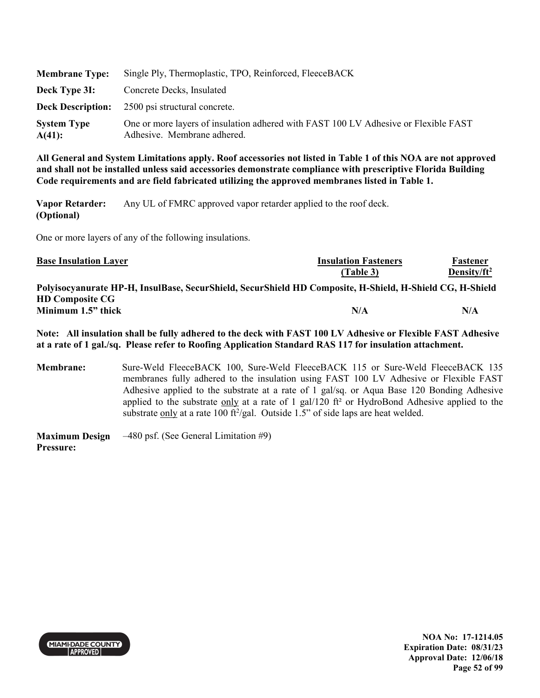| <b>Membrane Type:</b>        | Single Ply, Thermoplastic, TPO, Reinforced, FleeceBACK                                                             |
|------------------------------|--------------------------------------------------------------------------------------------------------------------|
| Deck Type 3I:                | Concrete Decks, Insulated                                                                                          |
| <b>Deck Description:</b>     | 2500 psi structural concrete.                                                                                      |
| <b>System Type</b><br>A(41): | One or more layers of insulation adhered with FAST 100 LV Adhesive or Flexible FAST<br>Adhesive. Membrane adhered. |

**Vapor Retarder: (Optional)**  Any UL of FMRC approved vapor retarder applied to the roof deck.

One or more layers of any of the following insulations.

| <b>Base Insulation Layer</b>                                                                             | <b>Insulation Fasteners</b> | Fastener        |
|----------------------------------------------------------------------------------------------------------|-----------------------------|-----------------|
|                                                                                                          | (Table 3)                   | Density/ $ft^2$ |
| Polyisocyanurate HP-H, InsulBase, SecurShield, SecurShield HD Composite, H-Shield, H-Shield CG, H-Shield |                             |                 |
| <b>HD Composite CG</b>                                                                                   |                             |                 |
| Minimum 1.5" thick                                                                                       | N/A                         | N/A             |

**Note: All insulation shall be fully adhered to the deck with FAST 100 LV Adhesive or Flexible FAST Adhesive at a rate of 1 gal./sq. Please refer to Roofing Application Standard RAS 117 for insulation attachment.** 

**Membrane:** Sure-Weld FleeceBACK 100, Sure-Weld FleeceBACK 115 or Sure-Weld FleeceBACK 135 membranes fully adhered to the insulation using FAST 100 LV Adhesive or Flexible FAST Adhesive applied to the substrate at a rate of 1 gal/sq. or Aqua Base 120 Bonding Adhesive applied to the substrate only at a rate of 1 gal/120 ft<sup>2</sup> or HydroBond Adhesive applied to the substrate only at a rate 100 ft<sup>2</sup>/gal. Outside 1.5" of side laps are heat welded.

**Maximum Design Pressure:**  –480 psf. (See General Limitation #9)



**NOA No: 17-1214.05 Expiration Date: 08/31/23 Approval Date: 12/06/18 Page 52 of 99**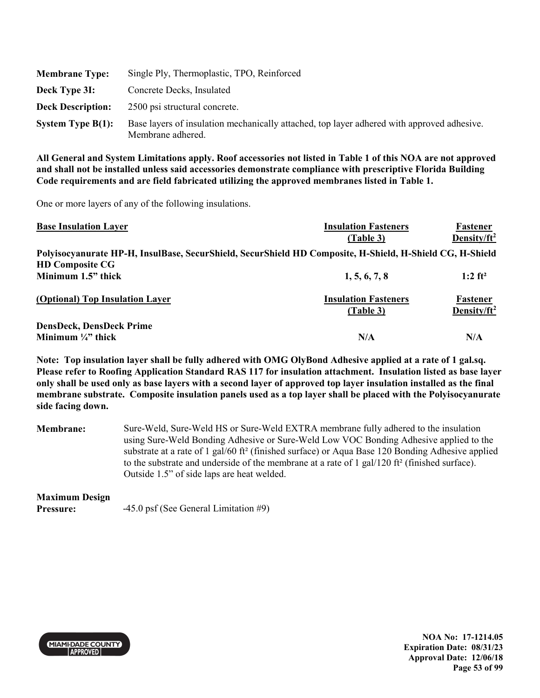| <b>Membrane Type:</b>    | Single Ply, Thermoplastic, TPO, Reinforced                                                                      |
|--------------------------|-----------------------------------------------------------------------------------------------------------------|
| Deck Type 3I:            | Concrete Decks, Insulated                                                                                       |
| <b>Deck Description:</b> | 2500 psi structural concrete.                                                                                   |
| System Type $B(1)$ :     | Base layers of insulation mechanically attached, top layer adhered with approved adhesive.<br>Membrane adhered. |

One or more layers of any of the following insulations.

| <b>Base Insulation Layer</b>                                                                             | <b>Insulation Fasteners</b>              | Fastener                            |
|----------------------------------------------------------------------------------------------------------|------------------------------------------|-------------------------------------|
|                                                                                                          | (Table 3)                                | Density/ $ft^2$                     |
| Polyisocyanurate HP-H, InsulBase, SecurShield, SecurShield HD Composite, H-Shield, H-Shield CG, H-Shield |                                          |                                     |
| <b>HD Composite CG</b>                                                                                   |                                          |                                     |
| Minimum 1.5" thick                                                                                       | 1, 5, 6, 7, 8                            | $1:2$ ft <sup>2</sup>               |
| (Optional) Top Insulation Layer                                                                          | <b>Insulation Fasteners</b><br>(Table 3) | Fastener<br>Density/ft <sup>2</sup> |
|                                                                                                          |                                          |                                     |
| <b>DensDeck, DensDeck Prime</b>                                                                          |                                          |                                     |
| Minimum $\frac{1}{4}$ " thick                                                                            | N/A                                      | N/A                                 |

**Note: Top insulation layer shall be fully adhered with OMG OlyBond Adhesive applied at a rate of 1 gal.sq. Please refer to Roofing Application Standard RAS 117 for insulation attachment. Insulation listed as base layer only shall be used only as base layers with a second layer of approved top layer insulation installed as the final membrane substrate. Composite insulation panels used as a top layer shall be placed with the Polyisocyanurate side facing down.** 

**Membrane:** Sure-Weld, Sure-Weld HS or Sure-Weld EXTRA membrane fully adhered to the insulation using Sure-Weld Bonding Adhesive or Sure-Weld Low VOC Bonding Adhesive applied to the substrate at a rate of 1 gal/60 ft² (finished surface) or Aqua Base 120 Bonding Adhesive applied to the substrate and underside of the membrane at a rate of 1 gal/120 ft<sup>2</sup> (finished surface). Outside 1.5" of side laps are heat welded.

# **Maximum Design**

**Pressure:**  $-45.0 \text{ psf}$  (See General Limitation #9)



**NOA No: 17-1214.05 Expiration Date: 08/31/23 Approval Date: 12/06/18 Page 53 of 99**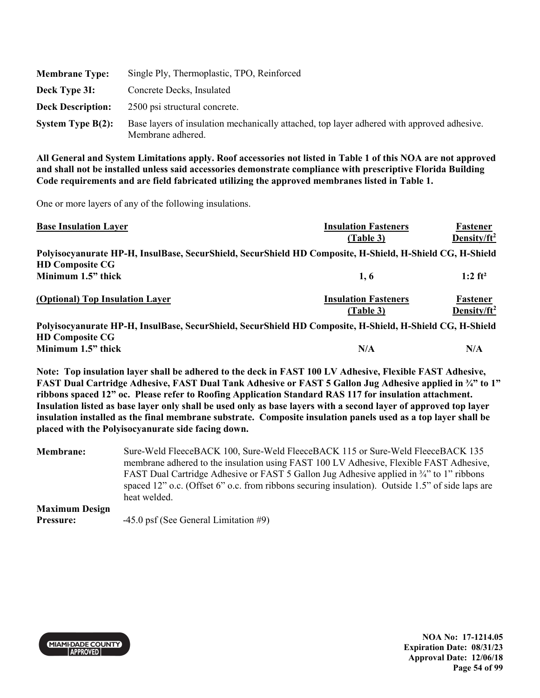| <b>Membrane Type:</b>    | Single Ply, Thermoplastic, TPO, Reinforced                                                                      |
|--------------------------|-----------------------------------------------------------------------------------------------------------------|
| Deck Type 3I:            | Concrete Decks, Insulated                                                                                       |
| <b>Deck Description:</b> | 2500 psi structural concrete.                                                                                   |
| System Type $B(2)$ :     | Base layers of insulation mechanically attached, top layer adhered with approved adhesive.<br>Membrane adhered. |

One or more layers of any of the following insulations.

| <b>Base Insulation Layer</b>                                                                             | <b>Insulation Fasteners</b> | Fastener              |
|----------------------------------------------------------------------------------------------------------|-----------------------------|-----------------------|
|                                                                                                          | (Table 3)                   | Density/ $ft^2$       |
| Polyisocyanurate HP-H, InsulBase, SecurShield, SecurShield HD Composite, H-Shield, H-Shield CG, H-Shield |                             |                       |
| <b>HD Composite CG</b>                                                                                   |                             |                       |
| Minimum 1.5" thick                                                                                       | 1, 6                        | $1:2$ ft <sup>2</sup> |
| (Optional) Top Insulation Layer                                                                          | <b>Insulation Fasteners</b> | Fastener              |
|                                                                                                          | (Table 3)                   | Density/ $ft^2$       |
| Polyisocyanurate HP-H, InsulBase, SecurShield, SecurShield HD Composite, H-Shield, H-Shield CG, H-Shield |                             |                       |
| <b>HD Composite CG</b>                                                                                   |                             |                       |
| Minimum 1.5" thick                                                                                       | N/A                         | N/A                   |

**Note: Top insulation layer shall be adhered to the deck in FAST 100 LV Adhesive, Flexible FAST Adhesive, FAST Dual Cartridge Adhesive, FAST Dual Tank Adhesive or FAST 5 Gallon Jug Adhesive applied in ¾" to 1" ribbons spaced 12" oc. Please refer to Roofing Application Standard RAS 117 for insulation attachment. Insulation listed as base layer only shall be used only as base layers with a second layer of approved top layer insulation installed as the final membrane substrate. Composite insulation panels used as a top layer shall be placed with the Polyisocyanurate side facing down.** 

**Membrane:** Sure-Weld FleeceBACK 100, Sure-Weld FleeceBACK 115 or Sure-Weld FleeceBACK 135 membrane adhered to the insulation using FAST 100 LV Adhesive, Flexible FAST Adhesive, FAST Dual Cartridge Adhesive or FAST 5 Gallon Jug Adhesive applied in <sup>3</sup>/4" to 1" ribbons spaced 12" o.c. (Offset 6" o.c. from ribbons securing insulation). Outside 1.5" of side laps are heat welded. **Maximum Design** 

**Pressure:**  $-45.0 \text{ psf}$  (See General Limitation #9)



**NOA No: 17-1214.05 Expiration Date: 08/31/23 Approval Date: 12/06/18 Page 54 of 99**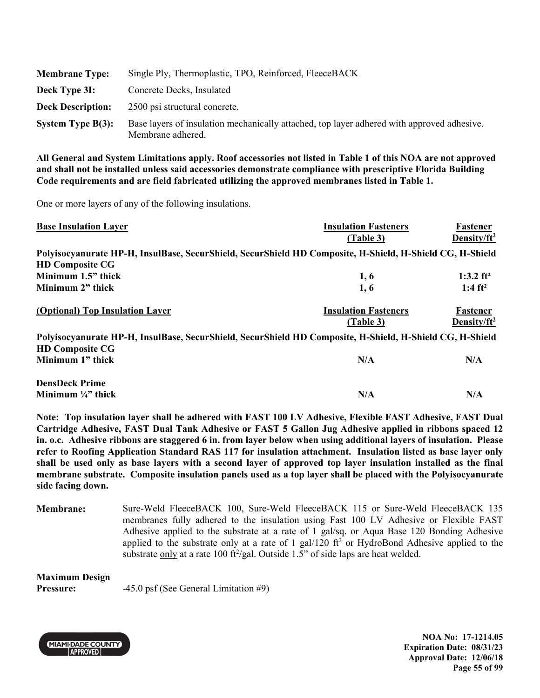| <b>Membrane Type:</b>    | Single Ply, Thermoplastic, TPO, Reinforced, FleeceBACK                                                          |
|--------------------------|-----------------------------------------------------------------------------------------------------------------|
| Deck Type 3I:            | Concrete Decks, Insulated                                                                                       |
| <b>Deck Description:</b> | 2500 psi structural concrete.                                                                                   |
| System Type $B(3)$ :     | Base layers of insulation mechanically attached, top layer adhered with approved adhesive.<br>Membrane adhered. |

One or more layers of any of the following insulations.

| <b>Base Insulation Layer</b>                                                                             | <b>Insulation Fasteners</b> | Fastener                    |
|----------------------------------------------------------------------------------------------------------|-----------------------------|-----------------------------|
|                                                                                                          | (Table 3)                   | Density/ $ft^2$             |
| Polyisocyanurate HP-H, InsulBase, SecurShield, SecurShield HD Composite, H-Shield, H-Shield CG, H-Shield |                             |                             |
| <b>HD Composite CG</b>                                                                                   |                             |                             |
| Minimum 1.5" thick                                                                                       | 1,6                         | 1:3.2 $ft^2$                |
| Minimum 2" thick                                                                                         | 1, 6                        | 1:4 $ft^2$                  |
| (Optional) Top Insulation Layer                                                                          | <b>Insulation Fasteners</b> | Fastener<br>Density/ $ft^2$ |
|                                                                                                          | (Table 3)                   |                             |
| Polyisocyanurate HP-H, InsulBase, SecurShield, SecurShield HD Composite, H-Shield, H-Shield CG, H-Shield |                             |                             |
| <b>HD Composite CG</b>                                                                                   |                             |                             |
| Minimum 1" thick                                                                                         | N/A                         | N/A                         |
| <b>DensDeck Prime</b>                                                                                    |                             |                             |
| Minimum $\frac{1}{4}$ " thick                                                                            | N/A                         | N/A                         |

**Note: Top insulation layer shall be adhered with FAST 100 LV Adhesive, Flexible FAST Adhesive, FAST Dual Cartridge Adhesive, FAST Dual Tank Adhesive or FAST 5 Gallon Jug Adhesive applied in ribbons spaced 12 in. o.c. Adhesive ribbons are staggered 6 in. from layer below when using additional layers of insulation. Please refer to Roofing Application Standard RAS 117 for insulation attachment. Insulation listed as base layer only shall be used only as base layers with a second layer of approved top layer insulation installed as the final membrane substrate. Composite insulation panels used as a top layer shall be placed with the Polyisocyanurate side facing down.** 

**Membrane:** Sure-Weld FleeceBACK 100, Sure-Weld FleeceBACK 115 or Sure-Weld FleeceBACK 135 membranes fully adhered to the insulation using Fast 100 LV Adhesive or Flexible FAST Adhesive applied to the substrate at a rate of 1 gal/sq. or Aqua Base 120 Bonding Adhesive applied to the substrate  $\frac{only}{}$  at a rate of 1 gal/120 ft<sup>2</sup> or HydroBond Adhesive applied to the substrate only at a rate 100 ft $^2$ /gal. Outside 1.5" of side laps are heat welded.

**Maximum Design Pressure:**  $-45.0 \text{ psf}$  (See General Limitation #9)



**NOA No: 17-1214.05 Expiration Date: 08/31/23 Approval Date: 12/06/18 Page 55 of 99**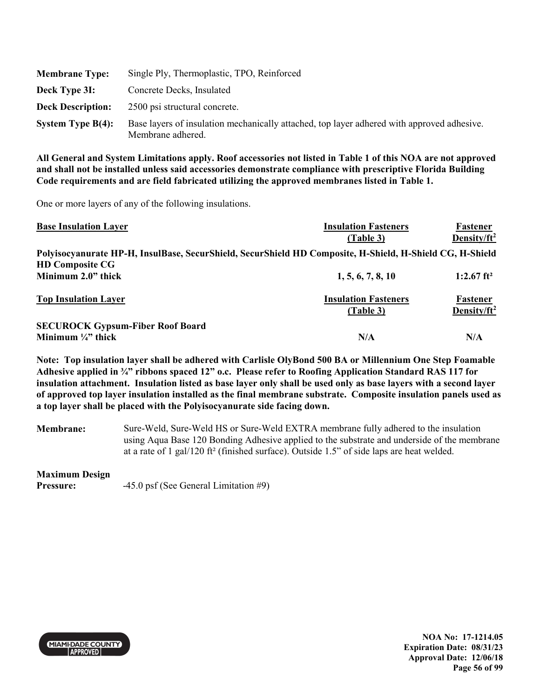| <b>Membrane Type:</b>    | Single Ply, Thermoplastic, TPO, Reinforced                                                                      |
|--------------------------|-----------------------------------------------------------------------------------------------------------------|
| Deck Type 3I:            | Concrete Decks, Insulated                                                                                       |
| <b>Deck Description:</b> | 2500 psi structural concrete.                                                                                   |
| System Type $B(4)$ :     | Base layers of insulation mechanically attached, top layer adhered with approved adhesive.<br>Membrane adhered. |

One or more layers of any of the following insulations.

| <b>Base Insulation Layer</b>                                                                             | <b>Insulation Fasteners</b> | Fastener                 |
|----------------------------------------------------------------------------------------------------------|-----------------------------|--------------------------|
|                                                                                                          | (Table 3)                   | Density/ $ft^2$          |
| Polyisocyanurate HP-H, InsulBase, SecurShield, SecurShield HD Composite, H-Shield, H-Shield CG, H-Shield |                             |                          |
| <b>HD Composite CG</b>                                                                                   |                             |                          |
| Minimum 2.0" thick                                                                                       | 1, 5, 6, 7, 8, 10           | $1:2.67$ ft <sup>2</sup> |
| <b>Top Insulation Layer</b>                                                                              | <b>Insulation Fasteners</b> | Fastener                 |
|                                                                                                          | (Table 3)                   | Density/ft <sup>2</sup>  |
| <b>SECUROCK Gypsum-Fiber Roof Board</b>                                                                  |                             |                          |
| Minimum $\frac{1}{4}$ thick                                                                              | N/A                         | N/A                      |

**Note: Top insulation layer shall be adhered with Carlisle OlyBond 500 BA or Millennium One Step Foamable Adhesive applied in ¾" ribbons spaced 12" o.c. Please refer to Roofing Application Standard RAS 117 for insulation attachment. Insulation listed as base layer only shall be used only as base layers with a second layer of approved top layer insulation installed as the final membrane substrate. Composite insulation panels used as a top layer shall be placed with the Polyisocyanurate side facing down.** 

**Membrane:** Sure-Weld, Sure-Weld HS or Sure-Weld EXTRA membrane fully adhered to the insulation using Aqua Base 120 Bonding Adhesive applied to the substrate and underside of the membrane at a rate of 1 gal/120 ft² (finished surface). Outside 1.5" of side laps are heat welded.

#### **Maximum Design**

**Pressure:**  $-45.0 \text{ psf}$  (See General Limitation #9)



**NOA No: 17-1214.05 Expiration Date: 08/31/23 Approval Date: 12/06/18 Page 56 of 99**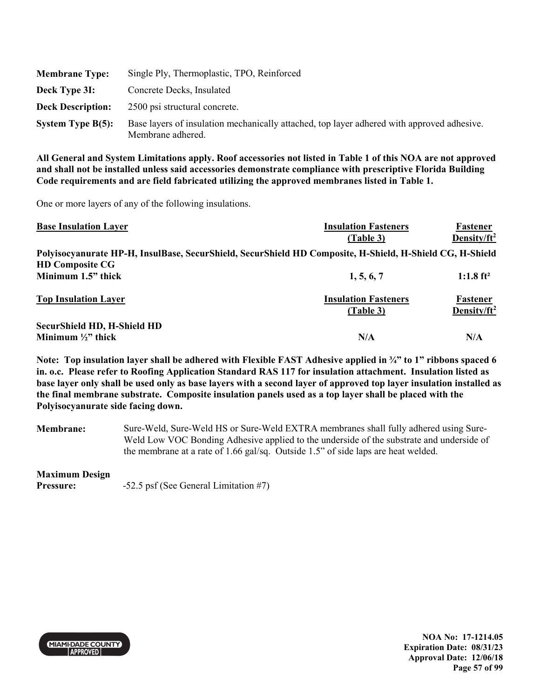| <b>Membrane Type:</b>    | Single Ply, Thermoplastic, TPO, Reinforced                                                                      |
|--------------------------|-----------------------------------------------------------------------------------------------------------------|
| Deck Type 3I:            | Concrete Decks, Insulated                                                                                       |
| <b>Deck Description:</b> | 2500 psi structural concrete.                                                                                   |
| System Type $B(5)$ :     | Base layers of insulation mechanically attached, top layer adhered with approved adhesive.<br>Membrane adhered. |

One or more layers of any of the following insulations.

| <b>Base Insulation Layer</b>                                                                             | <b>Insulation Fasteners</b> | Fastener                |
|----------------------------------------------------------------------------------------------------------|-----------------------------|-------------------------|
|                                                                                                          | (Table 3)                   | Density/ $ft^2$         |
| Polyisocyanurate HP-H, InsulBase, SecurShield, SecurShield HD Composite, H-Shield, H-Shield CG, H-Shield |                             |                         |
| <b>HD Composite CG</b>                                                                                   |                             |                         |
| Minimum 1.5" thick                                                                                       | 1, 5, 6, 7                  | $1:1.8$ ft <sup>2</sup> |
| <b>Top Insulation Layer</b>                                                                              | <b>Insulation Fasteners</b> | Fastener                |
|                                                                                                          | (Table 3)                   | Density/ $ft^2$         |
| <b>SecurShield HD, H-Shield HD</b>                                                                       |                             |                         |
| Minimum $\frac{1}{2}$ " thick                                                                            | N/A                         | N/A                     |

**Note: Top insulation layer shall be adhered with Flexible FAST Adhesive applied in ¾" to 1" ribbons spaced 6 in. o.c. Please refer to Roofing Application Standard RAS 117 for insulation attachment. Insulation listed as base layer only shall be used only as base layers with a second layer of approved top layer insulation installed as the final membrane substrate. Composite insulation panels used as a top layer shall be placed with the Polyisocyanurate side facing down.** 

**Membrane:** Sure-Weld, Sure-Weld HS or Sure-Weld EXTRA membranes shall fully adhered using Sure-Weld Low VOC Bonding Adhesive applied to the underside of the substrate and underside of the membrane at a rate of 1.66 gal/sq. Outside 1.5" of side laps are heat welded.

#### **Maximum Design**

**Pressure:**  $-52.5$  psf (See General Limitation #7)



**NOA No: 17-1214.05 Expiration Date: 08/31/23 Approval Date: 12/06/18 Page 57 of 99**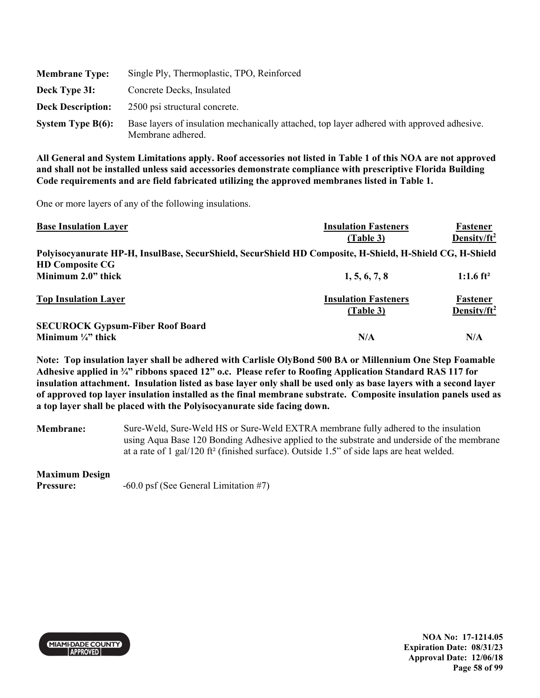| <b>Membrane Type:</b>    | Single Ply, Thermoplastic, TPO, Reinforced                                                                      |
|--------------------------|-----------------------------------------------------------------------------------------------------------------|
| Deck Type 31:            | Concrete Decks, Insulated                                                                                       |
| <b>Deck Description:</b> | 2500 psi structural concrete.                                                                                   |
| System Type $B(6)$ :     | Base layers of insulation mechanically attached, top layer adhered with approved adhesive.<br>Membrane adhered. |

One or more layers of any of the following insulations.

| <b>Base Insulation Layer</b>                                                                             | <b>Insulation Fasteners</b> | Fastener                |
|----------------------------------------------------------------------------------------------------------|-----------------------------|-------------------------|
|                                                                                                          | (Table 3)                   | Density/ $ft^2$         |
| Polyisocyanurate HP-H, InsulBase, SecurShield, SecurShield HD Composite, H-Shield, H-Shield CG, H-Shield |                             |                         |
| <b>HD Composite CG</b>                                                                                   |                             |                         |
| Minimum 2.0" thick                                                                                       | 1, 5, 6, 7, 8               | 1:1.6 $ft^2$            |
| <b>Top Insulation Layer</b>                                                                              | <b>Insulation Fasteners</b> | Fastener                |
|                                                                                                          | (Table 3)                   | Density/ft <sup>2</sup> |
| <b>SECUROCK Gypsum-Fiber Roof Board</b>                                                                  |                             |                         |
| Minimum $\frac{1}{4}$ thick                                                                              | N/A                         | N/A                     |

**Note: Top insulation layer shall be adhered with Carlisle OlyBond 500 BA or Millennium One Step Foamable Adhesive applied in ¾" ribbons spaced 12" o.c. Please refer to Roofing Application Standard RAS 117 for insulation attachment. Insulation listed as base layer only shall be used only as base layers with a second layer of approved top layer insulation installed as the final membrane substrate. Composite insulation panels used as a top layer shall be placed with the Polyisocyanurate side facing down.** 

**Membrane:** Sure-Weld, Sure-Weld HS or Sure-Weld EXTRA membrane fully adhered to the insulation using Aqua Base 120 Bonding Adhesive applied to the substrate and underside of the membrane at a rate of 1 gal/120 ft² (finished surface). Outside 1.5" of side laps are heat welded.

#### **Maximum Design**

**Pressure:**  $-60.0$  psf (See General Limitation #7)



**NOA No: 17-1214.05 Expiration Date: 08/31/23 Approval Date: 12/06/18 Page 58 of 99**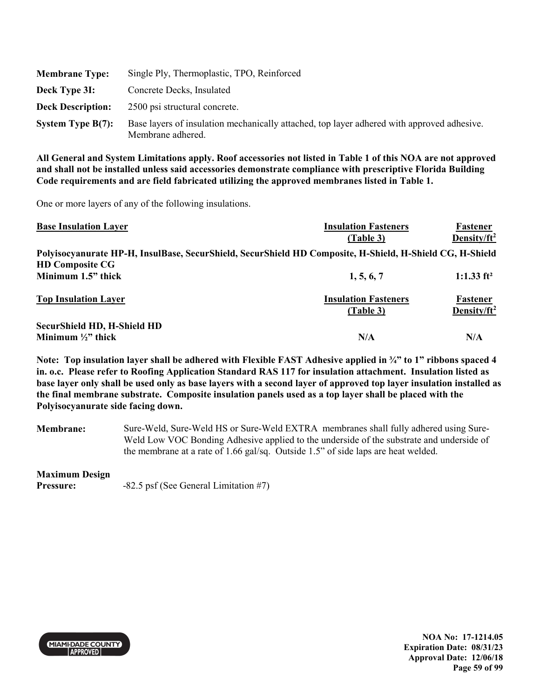| <b>Membrane Type:</b>    | Single Ply, Thermoplastic, TPO, Reinforced                                                                      |
|--------------------------|-----------------------------------------------------------------------------------------------------------------|
| Deck Type 3I:            | Concrete Decks, Insulated                                                                                       |
| <b>Deck Description:</b> | 2500 psi structural concrete.                                                                                   |
| System Type $B(7)$ :     | Base layers of insulation mechanically attached, top layer adhered with approved adhesive.<br>Membrane adhered. |

One or more layers of any of the following insulations.

| <b>Base Insulation Layer</b>                                                                             | <b>Insulation Fasteners</b> | Fastener                |
|----------------------------------------------------------------------------------------------------------|-----------------------------|-------------------------|
|                                                                                                          | (Table 3)                   | Density/ $ft^2$         |
| Polyisocyanurate HP-H, InsulBase, SecurShield, SecurShield HD Composite, H-Shield, H-Shield CG, H-Shield |                             |                         |
| <b>HD Composite CG</b>                                                                                   |                             |                         |
| Minimum 1.5" thick                                                                                       | 1, 5, 6, 7                  | 1:1.33 $ft^2$           |
| <b>Top Insulation Layer</b>                                                                              | <b>Insulation Fasteners</b> | Fastener                |
|                                                                                                          | (Table 3)                   | Density/ft <sup>2</sup> |
| <b>SecurShield HD, H-Shield HD</b>                                                                       |                             |                         |
| Minimum $\frac{1}{2}$ thick                                                                              | N/A                         | N/A                     |

**Note: Top insulation layer shall be adhered with Flexible FAST Adhesive applied in ¾" to 1" ribbons spaced 4 in. o.c. Please refer to Roofing Application Standard RAS 117 for insulation attachment. Insulation listed as base layer only shall be used only as base layers with a second layer of approved top layer insulation installed as the final membrane substrate. Composite insulation panels used as a top layer shall be placed with the Polyisocyanurate side facing down.** 

**Membrane:** Sure-Weld, Sure-Weld HS or Sure-Weld EXTRA membranes shall fully adhered using Sure-Weld Low VOC Bonding Adhesive applied to the underside of the substrate and underside of the membrane at a rate of 1.66 gal/sq. Outside 1.5" of side laps are heat welded.

#### **Maximum Design**

**Pressure:**  $-82.5$  psf (See General Limitation #7)



**NOA No: 17-1214.05 Expiration Date: 08/31/23 Approval Date: 12/06/18 Page 59 of 99**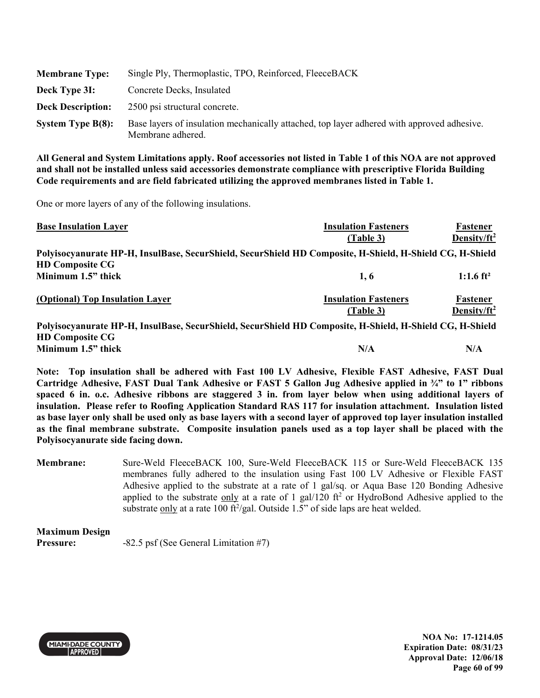| <b>Membrane Type:</b>    | Single Ply, Thermoplastic, TPO, Reinforced, FleeceBACK                                                          |
|--------------------------|-----------------------------------------------------------------------------------------------------------------|
| Deck Type 3I:            | Concrete Decks, Insulated                                                                                       |
| <b>Deck Description:</b> | 2500 psi structural concrete.                                                                                   |
| System Type $B(8)$ :     | Base layers of insulation mechanically attached, top layer adhered with approved adhesive.<br>Membrane adhered. |

One or more layers of any of the following insulations.

| <b>Base Insulation Layer</b>                                                                             | <b>Insulation Fasteners</b> | Fastener                |
|----------------------------------------------------------------------------------------------------------|-----------------------------|-------------------------|
|                                                                                                          | (Table 3)                   | Density/ $ft^2$         |
| Polyisocyanurate HP-H, InsulBase, SecurShield, SecurShield HD Composite, H-Shield, H-Shield CG, H-Shield |                             |                         |
| <b>HD Composite CG</b>                                                                                   |                             |                         |
| Minimum 1.5" thick                                                                                       | 1, 6                        | 1:1.6 ft <sup>2</sup>   |
| (Optional) Top Insulation Layer                                                                          | <b>Insulation Fasteners</b> | Fastener                |
|                                                                                                          | (Table 3)                   | Density/ft <sup>2</sup> |
| Polyisocyanurate HP-H, InsulBase, SecurShield, SecurShield HD Composite, H-Shield, H-Shield CG, H-Shield |                             |                         |
| <b>HD</b> Composite CG                                                                                   |                             |                         |

```
\mathcal Lomposite
Minimum 1.5" thick N/A N/A N/A N/A
```
**Note: Top insulation shall be adhered with Fast 100 LV Adhesive, Flexible FAST Adhesive, FAST Dual Cartridge Adhesive, FAST Dual Tank Adhesive or FAST 5 Gallon Jug Adhesive applied in ¾" to 1" ribbons spaced 6 in. o.c. Adhesive ribbons are staggered 3 in. from layer below when using additional layers of insulation. Please refer to Roofing Application Standard RAS 117 for insulation attachment. Insulation listed as base layer only shall be used only as base layers with a second layer of approved top layer insulation installed as the final membrane substrate. Composite insulation panels used as a top layer shall be placed with the Polyisocyanurate side facing down.** 

**Membrane:** Sure-Weld FleeceBACK 100, Sure-Weld FleeceBACK 115 or Sure-Weld FleeceBACK 135 membranes fully adhered to the insulation using Fast 100 LV Adhesive or Flexible FAST Adhesive applied to the substrate at a rate of 1 gal/sq. or Aqua Base 120 Bonding Adhesive applied to the substrate  $\frac{only}{}$  at a rate of 1 gal/120 ft<sup>2</sup> or HydroBond Adhesive applied to the substrate only at a rate 100 ft $^2$ /gal. Outside 1.5" of side laps are heat welded.

| <b>Maximum Design</b> |                                         |
|-----------------------|-----------------------------------------|
| <b>Pressure:</b>      | $-82.5$ psf (See General Limitation #7) |



**NOA No: 17-1214.05 Expiration Date: 08/31/23 Approval Date: 12/06/18 Page 60 of 99**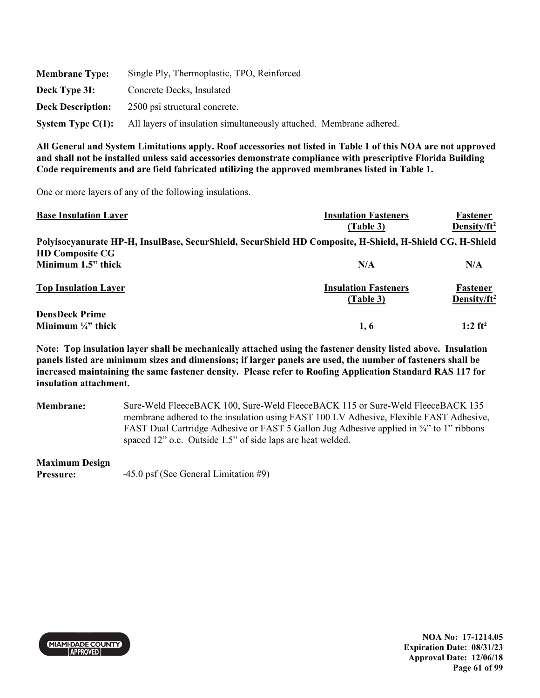| <b>Membrane Type:</b>    | Single Ply, Thermoplastic, TPO, Reinforced                          |
|--------------------------|---------------------------------------------------------------------|
| Deck Type 3I:            | Concrete Decks, Insulated                                           |
| <b>Deck Description:</b> | 2500 psi structural concrete.                                       |
| System Type $C(1)$ :     | All layers of insulation simultaneously attached. Membrane adhered. |

One or more layers of any of the following insulations.

| <b>Base Insulation Layer</b>  | <b>Insulation Fasteners</b>                                                                              | Fastener                    |
|-------------------------------|----------------------------------------------------------------------------------------------------------|-----------------------------|
|                               | (Table 3)                                                                                                | Density/ $ft^2$             |
|                               | Polyisocyanurate HP-H, InsulBase, SecurShield, SecurShield HD Composite, H-Shield, H-Shield CG, H-Shield |                             |
| <b>HD Composite CG</b>        |                                                                                                          |                             |
| Minimum 1.5" thick            | N/A                                                                                                      | N/A                         |
| <b>Top Insulation Layer</b>   | <b>Insulation Fasteners</b><br>(Table 3)                                                                 | Fastener<br>Density/ $ft^2$ |
| <b>DensDeck Prime</b>         |                                                                                                          |                             |
| Minimum $\frac{1}{4}$ " thick | 1, 6                                                                                                     | $1:2$ ft <sup>2</sup>       |

**Note: Top insulation layer shall be mechanically attached using the fastener density listed above. Insulation panels listed are minimum sizes and dimensions; if larger panels are used, the number of fasteners shall be increased maintaining the same fastener density. Please refer to Roofing Application Standard RAS 117 for insulation attachment.** 

**Membrane:** Sure-Weld FleeceBACK 100, Sure-Weld FleeceBACK 115 or Sure-Weld FleeceBACK 135 membrane adhered to the insulation using FAST 100 LV Adhesive, Flexible FAST Adhesive, FAST Dual Cartridge Adhesive or FAST 5 Gallon Jug Adhesive applied in ¾" to 1" ribbons spaced 12" o.c. Outside 1.5" of side laps are heat welded.

#### **Maximum Design**

**Pressure:**  $-45.0 \text{ psf}$  (See General Limitation #9)



**NOA No: 17-1214.05 Expiration Date: 08/31/23 Approval Date: 12/06/18 Page 61 of 99**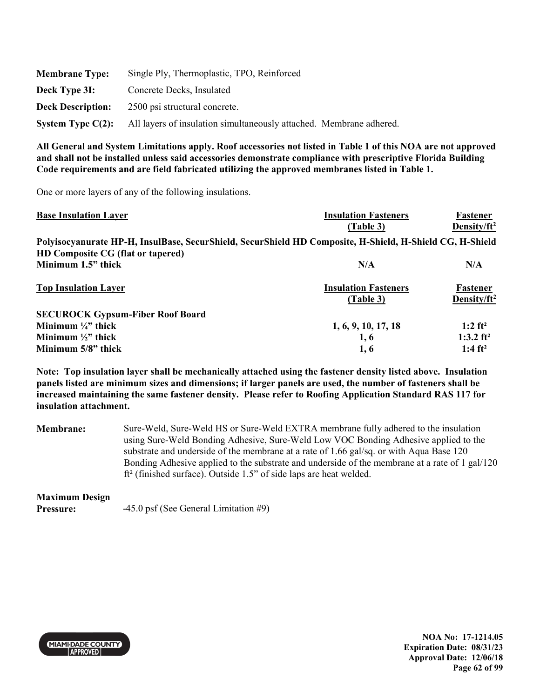| <b>Membrane Type:</b>    | Single Ply, Thermoplastic, TPO, Reinforced                          |
|--------------------------|---------------------------------------------------------------------|
| Deck Type 3I:            | Concrete Decks, Insulated                                           |
| <b>Deck Description:</b> | 2500 psi structural concrete.                                       |
| System Type $C(2)$ :     | All layers of insulation simultaneously attached. Membrane adhered. |

One or more layers of any of the following insulations.

| <b>Base Insulation Layer</b>                                                                             | <b>Insulation Fasteners</b> | Fastener              |
|----------------------------------------------------------------------------------------------------------|-----------------------------|-----------------------|
|                                                                                                          | (Table 3)                   | Density/ $ft^2$       |
| Polyisocyanurate HP-H, InsulBase, SecurShield, SecurShield HD Composite, H-Shield, H-Shield CG, H-Shield |                             |                       |
| HD Composite CG (flat or tapered)                                                                        |                             |                       |
| Minimum 1.5" thick                                                                                       | N/A                         | N/A                   |
| <b>Top Insulation Layer</b>                                                                              | <b>Insulation Fasteners</b> | Fastener              |
|                                                                                                          | (Table 3)                   | Density/ $ft^2$       |
| <b>SECUROCK Gypsum-Fiber Roof Board</b>                                                                  |                             |                       |
| Minimum $\frac{1}{4}$ thick                                                                              | 1, 6, 9, 10, 17, 18         | $1:2 \text{ ft}^2$    |
| Minimum $\frac{1}{2}$ thick                                                                              | 1, 6                        | 1:3.2 ft <sup>2</sup> |
| Minimum 5/8" thick                                                                                       | 1, 6                        | 1:4 $ft^2$            |

**Note: Top insulation layer shall be mechanically attached using the fastener density listed above. Insulation panels listed are minimum sizes and dimensions; if larger panels are used, the number of fasteners shall be increased maintaining the same fastener density. Please refer to Roofing Application Standard RAS 117 for insulation attachment.** 

**Membrane:** Sure-Weld, Sure-Weld HS or Sure-Weld EXTRA membrane fully adhered to the insulation using Sure-Weld Bonding Adhesive, Sure-Weld Low VOC Bonding Adhesive applied to the substrate and underside of the membrane at a rate of 1.66 gal/sq. or with Aqua Base 120 Bonding Adhesive applied to the substrate and underside of the membrane at a rate of 1 gal/120 ft² (finished surface). Outside 1.5" of side laps are heat welded.

# **Maximum Design**

**Pressure:**  $-45.0 \text{ psf}$  (See General Limitation #9)



**NOA No: 17-1214.05 Expiration Date: 08/31/23 Approval Date: 12/06/18 Page 62 of 99**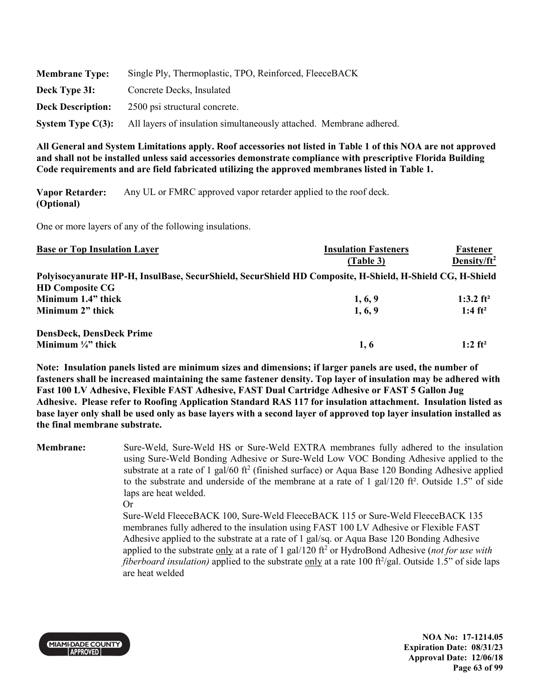| <b>Membrane Type:</b>    | Single Ply, Thermoplastic, TPO, Reinforced, FleeceBACK              |
|--------------------------|---------------------------------------------------------------------|
| Deck Type 3I:            | Concrete Decks, Insulated                                           |
| <b>Deck Description:</b> | 2500 psi structural concrete.                                       |
| System Type $C(3)$ :     | All layers of insulation simultaneously attached. Membrane adhered. |

**Vapor Retarder: (Optional)**  Any UL or FMRC approved vapor retarder applied to the roof deck.

One or more layers of any of the following insulations.

| <b>Base or Top Insulation Layer</b>                                                                      | <b>Insulation Fasteners</b> | Fastener              |
|----------------------------------------------------------------------------------------------------------|-----------------------------|-----------------------|
|                                                                                                          | (Table 3)                   | Density/ $ft^2$       |
| Polyisocyanurate HP-H, InsulBase, SecurShield, SecurShield HD Composite, H-Shield, H-Shield CG, H-Shield |                             |                       |
| <b>HD Composite CG</b>                                                                                   |                             |                       |
| Minimum 1.4" thick                                                                                       | 1, 6, 9                     | 1:3.2 $ft^2$          |
| Minimum 2" thick                                                                                         | 1, 6, 9                     | 1:4 $ft^2$            |
| <b>DensDeck, DensDeck Prime</b>                                                                          |                             |                       |
| Minimum $\frac{1}{4}$ " thick                                                                            | 1.6                         | $1:2$ ft <sup>2</sup> |

**Note: Insulation panels listed are minimum sizes and dimensions; if larger panels are used, the number of fasteners shall be increased maintaining the same fastener density. Top layer of insulation may be adhered with Fast 100 LV Adhesive, Flexible FAST Adhesive, FAST Dual Cartridge Adhesive or FAST 5 Gallon Jug Adhesive. Please refer to Roofing Application Standard RAS 117 for insulation attachment. Insulation listed as base layer only shall be used only as base layers with a second layer of approved top layer insulation installed as the final membrane substrate.** 

**Membrane:** Sure-Weld, Sure-Weld HS or Sure-Weld EXTRA membranes fully adhered to the insulation using Sure-Weld Bonding Adhesive or Sure-Weld Low VOC Bonding Adhesive applied to the substrate at a rate of 1 gal/60 ft<sup>2</sup> (finished surface) or Aqua Base 120 Bonding Adhesive applied to the substrate and underside of the membrane at a rate of 1 gal/120  $\text{ft}^2$ . Outside 1.5" of side laps are heat welded.

Or Sure-Weld FleeceBACK 100, Sure-Weld FleeceBACK 115 or Sure-Weld FleeceBACK 135 membranes fully adhered to the insulation using FAST 100 LV Adhesive or Flexible FAST Adhesive applied to the substrate at a rate of 1 gal/sq. or Aqua Base 120 Bonding Adhesive applied to the substrate only at a rate of 1 gal/120 ft<sup>2</sup> or HydroBond Adhesive (not for use with fiberboard insulation) applied to the substrate only at a rate 100 ft<sup>2</sup>/gal. Outside 1.5" of side laps are heat welded



**NOA No: 17-1214.05 Expiration Date: 08/31/23 Approval Date: 12/06/18 Page 63 of 99**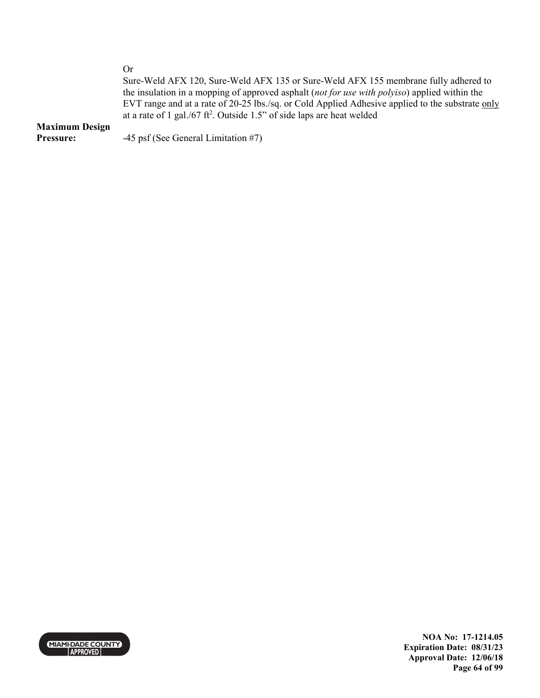Or

Sure-Weld AFX 120, Sure-Weld AFX 135 or Sure-Weld AFX 155 membrane fully adhered to the insulation in a mopping of approved asphalt (*not for use with polyiso*) applied within the EVT range and at a rate of 20-25 lbs./sq. or Cold Applied Adhesive applied to the substrate only at a rate of 1 gal./67 ft<sup>2</sup>. Outside 1.5" of side laps are heat welded

#### **Maximum Design**

**Pressure:**  $-45 \text{ psf}$  (See General Limitation #7)



**NOA No: 17-1214.05 Expiration Date: 08/31/23 Approval Date: 12/06/18 Page 64 of 99**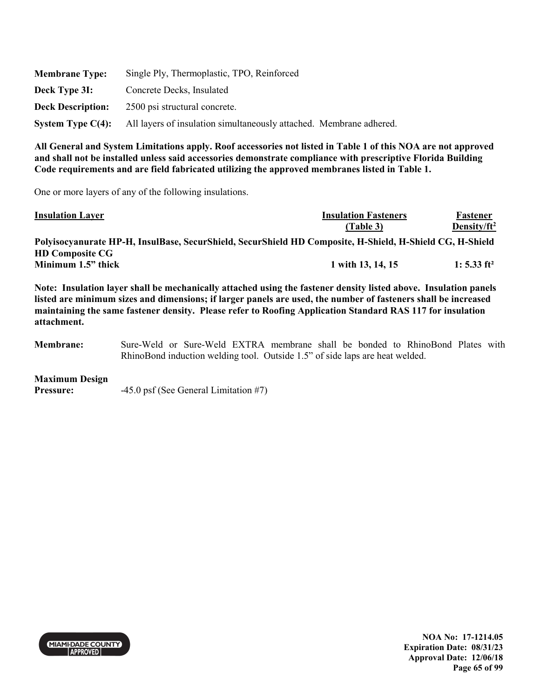| <b>Membrane Type:</b>    | Single Ply, Thermoplastic, TPO, Reinforced                          |
|--------------------------|---------------------------------------------------------------------|
| Deck Type 3I:            | Concrete Decks, Insulated                                           |
| <b>Deck Description:</b> | 2500 psi structural concrete.                                       |
| System Type $C(4)$ :     | All layers of insulation simultaneously attached. Membrane adhered. |

One or more layers of any of the following insulations.

| <b>Insulation Layer</b>                                                                                  | <b>Insulation Fasteners</b> | Fastener        |
|----------------------------------------------------------------------------------------------------------|-----------------------------|-----------------|
|                                                                                                          | (Table 3)                   | Density/ $ft^2$ |
| Polyisocyanurate HP-H, InsulBase, SecurShield, SecurShield HD Composite, H-Shield, H-Shield CG, H-Shield |                             |                 |
| <b>HD Composite CG</b>                                                                                   |                             |                 |
| Minimum 1.5" thick                                                                                       | 1 with 13, 14, 15           | 1: 5.33 $ft^2$  |

**Note: Insulation layer shall be mechanically attached using the fastener density listed above. Insulation panels listed are minimum sizes and dimensions; if larger panels are used, the number of fasteners shall be increased maintaining the same fastener density. Please refer to Roofing Application Standard RAS 117 for insulation attachment.** 

**Membrane:** Sure-Weld or Sure-Weld EXTRA membrane shall be bonded to RhinoBond Plates with RhinoBond induction welding tool. Outside 1.5" of side laps are heat welded.

#### **Maximum Design**

**Pressure:**  $-45.0 \text{ psf}$  (See General Limitation #7)



**NOA No: 17-1214.05 Expiration Date: 08/31/23 Approval Date: 12/06/18 Page 65 of 99**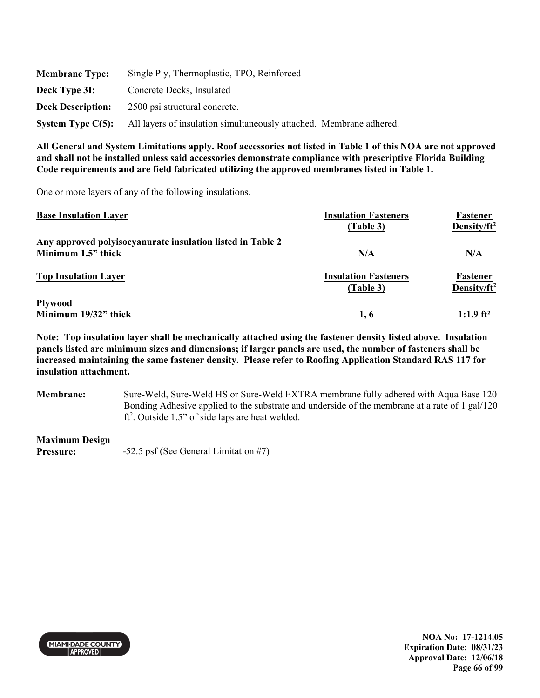| <b>Membrane Type:</b>    | Single Ply, Thermoplastic, TPO, Reinforced                          |
|--------------------------|---------------------------------------------------------------------|
| Deck Type 3I:            | Concrete Decks, Insulated                                           |
| <b>Deck Description:</b> | 2500 psi structural concrete.                                       |
| System Type $C(5)$ :     | All layers of insulation simultaneously attached. Membrane adhered. |

One or more layers of any of the following insulations.

| <b>Base Insulation Layer</b>                               | <b>Insulation Fasteners</b> | Fastener                |
|------------------------------------------------------------|-----------------------------|-------------------------|
|                                                            | (Table 3)                   | Density/ $ft^2$         |
| Any approved polyisocyanurate insulation listed in Table 2 |                             |                         |
| Minimum 1.5" thick                                         | N/A                         | N/A                     |
| <b>Top Insulation Layer</b>                                | <b>Insulation Fasteners</b> | Fastener                |
|                                                            | (Table 3)                   | Density/ $ft^2$         |
| <b>Plywood</b>                                             |                             |                         |
| Minimum 19/32" thick                                       | 1, 6                        | $1:1.9$ ft <sup>2</sup> |

**Note: Top insulation layer shall be mechanically attached using the fastener density listed above. Insulation panels listed are minimum sizes and dimensions; if larger panels are used, the number of fasteners shall be increased maintaining the same fastener density. Please refer to Roofing Application Standard RAS 117 for insulation attachment.** 

**Membrane:** Sure-Weld, Sure-Weld HS or Sure-Weld EXTRA membrane fully adhered with Aqua Base 120 Bonding Adhesive applied to the substrate and underside of the membrane at a rate of 1 gal/120 ft<sup>2</sup>. Outside 1.5" of side laps are heat welded.

### **Maximum Design**

**Pressure:**  $-52.5$  psf (See General Limitation #7)



**NOA No: 17-1214.05 Expiration Date: 08/31/23 Approval Date: 12/06/18 Page 66 of 99**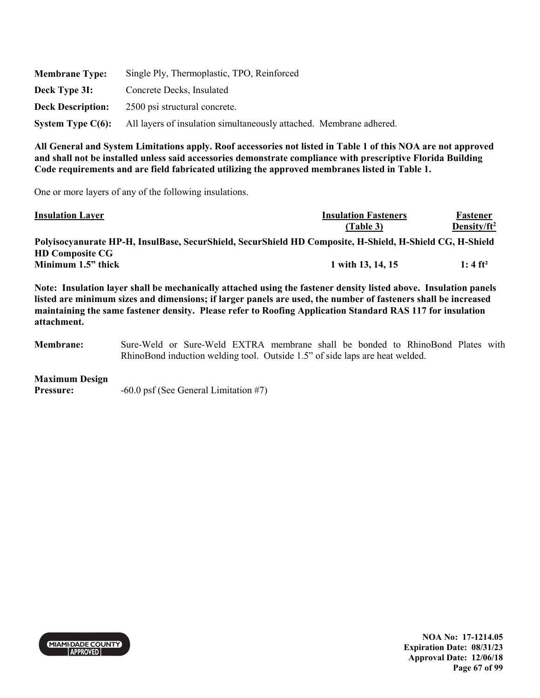| <b>Membrane Type:</b>    | Single Ply, Thermoplastic, TPO, Reinforced                          |
|--------------------------|---------------------------------------------------------------------|
| Deck Type 3I:            | Concrete Decks, Insulated                                           |
| <b>Deck Description:</b> | 2500 psi structural concrete.                                       |
| System Type $C(6)$ :     | All layers of insulation simultaneously attached. Membrane adhered. |

One or more layers of any of the following insulations.

| <b>Insulation Layer</b>                                                                                  | <b>Insulation Fasteners</b> | Fastener              |
|----------------------------------------------------------------------------------------------------------|-----------------------------|-----------------------|
|                                                                                                          | (Table 3)                   | Density/ $ft^2$       |
| Polyisocyanurate HP-H, InsulBase, SecurShield, SecurShield HD Composite, H-Shield, H-Shield CG, H-Shield |                             |                       |
| <b>HD Composite CG</b>                                                                                   |                             |                       |
| Minimum 1.5" thick                                                                                       | 1 with 13, 14, 15           | $1:4$ ft <sup>2</sup> |

**Note: Insulation layer shall be mechanically attached using the fastener density listed above. Insulation panels listed are minimum sizes and dimensions; if larger panels are used, the number of fasteners shall be increased maintaining the same fastener density. Please refer to Roofing Application Standard RAS 117 for insulation attachment.** 

**Membrane:** Sure-Weld or Sure-Weld EXTRA membrane shall be bonded to RhinoBond Plates with RhinoBond induction welding tool. Outside 1.5" of side laps are heat welded.

#### **Maximum Design**

**Pressure:**  $-60.0 \text{ psf}$  (See General Limitation #7)



**NOA No: 17-1214.05 Expiration Date: 08/31/23 Approval Date: 12/06/18 Page 67 of 99**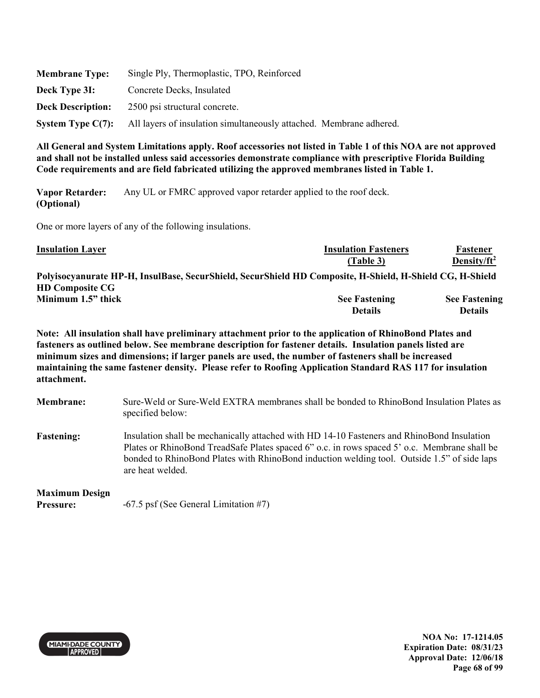| <b>Membrane Type:</b>    | Single Ply, Thermoplastic, TPO, Reinforced                          |
|--------------------------|---------------------------------------------------------------------|
| Deck Type 3I:            | Concrete Decks, Insulated                                           |
| <b>Deck Description:</b> | 2500 psi structural concrete.                                       |
| System Type $C(7)$ :     | All layers of insulation simultaneously attached. Membrane adhered. |

**Vapor Retarder: (Optional)**  Any UL or FMRC approved vapor retarder applied to the roof deck.

One or more layers of any of the following insulations.

| <b>Insulation Layer</b>                                                                                  | <b>Insulation Fasteners</b> | Fastener             |
|----------------------------------------------------------------------------------------------------------|-----------------------------|----------------------|
|                                                                                                          | (Table 3)                   | Density/ $ft^2$      |
| Polyisocyanurate HP-H, InsulBase, SecurShield, SecurShield HD Composite, H-Shield, H-Shield CG, H-Shield |                             |                      |
| <b>HD Composite CG</b>                                                                                   |                             |                      |
| Minimum 1.5" thick                                                                                       | <b>See Fastening</b>        | <b>See Fastening</b> |
|                                                                                                          | <b>Details</b>              | <b>Details</b>       |

**Note: All insulation shall have preliminary attachment prior to the application of RhinoBond Plates and fasteners as outlined below. See membrane description for fastener details. Insulation panels listed are minimum sizes and dimensions; if larger panels are used, the number of fasteners shall be increased maintaining the same fastener density. Please refer to Roofing Application Standard RAS 117 for insulation attachment.** 

- **Membrane:** Sure-Weld or Sure-Weld EXTRA membranes shall be bonded to RhinoBond Insulation Plates as specified below:
- **Fastening:** Insulation shall be mechanically attached with HD 14-10 Fasteners and RhinoBond Insulation Plates or RhinoBond TreadSafe Plates spaced 6" o.c. in rows spaced 5' o.c. Membrane shall be bonded to RhinoBond Plates with RhinoBond induction welding tool. Outside 1.5" of side laps are heat welded.

### **Maximum Design**

**Pressure:**  $-67.5 \text{ psf}$  (See General Limitation #7)



**NOA No: 17-1214.05 Expiration Date: 08/31/23 Approval Date: 12/06/18 Page 68 of 99**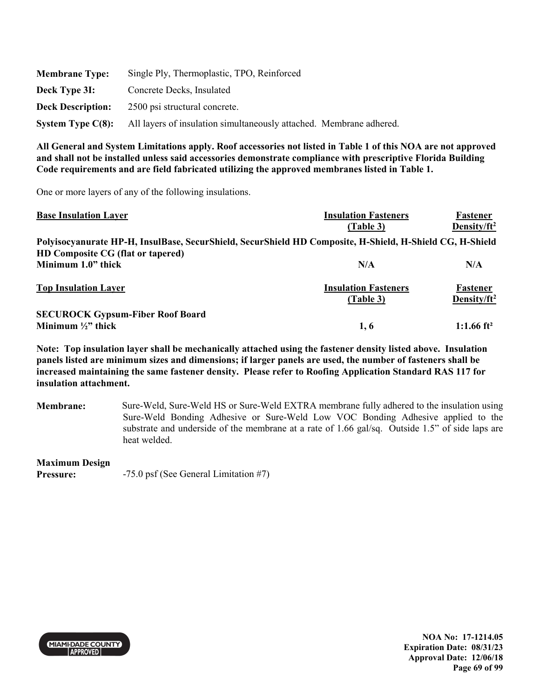| <b>Membrane Type:</b>    | Single Ply, Thermoplastic, TPO, Reinforced                          |
|--------------------------|---------------------------------------------------------------------|
| Deck Type 3I:            | Concrete Decks, Insulated                                           |
| <b>Deck Description:</b> | 2500 psi structural concrete.                                       |
| System Type $C(8)$ :     | All layers of insulation simultaneously attached. Membrane adhered. |

One or more layers of any of the following insulations.

| <b>Base Insulation Layer</b>                                                                             | <b>Insulation Fasteners</b>              | Fastener                            |
|----------------------------------------------------------------------------------------------------------|------------------------------------------|-------------------------------------|
|                                                                                                          | (Table 3)                                | Density/ $ft^2$                     |
| Polyisocyanurate HP-H, InsulBase, SecurShield, SecurShield HD Composite, H-Shield, H-Shield CG, H-Shield |                                          |                                     |
| HD Composite CG (flat or tapered)                                                                        |                                          |                                     |
| Minimum 1.0" thick                                                                                       | N/A                                      | N/A                                 |
| <b>Top Insulation Layer</b>                                                                              | <b>Insulation Fasteners</b><br>(Table 3) | Fastener<br>Density/ft <sup>2</sup> |
| <b>SECUROCK Gypsum-Fiber Roof Board</b>                                                                  |                                          |                                     |
| Minimum $\frac{1}{2}$ thick                                                                              | 1, 6                                     | 1:1.66 ft <sup>2</sup>              |

**Note: Top insulation layer shall be mechanically attached using the fastener density listed above. Insulation panels listed are minimum sizes and dimensions; if larger panels are used, the number of fasteners shall be increased maintaining the same fastener density. Please refer to Roofing Application Standard RAS 117 for insulation attachment.** 

**Membrane:** Sure-Weld, Sure-Weld HS or Sure-Weld EXTRA membrane fully adhered to the insulation using Sure-Weld Bonding Adhesive or Sure-Weld Low VOC Bonding Adhesive applied to the substrate and underside of the membrane at a rate of 1.66 gal/sq. Outside 1.5" of side laps are heat welded.

**Maximum Design** 

**Pressure:**  $-75.0 \text{ psf}$  (See General Limitation #7)



**NOA No: 17-1214.05 Expiration Date: 08/31/23 Approval Date: 12/06/18 Page 69 of 99**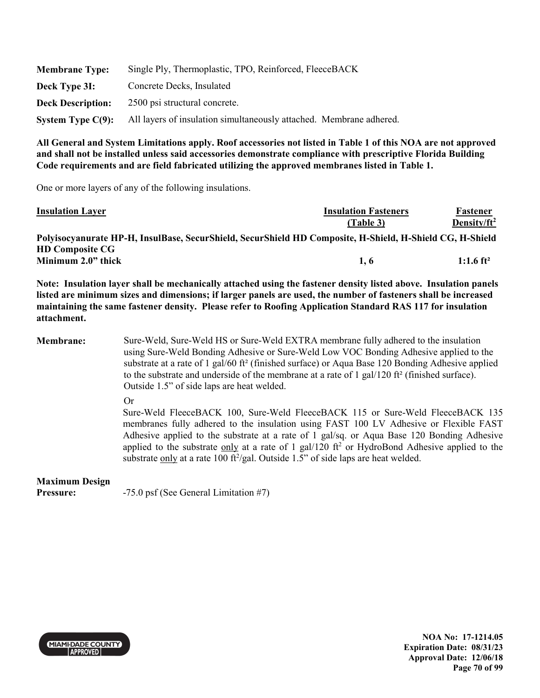| <b>Membrane Type:</b>    | Single Ply, Thermoplastic, TPO, Reinforced, FleeceBACK              |
|--------------------------|---------------------------------------------------------------------|
| Deck Type 31:            | Concrete Decks, Insulated                                           |
| <b>Deck Description:</b> | 2500 psi structural concrete.                                       |
| System Type $C(9)$ :     | All layers of insulation simultaneously attached. Membrane adhered. |

One or more layers of any of the following insulations.

| <b>Insulation Layer</b>                                                                                  | <b>Insulation Fasteners</b> | Fastener              |
|----------------------------------------------------------------------------------------------------------|-----------------------------|-----------------------|
|                                                                                                          | (Table 3)                   | Density/ $ft^2$       |
| Polyisocyanurate HP-H, InsulBase, SecurShield, SecurShield HD Composite, H-Shield, H-Shield CG, H-Shield |                             |                       |
| <b>HD Composite CG</b>                                                                                   |                             |                       |
| Minimum 2.0" thick                                                                                       | 1.6                         | 1:1.6 ft <sup>2</sup> |

**Note: Insulation layer shall be mechanically attached using the fastener density listed above. Insulation panels listed are minimum sizes and dimensions; if larger panels are used, the number of fasteners shall be increased maintaining the same fastener density. Please refer to Roofing Application Standard RAS 117 for insulation attachment.** 

**Membrane:** Sure-Weld, Sure-Weld HS or Sure-Weld EXTRA membrane fully adhered to the insulation using Sure-Weld Bonding Adhesive or Sure-Weld Low VOC Bonding Adhesive applied to the substrate at a rate of 1 gal/60 ft² (finished surface) or Aqua Base 120 Bonding Adhesive applied to the substrate and underside of the membrane at a rate of  $1 \text{ gal}/120 \text{ ft}^2$  (finished surface). Outside 1.5" of side laps are heat welded.

Or

Sure-Weld FleeceBACK 100, Sure-Weld FleeceBACK 115 or Sure-Weld FleeceBACK 135 membranes fully adhered to the insulation using FAST 100 LV Adhesive or Flexible FAST Adhesive applied to the substrate at a rate of 1 gal/sq. or Aqua Base 120 Bonding Adhesive applied to the substrate  $\frac{only}{}$  at a rate of 1 gal/120 ft<sup>2</sup> or HydroBond Adhesive applied to the substrate only at a rate 100 ft $^2$ /gal. Outside 1.5" of side laps are heat welded.

# **Maximum Design**

**Pressure:**  $-75.0$  psf (See General Limitation #7)



**NOA No: 17-1214.05 Expiration Date: 08/31/23 Approval Date: 12/06/18 Page 70 of 99**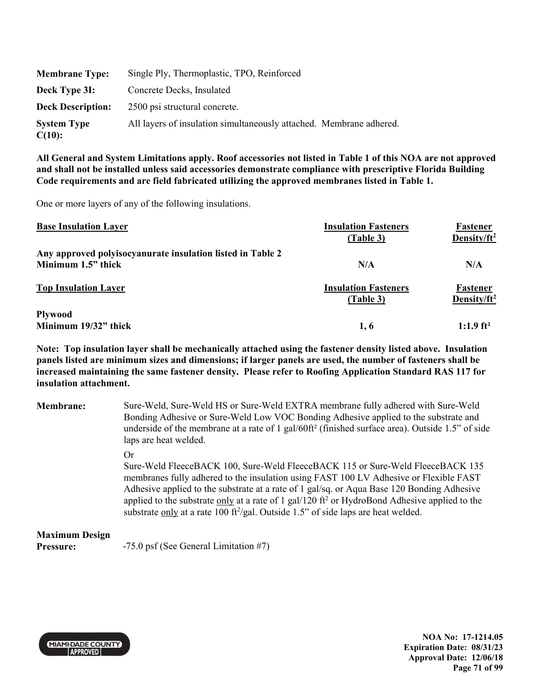| <b>Membrane Type:</b>        | Single Ply, Thermoplastic, TPO, Reinforced                          |
|------------------------------|---------------------------------------------------------------------|
| Deck Type 3I:                | Concrete Decks, Insulated                                           |
| <b>Deck Description:</b>     | 2500 psi structural concrete.                                       |
| <b>System Type</b><br>C(10): | All layers of insulation simultaneously attached. Membrane adhered. |

One or more layers of any of the following insulations.

| <b>Base Insulation Layer</b>                               | <b>Insulation Fasteners</b><br>(Table 3) | Fastener<br>Density/ $ft^2$ |
|------------------------------------------------------------|------------------------------------------|-----------------------------|
| Any approved polyisocyanurate insulation listed in Table 2 |                                          |                             |
| Minimum 1.5" thick                                         | N/A                                      | N/A                         |
| <b>Top Insulation Layer</b>                                | <b>Insulation Fasteners</b><br>(Table 3) | Fastener<br>Density/ $ft^2$ |
| <b>Plywood</b>                                             |                                          |                             |
| Minimum 19/32" thick                                       | 1.6                                      | $1:1.9$ ft <sup>2</sup>     |

**Note: Top insulation layer shall be mechanically attached using the fastener density listed above. Insulation panels listed are minimum sizes and dimensions; if larger panels are used, the number of fasteners shall be increased maintaining the same fastener density. Please refer to Roofing Application Standard RAS 117 for insulation attachment.** 

| <b>Membrane:</b> | Sure-Weld, Sure-Weld HS or Sure-Weld EXTRA membrane fully adhered with Sure-Weld                             |
|------------------|--------------------------------------------------------------------------------------------------------------|
|                  | Bonding Adhesive or Sure-Weld Low VOC Bonding Adhesive applied to the substrate and                          |
|                  | underside of the membrane at a rate of 1 gal/60ft <sup>2</sup> (finished surface area). Outside 1.5" of side |
|                  | laps are heat welded.                                                                                        |
|                  | $\alpha$                                                                                                     |

Sure-Weld FleeceBACK 100, Sure-Weld FleeceBACK 115 or Sure-Weld FleeceBACK 135 membranes fully adhered to the insulation using FAST 100 LV Adhesive or Flexible FAST Adhesive applied to the substrate at a rate of 1 gal/sq. or Aqua Base 120 Bonding Adhesive applied to the substrate only at a rate of 1 gal/120 ft<sup>2</sup> or HydroBond Adhesive applied to the substrate only at a rate 100 ft<sup>2</sup>/gal. Outside 1.5" of side laps are heat welded.

#### **Maximum Design**

**Pressure:**  $-75.0 \text{ psf}$  (See General Limitation #7)



**NOA No: 17-1214.05 Expiration Date: 08/31/23 Approval Date: 12/06/18 Page 71 of 99**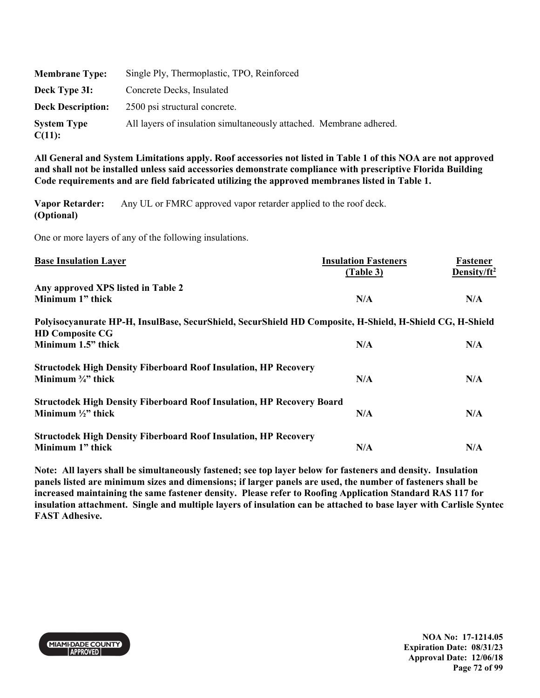| <b>Membrane Type:</b>        | Single Ply, Thermoplastic, TPO, Reinforced                          |
|------------------------------|---------------------------------------------------------------------|
| Deck Type 3I:                | Concrete Decks, Insulated                                           |
| <b>Deck Description:</b>     | 2500 psi structural concrete.                                       |
| <b>System Type</b><br>C(11): | All layers of insulation simultaneously attached. Membrane adhered. |

**Vapor Retarder: (Optional)**  Any UL or FMRC approved vapor retarder applied to the roof deck.

One or more layers of any of the following insulations.

| <b>Base Insulation Layer</b>                                                                                                       | <b>Insulation Fasteners</b><br>(Table 3) | Fastener<br>Density/ft <sup>2</sup> |
|------------------------------------------------------------------------------------------------------------------------------------|------------------------------------------|-------------------------------------|
| Any approved XPS listed in Table 2                                                                                                 |                                          |                                     |
| Minimum 1" thick                                                                                                                   | N/A                                      | N/A                                 |
| Polyisocyanurate HP-H, InsulBase, SecurShield, SecurShield HD Composite, H-Shield, H-Shield CG, H-Shield<br><b>HD Composite CG</b> |                                          |                                     |
| Minimum 1.5" thick                                                                                                                 | N/A                                      | N/A                                 |
| <b>Structodek High Density Fiberboard Roof Insulation, HP Recovery</b>                                                             |                                          |                                     |
| Minimum $\frac{3}{4}$ " thick                                                                                                      | N/A                                      | N/A                                 |
| <b>Structodek High Density Fiberboard Roof Insulation, HP Recovery Board</b>                                                       |                                          |                                     |
| Minimum $\frac{1}{2}$ " thick                                                                                                      | N/A                                      | N/A                                 |
| <b>Structodek High Density Fiberboard Roof Insulation, HP Recovery</b>                                                             |                                          |                                     |
| Minimum 1" thick                                                                                                                   | N/A                                      | N/A                                 |

**Note: All layers shall be simultaneously fastened; see top layer below for fasteners and density. Insulation panels listed are minimum sizes and dimensions; if larger panels are used, the number of fasteners shall be increased maintaining the same fastener density. Please refer to Roofing Application Standard RAS 117 for insulation attachment. Single and multiple layers of insulation can be attached to base layer with Carlisle Syntec FAST Adhesive.** 



**NOA No: 17-1214.05 Expiration Date: 08/31/23 Approval Date: 12/06/18 Page 72 of 99**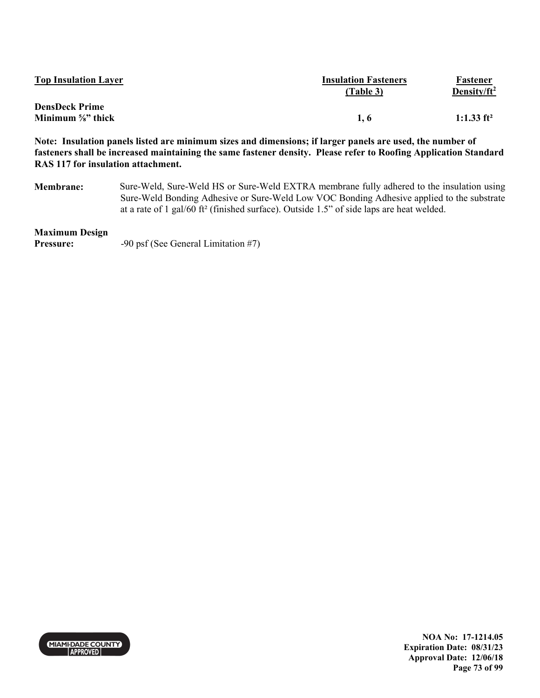| <b>Top Insulation Layer</b>   | <b>Insulation Fasteners</b><br>(Table 3) | Fastener<br>Density/ $ft^2$ |
|-------------------------------|------------------------------------------|-----------------------------|
| <b>DensDeck Prime</b>         |                                          |                             |
| Minimum $\frac{5}{8}$ " thick | 1.6                                      | 1:1.33 $ft^2$               |

**Note: Insulation panels listed are minimum sizes and dimensions; if larger panels are used, the number of fasteners shall be increased maintaining the same fastener density. Please refer to Roofing Application Standard RAS 117 for insulation attachment.** 

**Membrane:** Sure-Weld, Sure-Weld HS or Sure-Weld EXTRA membrane fully adhered to the insulation using Sure-Weld Bonding Adhesive or Sure-Weld Low VOC Bonding Adhesive applied to the substrate at a rate of 1 gal/60 ft² (finished surface). Outside 1.5" of side laps are heat welded.

#### **Maximum Design**

**Pressure:** -90 psf (See General Limitation #7)



**NOA No: 17-1214.05 Expiration Date: 08/31/23 Approval Date: 12/06/18 Page 73 of 99**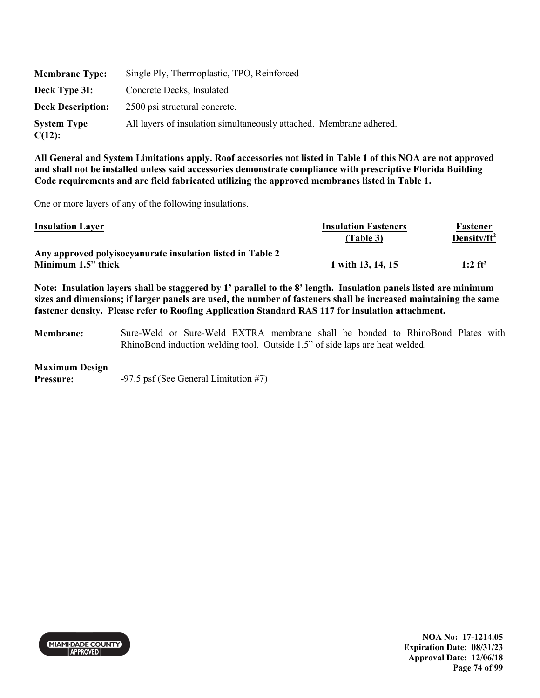| <b>Membrane Type:</b>           | Single Ply, Thermoplastic, TPO, Reinforced                          |
|---------------------------------|---------------------------------------------------------------------|
| Deck Type 31:                   | Concrete Decks, Insulated                                           |
| <b>Deck Description:</b>        | 2500 psi structural concrete.                                       |
| <b>System Type</b><br>$C(12)$ : | All layers of insulation simultaneously attached. Membrane adhered. |

One or more layers of any of the following insulations.

| <b>Insulation Layer</b>                                                          | <b>Insulation Fasteners</b><br>(Table 3) | Fastener<br>Density/ $ft^2$ |
|----------------------------------------------------------------------------------|------------------------------------------|-----------------------------|
| Any approved polyisocyanurate insulation listed in Table 2<br>Minimum 1.5" thick | 1 with 13, 14, 15                        | $1:2$ ft <sup>2</sup>       |

**Note: Insulation layers shall be staggered by 1' parallel to the 8' length. Insulation panels listed are minimum sizes and dimensions; if larger panels are used, the number of fasteners shall be increased maintaining the same fastener density. Please refer to Roofing Application Standard RAS 117 for insulation attachment.** 

**Membrane:** Sure-Weld or Sure-Weld EXTRA membrane shall be bonded to RhinoBond Plates with RhinoBond induction welding tool. Outside 1.5" of side laps are heat welded.

#### **Maximum Design**

**Pressure:**  $-97.5$  psf (See General Limitation #7)



**NOA No: 17-1214.05 Expiration Date: 08/31/23 Approval Date: 12/06/18 Page 74 of 99**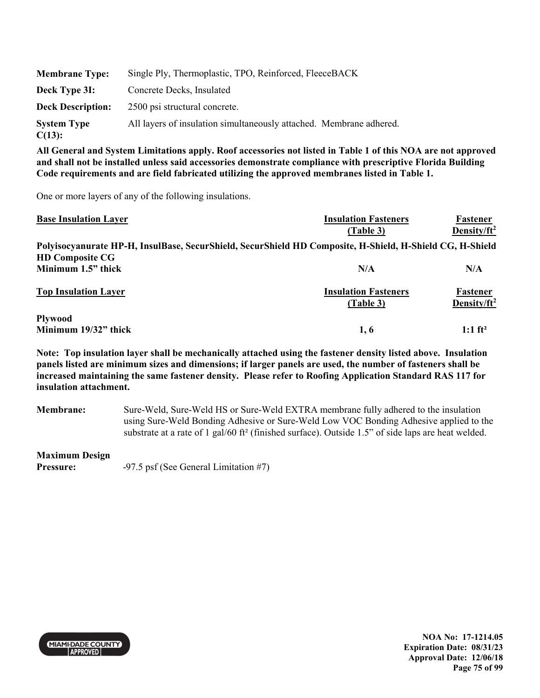| <b>Membrane Type:</b>        | Single Ply, Thermoplastic, TPO, Reinforced, FleeceBACK              |
|------------------------------|---------------------------------------------------------------------|
| Deck Type 3I:                | Concrete Decks, Insulated                                           |
| <b>Deck Description:</b>     | 2500 psi structural concrete.                                       |
| <b>System Type</b><br>C(13): | All layers of insulation simultaneously attached. Membrane adhered. |

One or more layers of any of the following insulations.

| <b>Base Insulation Layer</b> | <b>Insulation Fasteners</b>                                                                              | Fastener                |
|------------------------------|----------------------------------------------------------------------------------------------------------|-------------------------|
|                              | (Table 3)                                                                                                | Density/ft <sup>2</sup> |
|                              | Polyisocyanurate HP-H, InsulBase, SecurShield, SecurShield HD Composite, H-Shield, H-Shield CG, H-Shield |                         |
| <b>HD Composite CG</b>       |                                                                                                          |                         |
| Minimum 1.5" thick           | N/A                                                                                                      | N/A                     |
| <b>Top Insulation Layer</b>  | <b>Insulation Fasteners</b>                                                                              | Fastener                |
|                              | (Table 3)                                                                                                | Density/ft <sup>2</sup> |
| <b>Plywood</b>               |                                                                                                          |                         |
| Minimum 19/32" thick         | 1, 6                                                                                                     | $1:1 \text{ ft}^2$      |

**Note: Top insulation layer shall be mechanically attached using the fastener density listed above. Insulation panels listed are minimum sizes and dimensions; if larger panels are used, the number of fasteners shall be increased maintaining the same fastener density. Please refer to Roofing Application Standard RAS 117 for insulation attachment.** 

**Membrane:** Sure-Weld, Sure-Weld HS or Sure-Weld EXTRA membrane fully adhered to the insulation using Sure-Weld Bonding Adhesive or Sure-Weld Low VOC Bonding Adhesive applied to the substrate at a rate of 1 gal/60 ft<sup>2</sup> (finished surface). Outside 1.5" of side laps are heat welded.

**Maximum Design** 

**Pressure:**  $-97.5 \text{ psf}$  (See General Limitation #7)



**NOA No: 17-1214.05 Expiration Date: 08/31/23 Approval Date: 12/06/18 Page 75 of 99**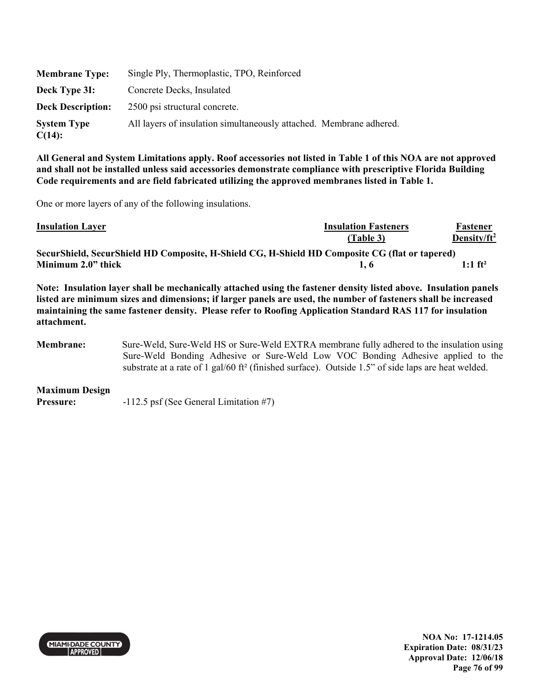| <b>Membrane Type:</b>           | Single Ply, Thermoplastic, TPO, Reinforced                          |
|---------------------------------|---------------------------------------------------------------------|
| Deck Type 3I:                   | Concrete Decks, Insulated                                           |
| <b>Deck Description:</b>        | 2500 psi structural concrete.                                       |
| <b>System Type</b><br>$C(14)$ : | All layers of insulation simultaneously attached. Membrane adhered. |

One or more layers of any of the following insulations.

| <b>Insulation Layer</b>                                                                        | <b>Insulation Fasteners</b> | Fastener              |
|------------------------------------------------------------------------------------------------|-----------------------------|-----------------------|
|                                                                                                | (Table 3)                   | Density/ $ft^2$       |
| SecurShield, SecurShield HD Composite, H-Shield CG, H-Shield HD Composite CG (flat or tapered) |                             |                       |
| Minimum 2.0" thick                                                                             | 1.6                         | $1:1$ ft <sup>2</sup> |

**Note: Insulation layer shall be mechanically attached using the fastener density listed above. Insulation panels listed are minimum sizes and dimensions; if larger panels are used, the number of fasteners shall be increased maintaining the same fastener density. Please refer to Roofing Application Standard RAS 117 for insulation attachment.** 

**Membrane:** Sure-Weld, Sure-Weld HS or Sure-Weld EXTRA membrane fully adhered to the insulation using Sure-Weld Bonding Adhesive or Sure-Weld Low VOC Bonding Adhesive applied to the substrate at a rate of 1 gal/60 ft² (finished surface). Outside 1.5" of side laps are heat welded.

**Maximum Design Pressure:**  $-112.5 \text{ psf (See General Limitation #7)}$ 



**NOA No: 17-1214.05 Expiration Date: 08/31/23 Approval Date: 12/06/18 Page 76 of 99**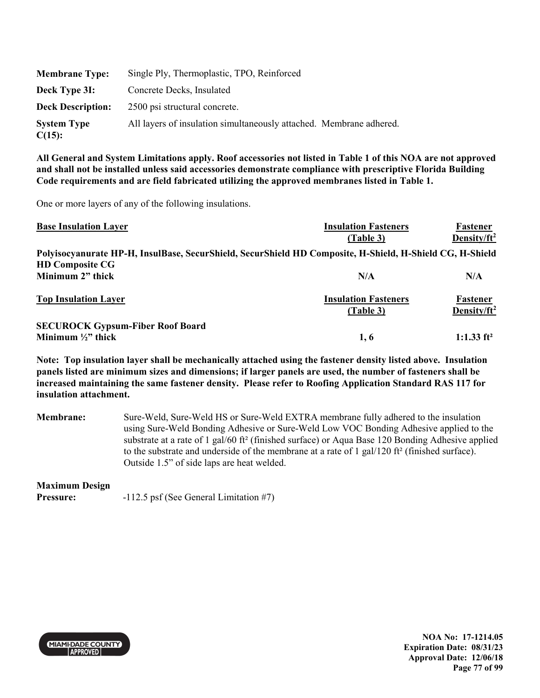| <b>Membrane Type:</b>           | Single Ply, Thermoplastic, TPO, Reinforced                          |
|---------------------------------|---------------------------------------------------------------------|
| Deck Type 3I:                   | Concrete Decks, Insulated                                           |
| <b>Deck Description:</b>        | 2500 psi structural concrete.                                       |
| <b>System Type</b><br>$C(15)$ : | All layers of insulation simultaneously attached. Membrane adhered. |

One or more layers of any of the following insulations.

| <b>Base Insulation Layer</b>                                                                             | <b>Insulation Fasteners</b>              | Fastener                            |
|----------------------------------------------------------------------------------------------------------|------------------------------------------|-------------------------------------|
|                                                                                                          | (Table 3)                                | Density/ $ft^2$                     |
| Polyisocyanurate HP-H, InsulBase, SecurShield, SecurShield HD Composite, H-Shield, H-Shield CG, H-Shield |                                          |                                     |
| <b>HD Composite CG</b>                                                                                   |                                          |                                     |
| Minimum 2" thick                                                                                         | N/A                                      | N/A                                 |
| <b>Top Insulation Layer</b>                                                                              | <b>Insulation Fasteners</b><br>(Table 3) | Fastener<br>Density/ft <sup>2</sup> |
|                                                                                                          |                                          |                                     |
| <b>SECUROCK Gypsum-Fiber Roof Board</b>                                                                  |                                          |                                     |
| Minimum $\frac{1}{2}$ " thick                                                                            | 1, 6                                     | 1:1.33 $ft^2$                       |

**Note: Top insulation layer shall be mechanically attached using the fastener density listed above. Insulation panels listed are minimum sizes and dimensions; if larger panels are used, the number of fasteners shall be increased maintaining the same fastener density. Please refer to Roofing Application Standard RAS 117 for insulation attachment.** 

**Membrane:** Sure-Weld, Sure-Weld HS or Sure-Weld EXTRA membrane fully adhered to the insulation using Sure-Weld Bonding Adhesive or Sure-Weld Low VOC Bonding Adhesive applied to the substrate at a rate of 1 gal/60 ft² (finished surface) or Aqua Base 120 Bonding Adhesive applied to the substrate and underside of the membrane at a rate of 1 gal/120 ft² (finished surface). Outside 1.5" of side laps are heat welded.

#### **Maximum Design**

**Pressure:**  $-112.5$  psf (See General Limitation #7)



**NOA No: 17-1214.05 Expiration Date: 08/31/23 Approval Date: 12/06/18 Page 77 of 99**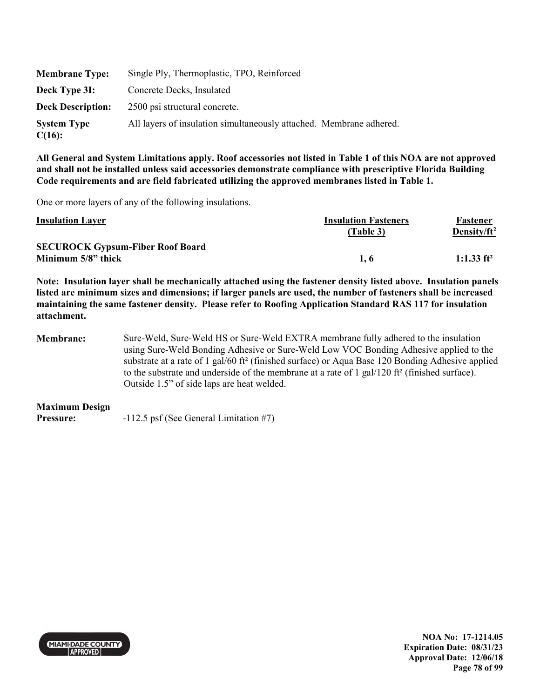| <b>Membrane Type:</b>           | Single Ply, Thermoplastic, TPO, Reinforced                          |
|---------------------------------|---------------------------------------------------------------------|
| Deck Type 3I:                   | Concrete Decks, Insulated                                           |
| <b>Deck Description:</b>        | 2500 psi structural concrete.                                       |
| <b>System Type</b><br>$C(16)$ : | All layers of insulation simultaneously attached. Membrane adhered. |

One or more layers of any of the following insulations.

| <b>Insulation Layer</b>                 | <b>Insulation Fasteners</b><br>(Table 3) | Fastener<br>Density/ft <sup>2</sup> |
|-----------------------------------------|------------------------------------------|-------------------------------------|
| <b>SECUROCK Gypsum-Fiber Roof Board</b> |                                          |                                     |
| Minimum 5/8" thick                      | 1.6                                      | 1:1.33 $ft^2$                       |

**Note: Insulation layer shall be mechanically attached using the fastener density listed above. Insulation panels listed are minimum sizes and dimensions; if larger panels are used, the number of fasteners shall be increased maintaining the same fastener density. Please refer to Roofing Application Standard RAS 117 for insulation attachment.** 

**Membrane:** Sure-Weld, Sure-Weld HS or Sure-Weld EXTRA membrane fully adhered to the insulation using Sure-Weld Bonding Adhesive or Sure-Weld Low VOC Bonding Adhesive applied to the substrate at a rate of 1 gal/60 ft<sup>2</sup> (finished surface) or Aqua Base 120 Bonding Adhesive applied to the substrate and underside of the membrane at a rate of  $1 \text{ gal}/120 \text{ ft}^2$  (finished surface). Outside 1.5" of side laps are heat welded.

**Maximum Design** 

**Pressure:**  $-112.5$  psf (See General Limitation #7)

**MIAMI DADE COUNTY APPROVED** 

**NOA No: 17-1214.05 Expiration Date: 08/31/23 Approval Date: 12/06/18 Page 78 of 99**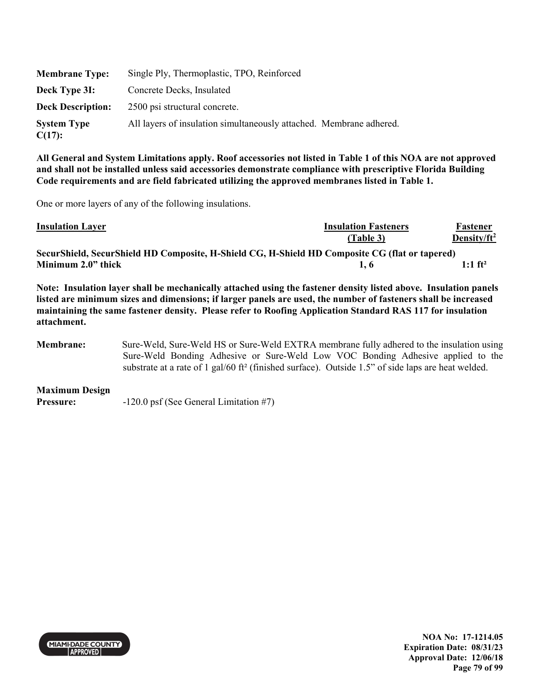| <b>Membrane Type:</b>           | Single Ply, Thermoplastic, TPO, Reinforced                          |
|---------------------------------|---------------------------------------------------------------------|
| Deck Type 3I:                   | Concrete Decks, Insulated                                           |
| <b>Deck Description:</b>        | 2500 psi structural concrete.                                       |
| <b>System Type</b><br>$C(17)$ : | All layers of insulation simultaneously attached. Membrane adhered. |

One or more layers of any of the following insulations.

| <b>Insulation Layer</b>                                                                        | <b>Insulation Fasteners</b> | Fastener              |
|------------------------------------------------------------------------------------------------|-----------------------------|-----------------------|
|                                                                                                | (Table 3)                   | Density/ $ft^2$       |
| SecurShield, SecurShield HD Composite, H-Shield CG, H-Shield HD Composite CG (flat or tapered) |                             |                       |
| Minimum 2.0" thick                                                                             | 1.6                         | $1:1$ ft <sup>2</sup> |

**Note: Insulation layer shall be mechanically attached using the fastener density listed above. Insulation panels listed are minimum sizes and dimensions; if larger panels are used, the number of fasteners shall be increased maintaining the same fastener density. Please refer to Roofing Application Standard RAS 117 for insulation attachment.** 

**Membrane:** Sure-Weld, Sure-Weld HS or Sure-Weld EXTRA membrane fully adhered to the insulation using Sure-Weld Bonding Adhesive or Sure-Weld Low VOC Bonding Adhesive applied to the substrate at a rate of 1 gal/60 ft² (finished surface). Outside 1.5" of side laps are heat welded.

**Maximum Design Pressure:**  $-120.0 \text{ psf (See General Limitation #7)}$ 



**NOA No: 17-1214.05 Expiration Date: 08/31/23 Approval Date: 12/06/18 Page 79 of 99**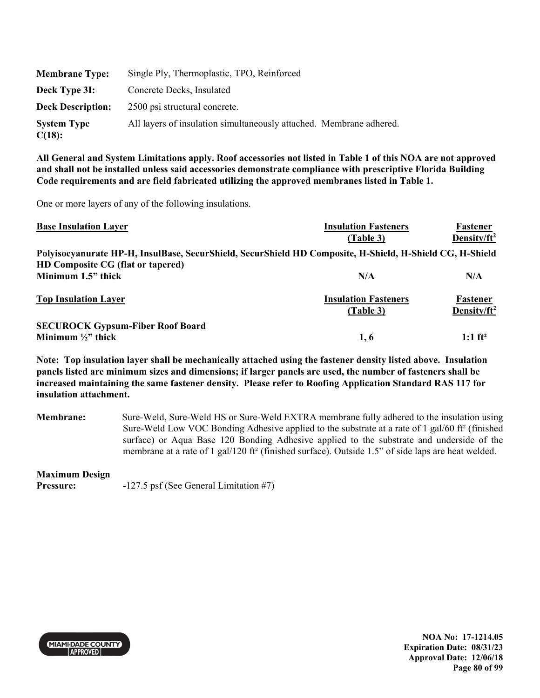| <b>Membrane Type:</b>           | Single Ply, Thermoplastic, TPO, Reinforced                          |
|---------------------------------|---------------------------------------------------------------------|
| Deck Type 3I:                   | Concrete Decks, Insulated                                           |
| <b>Deck Description:</b>        | 2500 psi structural concrete.                                       |
| <b>System Type</b><br>$C(18)$ : | All layers of insulation simultaneously attached. Membrane adhered. |

One or more layers of any of the following insulations.

| <b>Base Insulation Layer</b>                                                                             | <b>Insulation Fasteners</b>              | Fastener                            |
|----------------------------------------------------------------------------------------------------------|------------------------------------------|-------------------------------------|
|                                                                                                          | (Table 3)                                | Density/ $ft^2$                     |
| Polyisocyanurate HP-H, InsulBase, SecurShield, SecurShield HD Composite, H-Shield, H-Shield CG, H-Shield |                                          |                                     |
| HD Composite CG (flat or tapered)                                                                        |                                          |                                     |
| Minimum 1.5" thick                                                                                       | N/A                                      | N/A                                 |
| <b>Top Insulation Layer</b>                                                                              | <b>Insulation Fasteners</b><br>(Table 3) | Fastener<br>Density/ft <sup>2</sup> |
|                                                                                                          |                                          |                                     |
| <b>SECUROCK Gypsum-Fiber Roof Board</b>                                                                  |                                          |                                     |
| Minimum $\frac{1}{2}$ thick                                                                              | 1, 6                                     | $1:1 \text{ ft}^2$                  |

**Note: Top insulation layer shall be mechanically attached using the fastener density listed above. Insulation panels listed are minimum sizes and dimensions; if larger panels are used, the number of fasteners shall be increased maintaining the same fastener density. Please refer to Roofing Application Standard RAS 117 for insulation attachment.** 

**Membrane:** Sure-Weld, Sure-Weld HS or Sure-Weld EXTRA membrane fully adhered to the insulation using Sure-Weld Low VOC Bonding Adhesive applied to the substrate at a rate of 1 gal/60 ft² (finished surface) or Aqua Base 120 Bonding Adhesive applied to the substrate and underside of the membrane at a rate of 1 gal/120 ft² (finished surface). Outside 1.5" of side laps are heat welded.

#### **Maximum Design**

**Pressure:**  $-127.5$  psf (See General Limitation #7)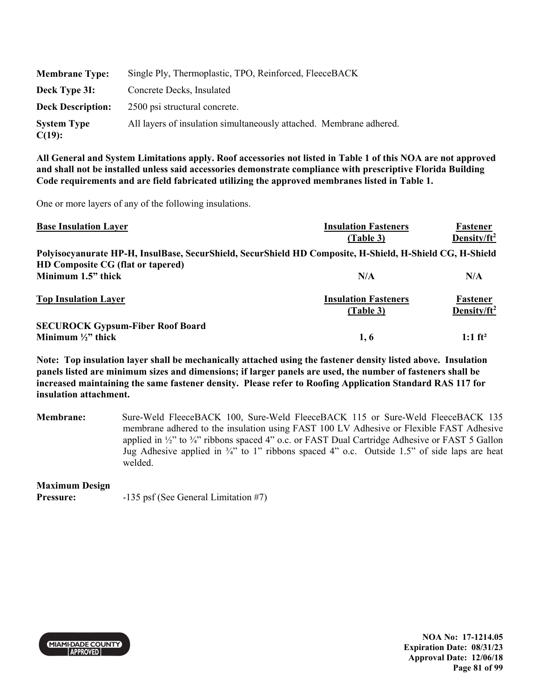| <b>Membrane Type:</b>           | Single Ply, Thermoplastic, TPO, Reinforced, FleeceBACK              |
|---------------------------------|---------------------------------------------------------------------|
| Deck Type 3I:                   | Concrete Decks, Insulated                                           |
| <b>Deck Description:</b>        | 2500 psi structural concrete.                                       |
| <b>System Type</b><br>$C(19)$ : | All layers of insulation simultaneously attached. Membrane adhered. |

One or more layers of any of the following insulations.

| <b>Base Insulation Layer</b>                                                                             | <b>Insulation Fasteners</b>              | Fastener                            |
|----------------------------------------------------------------------------------------------------------|------------------------------------------|-------------------------------------|
|                                                                                                          | (Table 3)                                | Density/ $ft^2$                     |
| Polyisocyanurate HP-H, InsulBase, SecurShield, SecurShield HD Composite, H-Shield, H-Shield CG, H-Shield |                                          |                                     |
| HD Composite CG (flat or tapered)                                                                        |                                          |                                     |
| Minimum 1.5" thick                                                                                       | N/A                                      | N/A                                 |
| <b>Top Insulation Layer</b>                                                                              | <b>Insulation Fasteners</b><br>(Table 3) | Fastener<br>Density/ft <sup>2</sup> |
|                                                                                                          |                                          |                                     |
| <b>SECUROCK Gypsum-Fiber Roof Board</b>                                                                  |                                          |                                     |
| Minimum $\frac{1}{2}$ thick                                                                              | 1, 6                                     | $1:1 \text{ ft}^2$                  |

**Note: Top insulation layer shall be mechanically attached using the fastener density listed above. Insulation panels listed are minimum sizes and dimensions; if larger panels are used, the number of fasteners shall be increased maintaining the same fastener density. Please refer to Roofing Application Standard RAS 117 for insulation attachment.** 

**Membrane:** Sure-Weld FleeceBACK 100, Sure-Weld FleeceBACK 115 or Sure-Weld FleeceBACK 135 membrane adhered to the insulation using FAST 100 LV Adhesive or Flexible FAST Adhesive applied in  $\frac{1}{2}$ " to  $\frac{3}{4}$ " ribbons spaced 4" o.c. or FAST Dual Cartridge Adhesive or FAST 5 Gallon Jug Adhesive applied in  $\frac{3}{4}$  to 1" ribbons spaced 4" o.c. Outside 1.5" of side laps are heat welded.

#### **Maximum Design**

**Pressure:** -135 psf (See General Limitation #7)



**NOA No: 17-1214.05 Expiration Date: 08/31/23 Approval Date: 12/06/18 Page 81 of 99**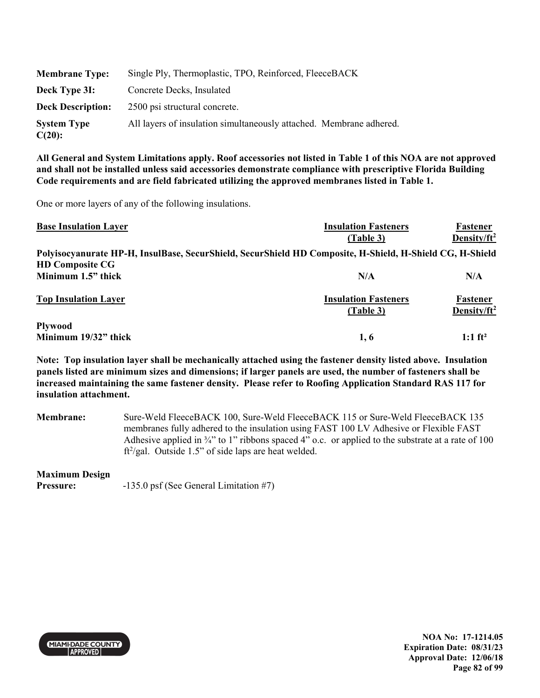| <b>Membrane Type:</b>           | Single Ply, Thermoplastic, TPO, Reinforced, FleeceBACK              |
|---------------------------------|---------------------------------------------------------------------|
| Deck Type 3I:                   | Concrete Decks, Insulated                                           |
| <b>Deck Description:</b>        | 2500 psi structural concrete.                                       |
| <b>System Type</b><br>$C(20)$ : | All layers of insulation simultaneously attached. Membrane adhered. |

One or more layers of any of the following insulations.

| <b>Base Insulation Layer</b> | <b>Insulation Fasteners</b>                                                                              | Fastener                            |
|------------------------------|----------------------------------------------------------------------------------------------------------|-------------------------------------|
|                              | (Table 3)                                                                                                | Density/ $ft^2$                     |
|                              | Polyisocyanurate HP-H, InsulBase, SecurShield, SecurShield HD Composite, H-Shield, H-Shield CG, H-Shield |                                     |
| <b>HD Composite CG</b>       |                                                                                                          |                                     |
| Minimum 1.5" thick           | N/A                                                                                                      | N/A                                 |
| <b>Top Insulation Layer</b>  | <b>Insulation Fasteners</b><br>(Table 3)                                                                 | Fastener<br>Density/ft <sup>2</sup> |
| <b>Plywood</b>               |                                                                                                          |                                     |
| Minimum 19/32" thick         | 1, 6                                                                                                     | $1:1 \text{ ft}^2$                  |

**Note: Top insulation layer shall be mechanically attached using the fastener density listed above. Insulation panels listed are minimum sizes and dimensions; if larger panels are used, the number of fasteners shall be increased maintaining the same fastener density. Please refer to Roofing Application Standard RAS 117 for insulation attachment.** 

**Membrane:** Sure-Weld FleeceBACK 100, Sure-Weld FleeceBACK 115 or Sure-Weld FleeceBACK 135 membranes fully adhered to the insulation using FAST 100 LV Adhesive or Flexible FAST Adhesive applied in  $\frac{3}{4}$ " to 1" ribbons spaced 4" o.c. or applied to the substrate at a rate of 100 ft<sup>2</sup>/gal. Outside 1.5" of side laps are heat welded.

#### **Maximum Design**

**Pressure:**  $-135.0 \text{ psf}$  (See General Limitation #7)



**NOA No: 17-1214.05 Expiration Date: 08/31/23 Approval Date: 12/06/18 Page 82 of 99**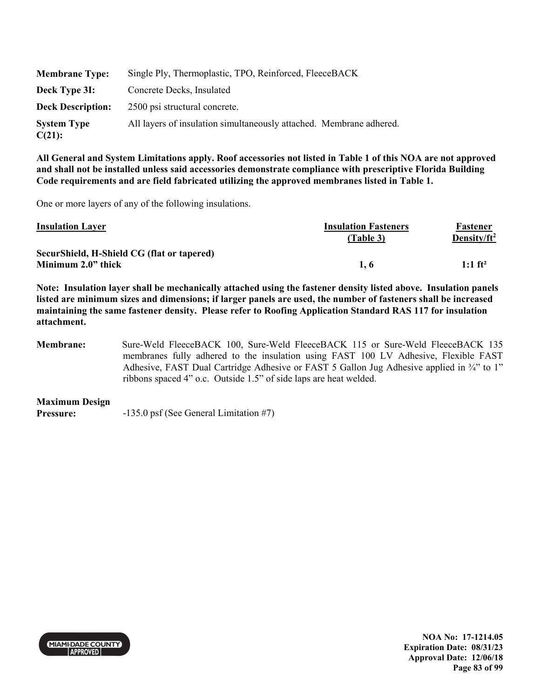| <b>Membrane Type:</b>        | Single Ply, Thermoplastic, TPO, Reinforced, FleeceBACK              |
|------------------------------|---------------------------------------------------------------------|
| Deck Type 3I:                | Concrete Decks, Insulated                                           |
| <b>Deck Description:</b>     | 2500 psi structural concrete.                                       |
| <b>System Type</b><br>C(21): | All layers of insulation simultaneously attached. Membrane adhered. |

One or more layers of any of the following insulations.

| <b>Insulation Layer</b>                    | <b>Insulation Fasteners</b> | Fastener              |
|--------------------------------------------|-----------------------------|-----------------------|
|                                            | (Table 3)                   | Density/ $ft^2$       |
| SecurShield, H-Shield CG (flat or tapered) |                             |                       |
| Minimum 2.0" thick                         | 1.6                         | $1:1$ ft <sup>2</sup> |

**Note: Insulation layer shall be mechanically attached using the fastener density listed above. Insulation panels listed are minimum sizes and dimensions; if larger panels are used, the number of fasteners shall be increased maintaining the same fastener density. Please refer to Roofing Application Standard RAS 117 for insulation attachment.** 

**Membrane:** Sure-Weld FleeceBACK 100, Sure-Weld FleeceBACK 115 or Sure-Weld FleeceBACK 135 membranes fully adhered to the insulation using FAST 100 LV Adhesive, Flexible FAST Adhesive, FAST Dual Cartridge Adhesive or FAST 5 Gallon Jug Adhesive applied in ¾" to 1" ribbons spaced 4" o.c. Outside 1.5" of side laps are heat welded.

**Maximum Design Pressure:** -135.0 psf (See General Limitation #7)



**NOA No: 17-1214.05 Expiration Date: 08/31/23 Approval Date: 12/06/18 Page 83 of 99**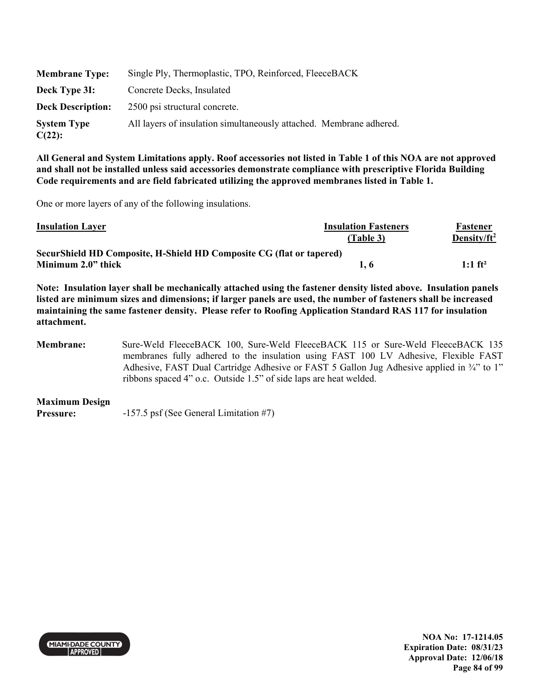| <b>Membrane Type:</b>           | Single Ply, Thermoplastic, TPO, Reinforced, FleeceBACK              |
|---------------------------------|---------------------------------------------------------------------|
| Deck Type 3I:                   | Concrete Decks, Insulated                                           |
| <b>Deck Description:</b>        | 2500 psi structural concrete.                                       |
| <b>System Type</b><br>$C(22)$ : | All layers of insulation simultaneously attached. Membrane adhered. |

One or more layers of any of the following insulations.

| <b>Insulation Layer</b>                                              | <b>Insulation Fasteners</b> | Fastener              |
|----------------------------------------------------------------------|-----------------------------|-----------------------|
|                                                                      | (Table 3)                   | Density/ $ft^2$       |
| SecurShield HD Composite, H-Shield HD Composite CG (flat or tapered) |                             |                       |
| Minimum 2.0" thick                                                   | 1. 6                        | $1:1$ ft <sup>2</sup> |

**Note: Insulation layer shall be mechanically attached using the fastener density listed above. Insulation panels listed are minimum sizes and dimensions; if larger panels are used, the number of fasteners shall be increased maintaining the same fastener density. Please refer to Roofing Application Standard RAS 117 for insulation attachment.** 

**Membrane:** Sure-Weld FleeceBACK 100, Sure-Weld FleeceBACK 115 or Sure-Weld FleeceBACK 135 membranes fully adhered to the insulation using FAST 100 LV Adhesive, Flexible FAST Adhesive, FAST Dual Cartridge Adhesive or FAST 5 Gallon Jug Adhesive applied in ¾" to 1" ribbons spaced 4" o.c. Outside 1.5" of side laps are heat welded.

**Maximum Design Pressure:** -157.5 psf (See General Limitation #7)



**NOA No: 17-1214.05 Expiration Date: 08/31/23 Approval Date: 12/06/18 Page 84 of 99**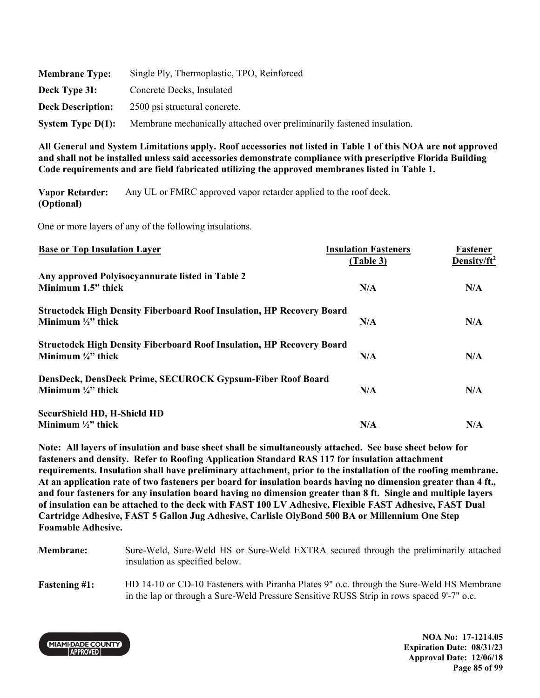| <b>Membrane Type:</b>    | Single Ply, Thermoplastic, TPO, Reinforced                             |
|--------------------------|------------------------------------------------------------------------|
| Deck Type 3I:            | Concrete Decks, Insulated                                              |
| <b>Deck Description:</b> | 2500 psi structural concrete.                                          |
| System Type $D(1)$ :     | Membrane mechanically attached over preliminarily fastened insulation. |

**Vapor Retarder: (Optional)**  Any UL or FMRC approved vapor retarder applied to the roof deck.

One or more layers of any of the following insulations.

| <b>Base or Top Insulation Layer</b>                                          | <b>Insulation Fasteners</b> | Fastener                |
|------------------------------------------------------------------------------|-----------------------------|-------------------------|
|                                                                              | (Table 3)                   | Density/ft <sup>2</sup> |
| Any approved Polyisocyannurate listed in Table 2                             |                             |                         |
| Minimum 1.5" thick                                                           | N/A                         | N/A                     |
| <b>Structodek High Density Fiberboard Roof Insulation, HP Recovery Board</b> |                             |                         |
| Minimum $\frac{1}{2}$ thick                                                  | N/A                         | N/A                     |
| <b>Structodek High Density Fiberboard Roof Insulation, HP Recovery Board</b> |                             |                         |
| Minimum $\frac{3}{4}$ " thick                                                | N/A                         | N/A                     |
| DensDeck, DensDeck Prime, SECUROCK Gypsum-Fiber Roof Board                   |                             |                         |
| Minimum $\frac{1}{4}$ thick                                                  | N/A                         | N/A                     |
| <b>SecurShield HD, H-Shield HD</b>                                           |                             |                         |
| Minimum $\frac{1}{2}$ " thick                                                | N/A                         | N/A                     |

**Note: All layers of insulation and base sheet shall be simultaneously attached. See base sheet below for fasteners and density. Refer to Roofing Application Standard RAS 117 for insulation attachment requirements. Insulation shall have preliminary attachment, prior to the installation of the roofing membrane. At an application rate of two fasteners per board for insulation boards having no dimension greater than 4 ft., and four fasteners for any insulation board having no dimension greater than 8 ft. Single and multiple layers of insulation can be attached to the deck with FAST 100 LV Adhesive, Flexible FAST Adhesive, FAST Dual Cartridge Adhesive, FAST 5 Gallon Jug Adhesive, Carlisle OlyBond 500 BA or Millennium One Step Foamable Adhesive.** 

**Membrane:** Sure-Weld, Sure-Weld HS or Sure-Weld EXTRA secured through the preliminarily attached insulation as specified below. **Fastening #1:** HD 14-10 or CD-10 Fasteners with Piranha Plates 9" o.c. through the Sure-Weld HS Membrane in the lap or through a Sure-Weld Pressure Sensitive RUSS Strip in rows spaced 9'-7" o.c.



**NOA No: 17-1214.05 Expiration Date: 08/31/23 Approval Date: 12/06/18 Page 85 of 99**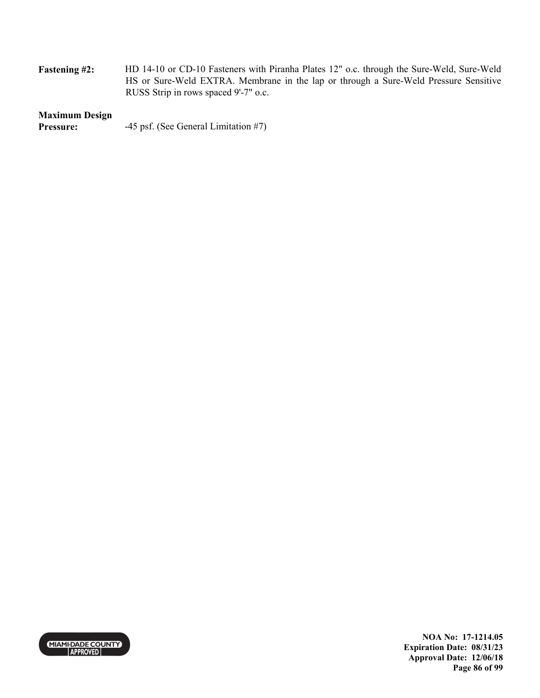| <b>Fastening #2:</b> | HD 14-10 or CD-10 Fasteners with Piranha Plates 12" o.c. through the Sure-Weld, Sure-Weld |
|----------------------|-------------------------------------------------------------------------------------------|
|                      | HS or Sure-Weld EXTRA. Membrane in the lap or through a Sure-Weld Pressure Sensitive      |
|                      | RUSS Strip in rows spaced 9'-7" o.c.                                                      |

# **Maximum Design**

**Pressure:** -45 psf. (See General Limitation #7)



**NOA No: 17-1214.05 Expiration Date: 08/31/23 Approval Date: 12/06/18 Page 86 of 99**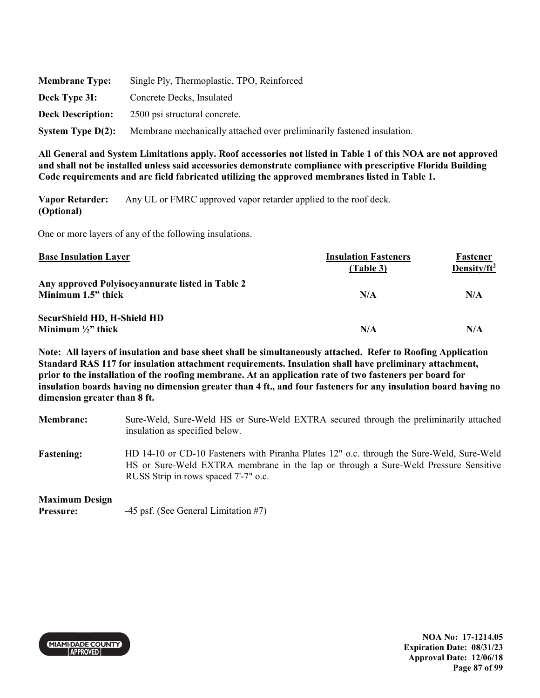| <b>Membrane Type:</b>    | Single Ply, Thermoplastic, TPO, Reinforced                             |
|--------------------------|------------------------------------------------------------------------|
| Deck Type 3I:            | Concrete Decks, Insulated                                              |
| <b>Deck Description:</b> | 2500 psi structural concrete.                                          |
| System Type $D(2)$ :     | Membrane mechanically attached over preliminarily fastened insulation. |

**Vapor Retarder: (Optional)**  Any UL or FMRC approved vapor retarder applied to the roof deck.

One or more layers of any of the following insulations.

| <b>Base Insulation Layer</b>                     | <b>Insulation Fasteners</b><br>(Table 3) | Fastener<br>Density/ft <sup>2</sup> |
|--------------------------------------------------|------------------------------------------|-------------------------------------|
| Any approved Polyisocyannurate listed in Table 2 |                                          |                                     |
| Minimum 1.5" thick                               | N/A                                      | N/A                                 |
| SecurShield HD, H-Shield HD                      |                                          |                                     |
| Minimum $\frac{1}{2}$ " thick                    | N/A                                      | N/A                                 |

**Note: All layers of insulation and base sheet shall be simultaneously attached. Refer to Roofing Application Standard RAS 117 for insulation attachment requirements. Insulation shall have preliminary attachment, prior to the installation of the roofing membrane. At an application rate of two fasteners per board for insulation boards having no dimension greater than 4 ft., and four fasteners for any insulation board having no dimension greater than 8 ft.** 

**Membrane:** Sure-Weld, Sure-Weld HS or Sure-Weld EXTRA secured through the preliminarily attached insulation as specified below. **Fastening:** HD 14-10 or CD-10 Fasteners with Piranha Plates 12" o.c. through the Sure-Weld, Sure-Weld HS or Sure-Weld EXTRA membrane in the lap or through a Sure-Weld Pressure Sensitive RUSS Strip in rows spaced 7'-7" o.c.

## **Maximum Design**

**Pressure:**  $-45 \text{ psf.}$  (See General Limitation #7)



**NOA No: 17-1214.05 Expiration Date: 08/31/23 Approval Date: 12/06/18 Page 87 of 99**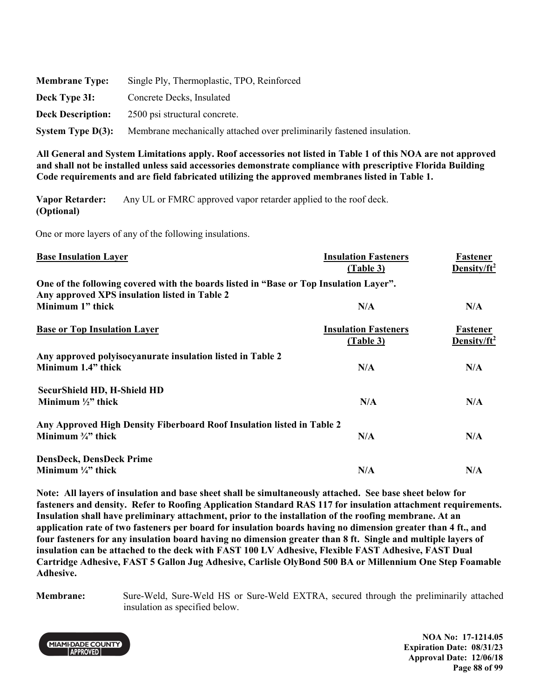| <b>Membrane Type:</b>    | Single Ply, Thermoplastic, TPO, Reinforced                             |
|--------------------------|------------------------------------------------------------------------|
| Deck Type 3I:            | Concrete Decks, Insulated                                              |
| <b>Deck Description:</b> | 2500 psi structural concrete.                                          |
| System Type $D(3)$ :     | Membrane mechanically attached over preliminarily fastened insulation. |

**Vapor Retarder: (Optional)**  Any UL or FMRC approved vapor retarder applied to the roof deck.

One or more layers of any of the following insulations.

| <b>Base Insulation Layer</b>                                                           | <b>Insulation Fasteners</b><br>(Table 3) | Fastener<br>Density/ft <sup>2</sup> |
|----------------------------------------------------------------------------------------|------------------------------------------|-------------------------------------|
| One of the following covered with the boards listed in "Base or Top Insulation Layer". |                                          |                                     |
| Any approved XPS insulation listed in Table 2                                          |                                          |                                     |
| Minimum 1" thick                                                                       | N/A                                      | N/A                                 |
| <b>Base or Top Insulation Layer</b>                                                    | <b>Insulation Fasteners</b>              | Fastener                            |
|                                                                                        | (Table 3)                                | Density/ $ft^2$                     |
| Any approved polyisocyanurate insulation listed in Table 2                             |                                          |                                     |
| Minimum 1.4" thick                                                                     | N/A                                      | N/A                                 |
| <b>SecurShield HD, H-Shield HD</b>                                                     |                                          |                                     |
| Minimum $\frac{1}{2}$ thick                                                            | N/A                                      | N/A                                 |
| Any Approved High Density Fiberboard Roof Insulation listed in Table 2                 |                                          |                                     |
| Minimum $\frac{3}{4}$ " thick                                                          | N/A                                      | N/A                                 |
| <b>DensDeck, DensDeck Prime</b>                                                        |                                          |                                     |
| Minimum $\frac{1}{4}$ " thick                                                          | N/A                                      | N/A                                 |
|                                                                                        |                                          |                                     |

**Note: All layers of insulation and base sheet shall be simultaneously attached. See base sheet below for fasteners and density. Refer to Roofing Application Standard RAS 117 for insulation attachment requirements. Insulation shall have preliminary attachment, prior to the installation of the roofing membrane. At an application rate of two fasteners per board for insulation boards having no dimension greater than 4 ft., and four fasteners for any insulation board having no dimension greater than 8 ft. Single and multiple layers of insulation can be attached to the deck with FAST 100 LV Adhesive, Flexible FAST Adhesive, FAST Dual Cartridge Adhesive, FAST 5 Gallon Jug Adhesive, Carlisle OlyBond 500 BA or Millennium One Step Foamable Adhesive.** 

**Membrane:** Sure-Weld, Sure-Weld HS or Sure-Weld EXTRA, secured through the preliminarily attached insulation as specified below.



**NOA No: 17-1214.05 Expiration Date: 08/31/23 Approval Date: 12/06/18 Page 88 of 99**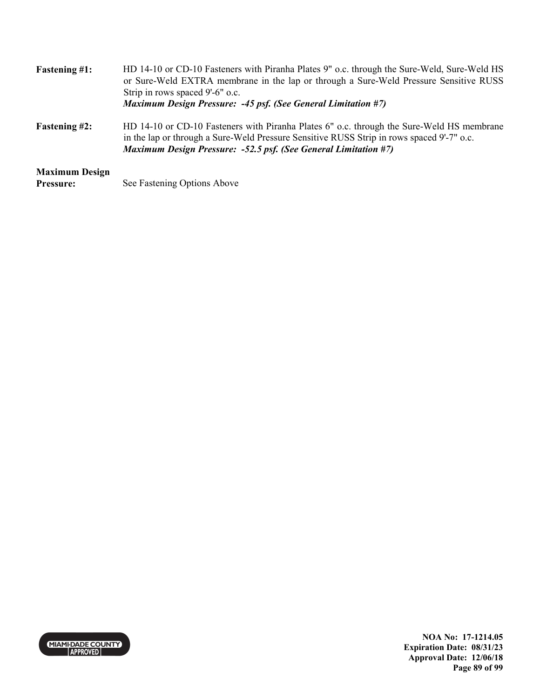| <b>Fastening #1:</b>                      | HD 14-10 or CD-10 Fasteners with Piranha Plates 9" o.c. through the Sure-Weld, Sure-Weld HS<br>or Sure-Weld EXTRA membrane in the lap or through a Sure-Weld Pressure Sensitive RUSS<br>Strip in rows spaced 9'-6" o.c.<br>Maximum Design Pressure: -45 psf. (See General Limitation #7) |
|-------------------------------------------|------------------------------------------------------------------------------------------------------------------------------------------------------------------------------------------------------------------------------------------------------------------------------------------|
| <b>Fastening #2:</b>                      | HD 14-10 or CD-10 Fasteners with Piranha Plates 6" o.c. through the Sure-Weld HS membrane<br>in the lap or through a Sure-Weld Pressure Sensitive RUSS Strip in rows spaced 9'-7" o.c.<br><b>Maximum Design Pressure: -52.5 psf. (See General Limitation #7)</b>                         |
| <b>Maximum Design</b><br><b>Pressure:</b> | See Fastening Options Above                                                                                                                                                                                                                                                              |



**NOA No: 17-1214.05 Expiration Date: 08/31/23 Approval Date: 12/06/18 Page 89 of 99**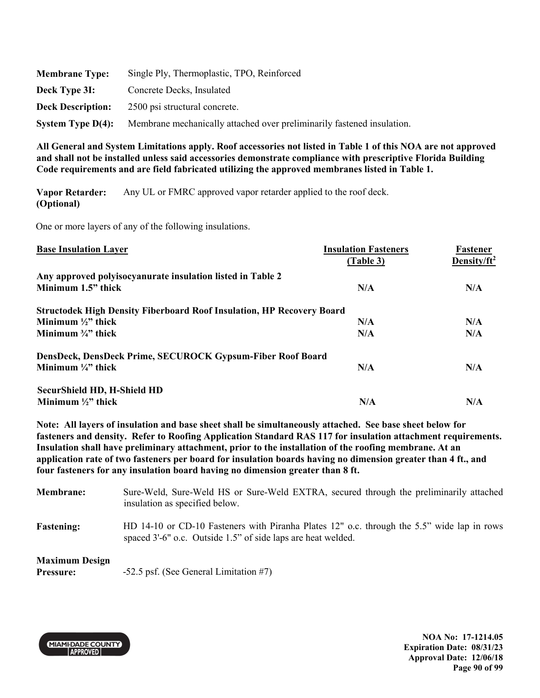| <b>Membrane Type:</b>    | Single Ply, Thermoplastic, TPO, Reinforced                             |
|--------------------------|------------------------------------------------------------------------|
| Deck Type 3I:            | Concrete Decks, Insulated                                              |
| <b>Deck Description:</b> | 2500 psi structural concrete.                                          |
| System Type $D(4)$ :     | Membrane mechanically attached over preliminarily fastened insulation. |

**Vapor Retarder: (Optional)**  Any UL or FMRC approved vapor retarder applied to the roof deck.

One or more layers of any of the following insulations.

| <b>Base Insulation Layer</b>                                                 | <b>Insulation Fasteners</b> | Fastener        |
|------------------------------------------------------------------------------|-----------------------------|-----------------|
|                                                                              | (Table 3)                   | Density/ $ft^2$ |
| Any approved polyisocyanurate insulation listed in Table 2                   |                             |                 |
| Minimum 1.5" thick                                                           | N/A                         | N/A             |
| <b>Structodek High Density Fiberboard Roof Insulation, HP Recovery Board</b> |                             |                 |
| Minimum $\frac{1}{2}$ thick                                                  | N/A                         | N/A             |
| Minimum $\frac{3}{4}$ " thick                                                | N/A                         | N/A             |
| DensDeck, DensDeck Prime, SECUROCK Gypsum-Fiber Roof Board                   |                             |                 |
| Minimum $\frac{1}{4}$ thick                                                  | N/A                         | N/A             |
| <b>SecurShield HD, H-Shield HD</b>                                           |                             |                 |
| Minimum $\frac{1}{2}$ " thick                                                | N/A                         | N/A             |

**Note: All layers of insulation and base sheet shall be simultaneously attached. See base sheet below for fasteners and density. Refer to Roofing Application Standard RAS 117 for insulation attachment requirements. Insulation shall have preliminary attachment, prior to the installation of the roofing membrane. At an application rate of two fasteners per board for insulation boards having no dimension greater than 4 ft., and four fasteners for any insulation board having no dimension greater than 8 ft.** 

**Membrane:** Sure-Weld, Sure-Weld HS or Sure-Weld EXTRA, secured through the preliminarily attached insulation as specified below. **Fastening:** HD 14-10 or CD-10 Fasteners with Piranha Plates 12" o.c. through the 5.5" wide lap in rows spaced 3'-6" o.c. Outside 1.5" of side laps are heat welded.

#### **Maximum Design**

**Pressure:**  $-52.5$  psf. (See General Limitation #7)



**NOA No: 17-1214.05 Expiration Date: 08/31/23 Approval Date: 12/06/18 Page 90 of 99**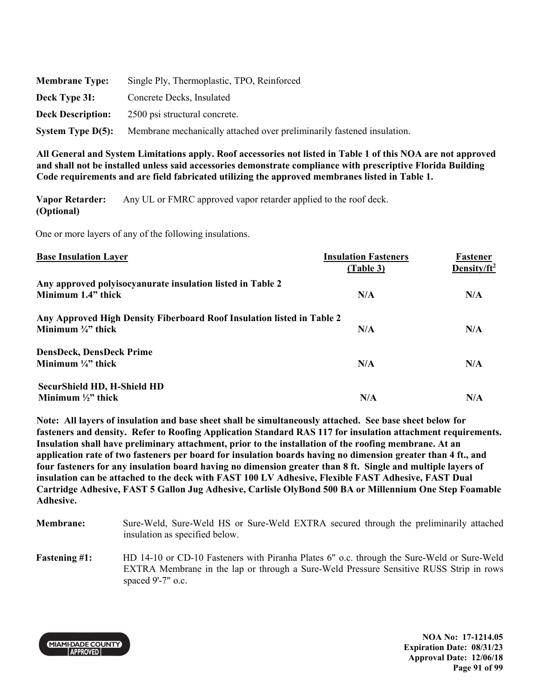| <b>Membrane Type:</b>    | Single Ply, Thermoplastic, TPO, Reinforced                             |
|--------------------------|------------------------------------------------------------------------|
| Deck Type 3I:            | Concrete Decks, Insulated                                              |
| <b>Deck Description:</b> | 2500 psi structural concrete.                                          |
| System Type $D(5)$ :     | Membrane mechanically attached over preliminarily fastened insulation. |

**Vapor Retarder: (Optional)**  Any UL or FMRC approved vapor retarder applied to the roof deck.

One or more layers of any of the following insulations.

| <b>Base Insulation Layer</b>                                                                            | <b>Insulation Fasteners</b><br>(Table 3) | Fastener<br>Density/ft <sup>2</sup> |
|---------------------------------------------------------------------------------------------------------|------------------------------------------|-------------------------------------|
| Any approved polyisocyanurate insulation listed in Table 2<br>Minimum 1.4" thick                        | N/A                                      | N/A                                 |
| Any Approved High Density Fiberboard Roof Insulation listed in Table 2<br>Minimum $\frac{3}{4}$ " thick | N/A                                      | N/A                                 |
| <b>DensDeck, DensDeck Prime</b><br>Minimum $\frac{1}{4}$ " thick                                        | N/A                                      | N/A                                 |
| <b>SecurShield HD, H-Shield HD</b><br>Minimum $\frac{1}{2}$ " thick                                     | N/A                                      | N/A                                 |

**Note: All layers of insulation and base sheet shall be simultaneously attached. See base sheet below for fasteners and density. Refer to Roofing Application Standard RAS 117 for insulation attachment requirements. Insulation shall have preliminary attachment, prior to the installation of the roofing membrane. At an application rate of two fasteners per board for insulation boards having no dimension greater than 4 ft., and four fasteners for any insulation board having no dimension greater than 8 ft. Single and multiple layers of insulation can be attached to the deck with FAST 100 LV Adhesive, Flexible FAST Adhesive, FAST Dual Cartridge Adhesive, FAST 5 Gallon Jug Adhesive, Carlisle OlyBond 500 BA or Millennium One Step Foamable Adhesive.** 

- **Membrane:** Sure-Weld, Sure-Weld HS or Sure-Weld EXTRA secured through the preliminarily attached insulation as specified below.
- Fastening #1: HD 14-10 or CD-10 Fasteners with Piranha Plates 6" o.c. through the Sure-Weld or Sure-Weld EXTRA Membrane in the lap or through a Sure-Weld Pressure Sensitive RUSS Strip in rows spaced 9'-7" o.c.



**NOA No: 17-1214.05 Expiration Date: 08/31/23 Approval Date: 12/06/18 Page 91 of 99**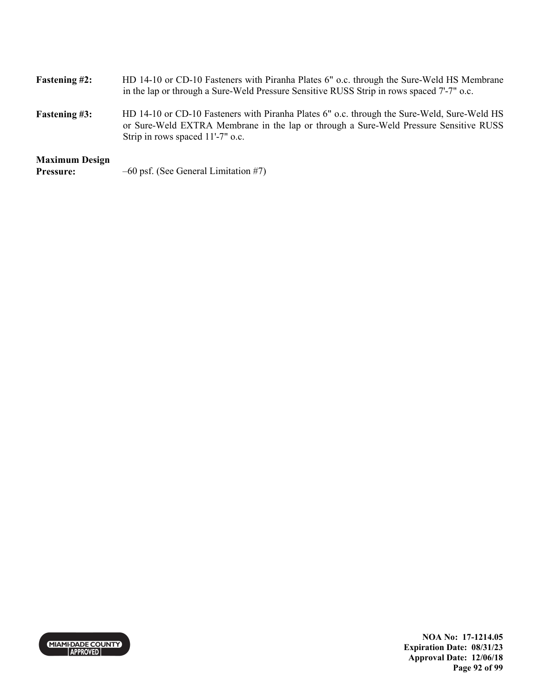| <b>Fastening #2:</b>                      | HD 14-10 or CD-10 Fasteners with Piranha Plates 6" o.c. through the Sure-Weld HS Membrane<br>in the lap or through a Sure-Weld Pressure Sensitive RUSS Strip in rows spaced 7'-7" o.c.                                   |
|-------------------------------------------|--------------------------------------------------------------------------------------------------------------------------------------------------------------------------------------------------------------------------|
| <b>Fastening #3:</b>                      | HD 14-10 or CD-10 Fasteners with Piranha Plates 6" o.c. through the Sure-Weld, Sure-Weld HS<br>or Sure-Weld EXTRA Membrane in the lap or through a Sure-Weld Pressure Sensitive RUSS<br>Strip in rows spaced 11'-7" o.c. |
| <b>Maximum Design</b><br><b>Pressure:</b> | $-60$ psf. (See General Limitation #7)                                                                                                                                                                                   |



**NOA No: 17-1214.05 Expiration Date: 08/31/23 Approval Date: 12/06/18 Page 92 of 99**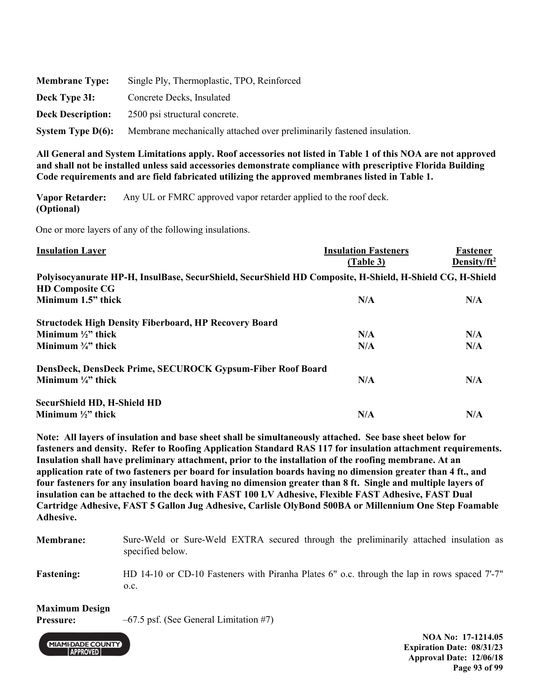| <b>Membrane Type:</b>    | Single Ply, Thermoplastic, TPO, Reinforced                             |
|--------------------------|------------------------------------------------------------------------|
| Deck Type 3I:            | Concrete Decks, Insulated                                              |
| <b>Deck Description:</b> | 2500 psi structural concrete.                                          |
| System Type $D(6)$ :     | Membrane mechanically attached over preliminarily fastened insulation. |

**Vapor Retarder: (Optional)**  Any UL or FMRC approved vapor retarder applied to the roof deck.

One or more layers of any of the following insulations.

| <b>Insulation Layer</b>                                                                                  | <b>Insulation Fasteners</b> | Fastener        |
|----------------------------------------------------------------------------------------------------------|-----------------------------|-----------------|
|                                                                                                          | (Table 3)                   | Density/ $ft^2$ |
| Polyisocyanurate HP-H, InsulBase, SecurShield, SecurShield HD Composite, H-Shield, H-Shield CG, H-Shield |                             |                 |
| <b>HD Composite CG</b>                                                                                   |                             |                 |
| Minimum 1.5" thick                                                                                       | N/A                         | N/A             |
| <b>Structodek High Density Fiberboard, HP Recovery Board</b>                                             |                             |                 |
| Minimum $\frac{1}{2}$ thick                                                                              | N/A                         | N/A             |
| Minimum $\frac{3}{4}$ " thick                                                                            | N/A                         | N/A             |
| DensDeck, DensDeck Prime, SECUROCK Gypsum-Fiber Roof Board                                               |                             |                 |
| Minimum $\frac{1}{4}$ " thick                                                                            | N/A                         | N/A             |
| SecurShield HD, H-Shield HD                                                                              |                             |                 |
| Minimum $\frac{1}{2}$ " thick                                                                            | N/A                         | N/A             |

**Note: All layers of insulation and base sheet shall be simultaneously attached. See base sheet below for fasteners and density. Refer to Roofing Application Standard RAS 117 for insulation attachment requirements. Insulation shall have preliminary attachment, prior to the installation of the roofing membrane. At an application rate of two fasteners per board for insulation boards having no dimension greater than 4 ft., and four fasteners for any insulation board having no dimension greater than 8 ft. Single and multiple layers of insulation can be attached to the deck with FAST 100 LV Adhesive, Flexible FAST Adhesive, FAST Dual Cartridge Adhesive, FAST 5 Gallon Jug Adhesive, Carlisle OlyBond 500BA or Millennium One Step Foamable Adhesive.** 

| <b>Membrane:</b>              | Sure-Weld or Sure-Weld EXTRA secured through the preliminarily attached insulation as<br>specified below. |
|-------------------------------|-----------------------------------------------------------------------------------------------------------|
| <b>Fastening:</b>             | HD 14-10 or CD-10 Fasteners with Piranha Plates 6" o.c. through the lap in rows spaced 7-7"<br>O.C.       |
| $\mathbf{M}$ . $\mathbf{N}$ . |                                                                                                           |

#### **Maximum Design**

**Pressure:**  $-67.5$  psf. (See General Limitation #7)



**NOA No: 17-1214.05 Expiration Date: 08/31/23 Approval Date: 12/06/18 Page 93 of 99**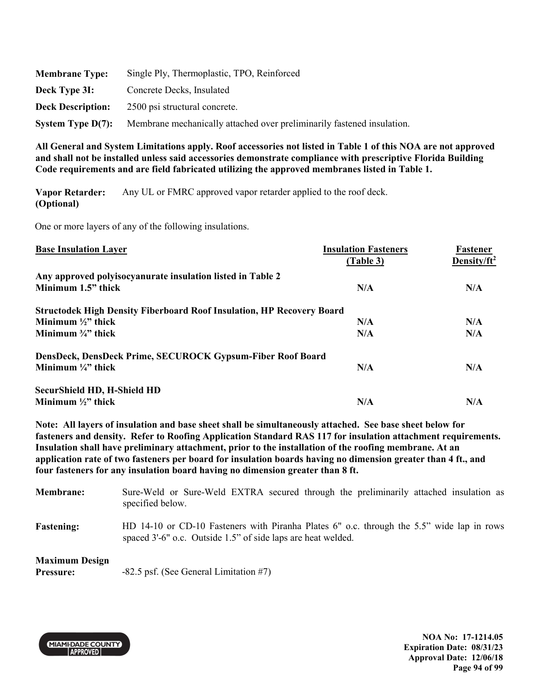| <b>Membrane Type:</b>    | Single Ply, Thermoplastic, TPO, Reinforced                             |
|--------------------------|------------------------------------------------------------------------|
| Deck Type 3I:            | Concrete Decks, Insulated                                              |
| <b>Deck Description:</b> | 2500 psi structural concrete.                                          |
| System Type $D(7)$ :     | Membrane mechanically attached over preliminarily fastened insulation. |

**Vapor Retarder: (Optional)**  Any UL or FMRC approved vapor retarder applied to the roof deck.

One or more layers of any of the following insulations.

| <b>Base Insulation Layer</b>                                                 | <b>Insulation Fasteners</b> | Fastener        |
|------------------------------------------------------------------------------|-----------------------------|-----------------|
|                                                                              | (Table 3)                   | Density/ $ft^2$ |
| Any approved polyisocyanurate insulation listed in Table 2                   |                             |                 |
| Minimum 1.5" thick                                                           | N/A                         | N/A             |
| <b>Structodek High Density Fiberboard Roof Insulation, HP Recovery Board</b> |                             |                 |
| Minimum $\frac{1}{2}$ " thick                                                | N/A                         | N/A             |
| Minimum $\frac{3}{4}$ " thick                                                | N/A                         | N/A             |
| DensDeck, DensDeck Prime, SECUROCK Gypsum-Fiber Roof Board                   |                             |                 |
| Minimum $\frac{1}{4}$ " thick                                                | N/A                         | N/A             |
| <b>SecurShield HD, H-Shield HD</b>                                           |                             |                 |
| Minimum $\frac{1}{2}$ " thick                                                | N/A                         | N/A             |

**Note: All layers of insulation and base sheet shall be simultaneously attached. See base sheet below for fasteners and density. Refer to Roofing Application Standard RAS 117 for insulation attachment requirements. Insulation shall have preliminary attachment, prior to the installation of the roofing membrane. At an application rate of two fasteners per board for insulation boards having no dimension greater than 4 ft., and four fasteners for any insulation board having no dimension greater than 8 ft.** 

**Membrane:** Sure-Weld or Sure-Weld EXTRA secured through the preliminarily attached insulation as specified below. **Fastening:** HD 14-10 or CD-10 Fasteners with Piranha Plates 6" o.c. through the 5.5" wide lap in rows spaced 3'-6" o.c. Outside 1.5" of side laps are heat welded.

### **Maximum Design**

**Pressure:** -82.5 psf. (See General Limitation #7)



**NOA No: 17-1214.05 Expiration Date: 08/31/23 Approval Date: 12/06/18 Page 94 of 99**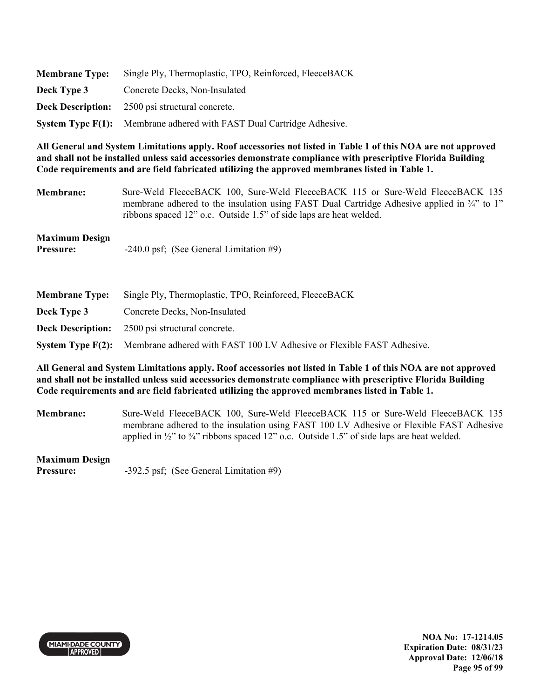| <b>Membrane Type:</b> | Single Ply, Thermoplastic, TPO, Reinforced, FleeceBACK                |
|-----------------------|-----------------------------------------------------------------------|
| Deck Type 3           | Concrete Decks, Non-Insulated                                         |
|                       | <b>Deck Description:</b> 2500 psi structural concrete.                |
|                       | System Type F(1): Membrane adhered with FAST Dual Cartridge Adhesive. |

**Membrane:** Sure-Weld FleeceBACK 100, Sure-Weld FleeceBACK 115 or Sure-Weld FleeceBACK 135 membrane adhered to the insulation using FAST Dual Cartridge Adhesive applied in  $\frac{3}{4}$ " to 1" ribbons spaced 12" o.c. Outside 1.5" of side laps are heat welded.

## **Maximum Design**

**Pressure:**  $-240.0 \text{ psf}$ ; (See General Limitation #9)

| <b>Membrane Type:</b> | Single Ply, Thermoplastic, TPO, Reinforced, FleeceBACK                                  |
|-----------------------|-----------------------------------------------------------------------------------------|
| Deck Type 3           | Concrete Decks, Non-Insulated                                                           |
|                       | <b>Deck Description:</b> 2500 psi structural concrete.                                  |
|                       | System Type F(2): Membrane adhered with FAST 100 LV Adhesive or Flexible FAST Adhesive. |

**All General and System Limitations apply. Roof accessories not listed in Table 1 of this NOA are not approved and shall not be installed unless said accessories demonstrate compliance with prescriptive Florida Building Code requirements and are field fabricated utilizing the approved membranes listed in Table 1.** 

**Membrane:** Sure-Weld FleeceBACK 100, Sure-Weld FleeceBACK 115 or Sure-Weld FleeceBACK 135 membrane adhered to the insulation using FAST 100 LV Adhesive or Flexible FAST Adhesive applied in  $\frac{1}{2}$ " to  $\frac{3}{4}$ " ribbons spaced 12" o.c. Outside 1.5" of side laps are heat welded.

#### **Maximum Design**

**Pressure:** -392.5 psf; (See General Limitation #9)



**NOA No: 17-1214.05 Expiration Date: 08/31/23 Approval Date: 12/06/18 Page 95 of 99**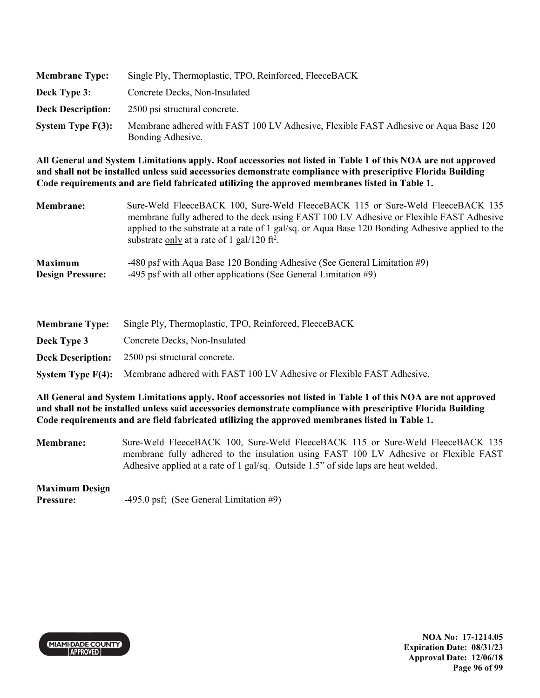| <b>Membrane Type:</b>    | Single Ply, Thermoplastic, TPO, Reinforced, FleeceBACK                                                   |
|--------------------------|----------------------------------------------------------------------------------------------------------|
| Deck Type 3:             | Concrete Decks, Non-Insulated                                                                            |
| <b>Deck Description:</b> | 2500 psi structural concrete.                                                                            |
| System Type $F(3)$ :     | Membrane adhered with FAST 100 LV Adhesive, Flexible FAST Adhesive or Aqua Base 120<br>Bonding Adhesive. |

| <b>Membrane:</b>        | Sure-Weld FleeceBACK 100, Sure-Weld FleeceBACK 115 or Sure-Weld FleeceBACK 135<br>membrane fully adhered to the deck using FAST 100 LV Adhesive or Flexible FAST Adhesive<br>applied to the substrate at a rate of 1 gal/sq. or Aqua Base 120 Bonding Adhesive applied to the<br>substrate only at a rate of 1 gal/120 ft <sup>2</sup> . |
|-------------------------|------------------------------------------------------------------------------------------------------------------------------------------------------------------------------------------------------------------------------------------------------------------------------------------------------------------------------------------|
| <b>Maximum</b>          | -480 psf with Aqua Base 120 Bonding Adhesive (See General Limitation #9)                                                                                                                                                                                                                                                                 |
| <b>Design Pressure:</b> | -495 psf with all other applications (See General Limitation $#9$ )                                                                                                                                                                                                                                                                      |

| <b>Membrane Type:</b> | Single Ply, Thermoplastic, TPO, Reinforced, FleeceBACK                                  |
|-----------------------|-----------------------------------------------------------------------------------------|
| Deck Type 3           | Concrete Decks, Non-Insulated                                                           |
|                       | <b>Deck Description:</b> 2500 psi structural concrete.                                  |
|                       | System Type F(4): Membrane adhered with FAST 100 LV Adhesive or Flexible FAST Adhesive. |

**All General and System Limitations apply. Roof accessories not listed in Table 1 of this NOA are not approved and shall not be installed unless said accessories demonstrate compliance with prescriptive Florida Building Code requirements and are field fabricated utilizing the approved membranes listed in Table 1.** 

**Membrane:** Sure-Weld FleeceBACK 100, Sure-Weld FleeceBACK 115 or Sure-Weld FleeceBACK 135 membrane fully adhered to the insulation using FAST 100 LV Adhesive or Flexible FAST Adhesive applied at a rate of 1 gal/sq. Outside 1.5" of side laps are heat welded.

## **Maximum Design**

**Pressure:**  $-495.0 \text{ psf}$ ; (See General Limitation #9)



**NOA No: 17-1214.05 Expiration Date: 08/31/23 Approval Date: 12/06/18 Page 96 of 99**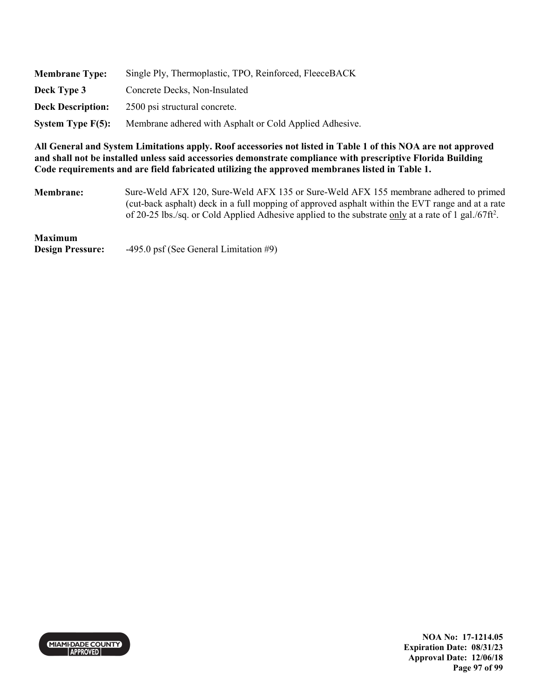| <b>Membrane Type:</b>    | Single Ply, Thermoplastic, TPO, Reinforced, FleeceBACK  |
|--------------------------|---------------------------------------------------------|
| Deck Type 3              | Concrete Decks, Non-Insulated                           |
| <b>Deck Description:</b> | 2500 psi structural concrete.                           |
| System Type $F(5)$ :     | Membrane adhered with Asphalt or Cold Applied Adhesive. |

**Membrane:** Sure-Weld AFX 120, Sure-Weld AFX 135 or Sure-Weld AFX 155 membrane adhered to primed (cut-back asphalt) deck in a full mopping of approved asphalt within the EVT range and at a rate of 20-25 lbs./sq. or Cold Applied Adhesive applied to the substrate only at a rate of 1 gal./67ft<sup>2</sup>.

# **Maximum**

**Design Pressure:** -495.0 psf (See General Limitation #9)



**NOA No: 17-1214.05 Expiration Date: 08/31/23 Approval Date: 12/06/18 Page 97 of 99**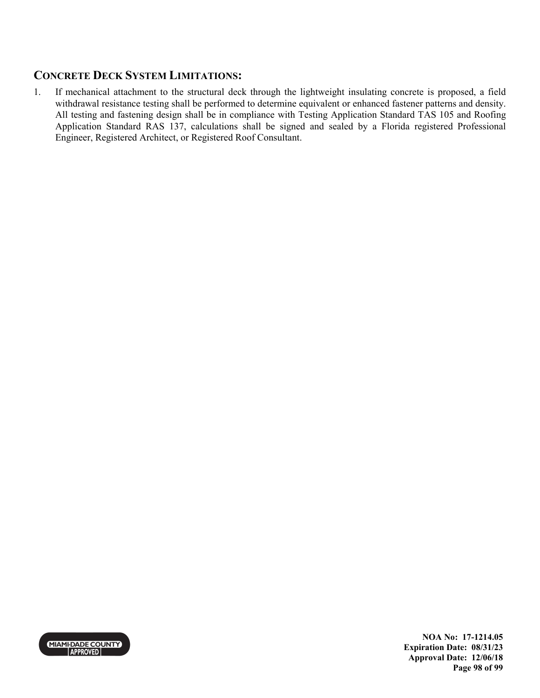## **CONCRETE DECK SYSTEM LIMITATIONS:**

1. If mechanical attachment to the structural deck through the lightweight insulating concrete is proposed, a field withdrawal resistance testing shall be performed to determine equivalent or enhanced fastener patterns and density. All testing and fastening design shall be in compliance with Testing Application Standard TAS 105 and Roofing Application Standard RAS 137, calculations shall be signed and sealed by a Florida registered Professional Engineer, Registered Architect, or Registered Roof Consultant.



**NOA No: 17-1214.05 Expiration Date: 08/31/23 Approval Date: 12/06/18 Page 98 of 99**